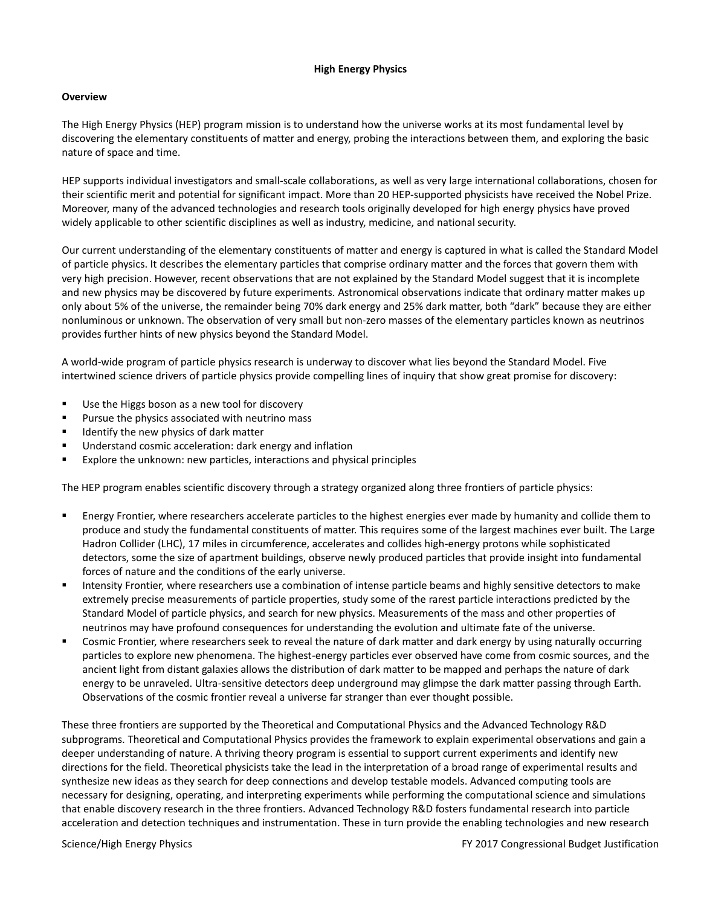#### **High Energy Physics**

#### **Overview**

The High Energy Physics (HEP) program mission is to understand how the universe works at its most fundamental level by discovering the elementary constituents of matter and energy, probing the interactions between them, and exploring the basic nature of space and time.

HEP supports individual investigators and small-scale collaborations, as well as very large international collaborations, chosen for their scientific merit and potential for significant impact. More than 20 HEP-supported physicists have received the Nobel Prize. Moreover, many of the advanced technologies and research tools originally developed for high energy physics have proved widely applicable to other scientific disciplines as well as industry, medicine, and national security.

Our current understanding of the elementary constituents of matter and energy is captured in what is called the Standard Model of particle physics. It describes the elementary particles that comprise ordinary matter and the forces that govern them with very high precision. However, recent observations that are not explained by the Standard Model suggest that it is incomplete and new physics may be discovered by future experiments. Astronomical observations indicate that ordinary matter makes up only about 5% of the universe, the remainder being 70% dark energy and 25% dark matter, both "dark" because they are either nonluminous or unknown. The observation of very small but non-zero masses of the elementary particles known as neutrinos provides further hints of new physics beyond the Standard Model.

A world-wide program of particle physics research is underway to discover what lies beyond the Standard Model. Five intertwined science drivers of particle physics provide compelling lines of inquiry that show great promise for discovery:

- Use the Higgs boson as a new tool for discovery
- Pursue the physics associated with neutrino mass
- Identify the new physics of dark matter
- Understand cosmic acceleration: dark energy and inflation
- Explore the unknown: new particles, interactions and physical principles

The HEP program enables scientific discovery through a strategy organized along three frontiers of particle physics:

- Energy Frontier, where researchers accelerate particles to the highest energies ever made by humanity and collide them to produce and study the fundamental constituents of matter. This requires some of the largest machines ever built. The Large Hadron Collider (LHC), 17 miles in circumference, accelerates and collides high-energy protons while sophisticated detectors, some the size of apartment buildings, observe newly produced particles that provide insight into fundamental forces of nature and the conditions of the early universe.
- Intensity Frontier, where researchers use a combination of intense particle beams and highly sensitive detectors to make extremely precise measurements of particle properties, study some of the rarest particle interactions predicted by the Standard Model of particle physics, and search for new physics. Measurements of the mass and other properties of neutrinos may have profound consequences for understanding the evolution and ultimate fate of the universe.
- Cosmic Frontier, where researchers seek to reveal the nature of dark matter and dark energy by using naturally occurring particles to explore new phenomena. The highest-energy particles ever observed have come from cosmic sources, and the ancient light from distant galaxies allows the distribution of dark matter to be mapped and perhaps the nature of dark energy to be unraveled. Ultra-sensitive detectors deep underground may glimpse the dark matter passing through Earth. Observations of the cosmic frontier reveal a universe far stranger than ever thought possible.

These three frontiers are supported by the Theoretical and Computational Physics and the Advanced Technology R&D subprograms. Theoretical and Computational Physics provides the framework to explain experimental observations and gain a deeper understanding of nature. A thriving theory program is essential to support current experiments and identify new directions for the field. Theoretical physicists take the lead in the interpretation of a broad range of experimental results and synthesize new ideas as they search for deep connections and develop testable models. Advanced computing tools are necessary for designing, operating, and interpreting experiments while performing the computational science and simulations that enable discovery research in the three frontiers. Advanced Technology R&D fosters fundamental research into particle acceleration and detection techniques and instrumentation. These in turn provide the enabling technologies and new research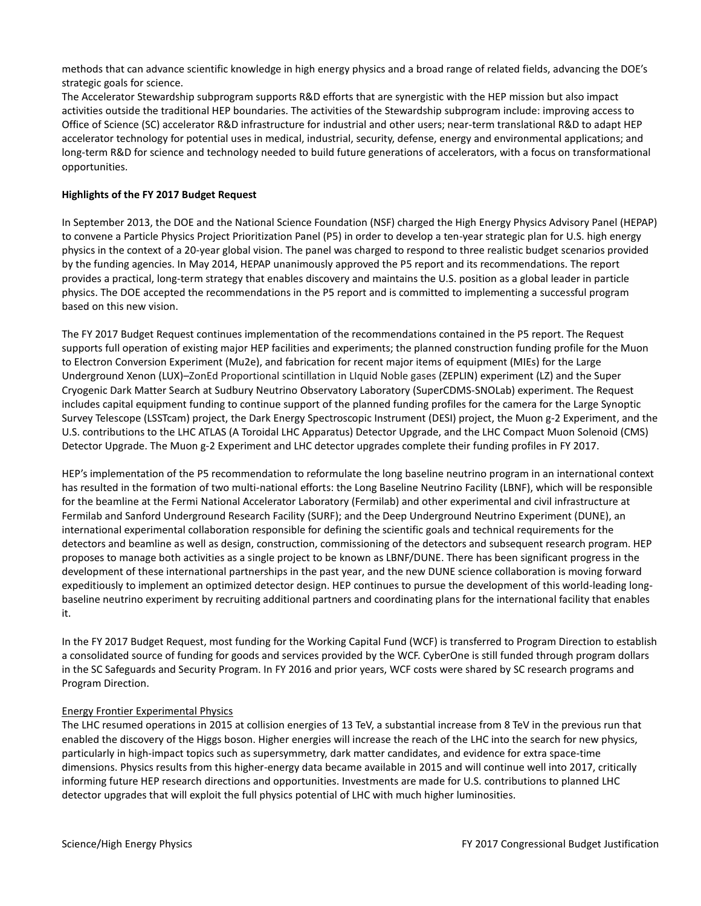methods that can advance scientific knowledge in high energy physics and a broad range of related fields, advancing the DOE's strategic goals for science.

The Accelerator Stewardship subprogram supports R&D efforts that are synergistic with the HEP mission but also impact activities outside the traditional HEP boundaries. The activities of the Stewardship subprogram include: improving access to Office of Science (SC) accelerator R&D infrastructure for industrial and other users; near-term translational R&D to adapt HEP accelerator technology for potential uses in medical, industrial, security, defense, energy and environmental applications; and long-term R&D for science and technology needed to build future generations of accelerators, with a focus on transformational opportunities.

### **Highlights of the FY 2017 Budget Request**

In September 2013, the DOE and the National Science Foundation (NSF) charged the High Energy Physics Advisory Panel (HEPAP) to convene a Particle Physics Project Prioritization Panel (P5) in order to develop a ten-year strategic plan for U.S. high energy physics in the context of a 20-year global vision. The panel was charged to respond to three realistic budget scenarios provided by the funding agencies. In May 2014, HEPAP unanimously approved the P5 report and its recommendations. The report provides a practical, long-term strategy that enables discovery and maintains the U.S. position as a global leader in particle physics. The DOE accepted the recommendations in the P5 report and is committed to implementing a successful program based on this new vision.

The FY 2017 Budget Request continues implementation of the recommendations contained in the P5 report. The Request supports full operation of existing major HEP facilities and experiments; the planned construction funding profile for the Muon to Electron Conversion Experiment (Mu2e), and fabrication for recent major items of equipment (MIEs) for the Large Underground Xenon (LUX)–ZonEd Proportional scintillation in LIquid Noble gases (ZEPLIN) experiment (LZ) and the Super Cryogenic Dark Matter Search at Sudbury Neutrino Observatory Laboratory (SuperCDMS-SNOLab) experiment. The Request includes capital equipment funding to continue support of the planned funding profiles for the camera for the Large Synoptic Survey Telescope (LSSTcam) project, the Dark Energy Spectroscopic Instrument (DESI) project, the Muon g-2 Experiment, and the U.S. contributions to the LHC ATLAS (A Toroidal LHC Apparatus) Detector Upgrade, and the LHC Compact Muon Solenoid (CMS) Detector Upgrade. The Muon g-2 Experiment and LHC detector upgrades complete their funding profiles in FY 2017.

HEP's implementation of the P5 recommendation to reformulate the long baseline neutrino program in an international context has resulted in the formation of two multi-national efforts: the Long Baseline Neutrino Facility (LBNF), which will be responsible for the beamline at the Fermi National Accelerator Laboratory (Fermilab) and other experimental and civil infrastructure at Fermilab and Sanford Underground Research Facility (SURF); and the Deep Underground Neutrino Experiment (DUNE), an international experimental collaboration responsible for defining the scientific goals and technical requirements for the detectors and beamline as well as design, construction, commissioning of the detectors and subsequent research program. HEP proposes to manage both activities as a single project to be known as LBNF/DUNE. There has been significant progress in the development of these international partnerships in the past year, and the new DUNE science collaboration is moving forward expeditiously to implement an optimized detector design. HEP continues to pursue the development of this world-leading longbaseline neutrino experiment by recruiting additional partners and coordinating plans for the international facility that enables it.

In the FY 2017 Budget Request, most funding for the Working Capital Fund (WCF) is transferred to Program Direction to establish a consolidated source of funding for goods and services provided by the WCF. CyberOne is still funded through program dollars in the SC Safeguards and Security Program. In FY 2016 and prior years, WCF costs were shared by SC research programs and Program Direction.

### Energy Frontier Experimental Physics

The LHC resumed operations in 2015 at collision energies of 13 TeV, a substantial increase from 8 TeV in the previous run that enabled the discovery of the Higgs boson. Higher energies will increase the reach of the LHC into the search for new physics, particularly in high-impact topics such as supersymmetry, dark matter candidates, and evidence for extra space-time dimensions. Physics results from this higher-energy data became available in 2015 and will continue well into 2017, critically informing future HEP research directions and opportunities. Investments are made for U.S. contributions to planned LHC detector upgrades that will exploit the full physics potential of LHC with much higher luminosities.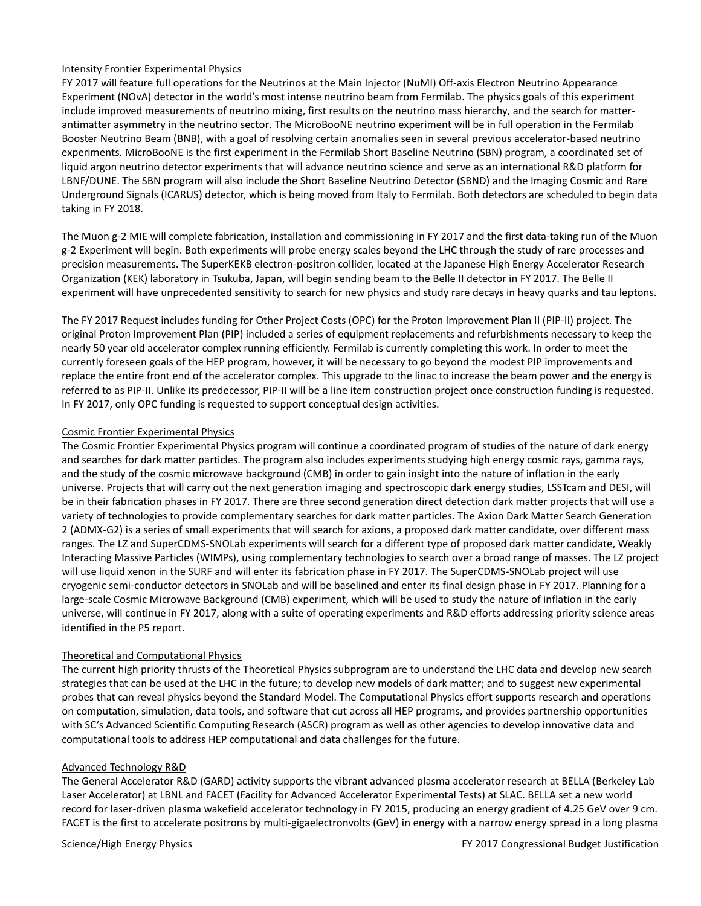### Intensity Frontier Experimental Physics

FY 2017 will feature full operations for the Neutrinos at the Main Injector (NuMI) Off-axis Electron Neutrino Appearance Experiment (NOvA) detector in the world's most intense neutrino beam from Fermilab. The physics goals of this experiment include improved measurements of neutrino mixing, first results on the neutrino mass hierarchy, and the search for matterantimatter asymmetry in the neutrino sector. The MicroBooNE neutrino experiment will be in full operation in the Fermilab Booster Neutrino Beam (BNB), with a goal of resolving certain anomalies seen in several previous accelerator-based neutrino experiments. MicroBooNE is the first experiment in the Fermilab Short Baseline Neutrino (SBN) program, a coordinated set of liquid argon neutrino detector experiments that will advance neutrino science and serve as an international R&D platform for LBNF/DUNE. The SBN program will also include the Short Baseline Neutrino Detector (SBND) and the Imaging Cosmic and Rare Underground Signals (ICARUS) detector, which is being moved from Italy to Fermilab. Both detectors are scheduled to begin data taking in FY 2018.

The Muon g-2 MIE will complete fabrication, installation and commissioning in FY 2017 and the first data-taking run of the Muon g-2 Experiment will begin. Both experiments will probe energy scales beyond the LHC through the study of rare processes and precision measurements. The SuperKEKB electron-positron collider, located at the Japanese High Energy Accelerator Research Organization (KEK) laboratory in Tsukuba, Japan, will begin sending beam to the Belle II detector in FY 2017. The Belle II experiment will have unprecedented sensitivity to search for new physics and study rare decays in heavy quarks and tau leptons.

The FY 2017 Request includes funding for Other Project Costs (OPC) for the Proton Improvement Plan II (PIP-II) project. The original Proton Improvement Plan (PIP) included a series of equipment replacements and refurbishments necessary to keep the nearly 50 year old accelerator complex running efficiently. Fermilab is currently completing this work. In order to meet the currently foreseen goals of the HEP program, however, it will be necessary to go beyond the modest PIP improvements and replace the entire front end of the accelerator complex. This upgrade to the linac to increase the beam power and the energy is referred to as PIP-II. Unlike its predecessor, PIP-II will be a line item construction project once construction funding is requested. In FY 2017, only OPC funding is requested to support conceptual design activities.

#### Cosmic Frontier Experimental Physics

The Cosmic Frontier Experimental Physics program will continue a coordinated program of studies of the nature of dark energy and searches for dark matter particles. The program also includes experiments studying high energy cosmic rays, gamma rays, and the study of the cosmic microwave background (CMB) in order to gain insight into the nature of inflation in the early universe. Projects that will carry out the next generation imaging and spectroscopic dark energy studies, LSSTcam and DESI, will be in their fabrication phases in FY 2017. There are three second generation direct detection dark matter projects that will use a variety of technologies to provide complementary searches for dark matter particles. The Axion Dark Matter Search Generation 2 (ADMX-G2) is a series of small experiments that will search for axions, a proposed dark matter candidate, over different mass ranges. The LZ and SuperCDMS-SNOLab experiments will search for a different type of proposed dark matter candidate, Weakly Interacting Massive Particles (WIMPs), using complementary technologies to search over a broad range of masses. The LZ project will use liquid xenon in the SURF and will enter its fabrication phase in FY 2017. The SuperCDMS-SNOLab project will use cryogenic semi-conductor detectors in SNOLab and will be baselined and enter its final design phase in FY 2017. Planning for a large-scale Cosmic Microwave Background (CMB) experiment, which will be used to study the nature of inflation in the early universe, will continue in FY 2017, along with a suite of operating experiments and R&D efforts addressing priority science areas identified in the P5 report.

### Theoretical and Computational Physics

The current high priority thrusts of the Theoretical Physics subprogram are to understand the LHC data and develop new search strategies that can be used at the LHC in the future; to develop new models of dark matter; and to suggest new experimental probes that can reveal physics beyond the Standard Model. The Computational Physics effort supports research and operations on computation, simulation, data tools, and software that cut across all HEP programs, and provides partnership opportunities with SC's Advanced Scientific Computing Research (ASCR) program as well as other agencies to develop innovative data and computational tools to address HEP computational and data challenges for the future.

#### Advanced Technology R&D

The General Accelerator R&D (GARD) activity supports the vibrant advanced plasma accelerator research at BELLA (Berkeley Lab Laser Accelerator) at LBNL and FACET (Facility for Advanced Accelerator Experimental Tests) at SLAC. BELLA set a new world record for laser-driven plasma wakefield accelerator technology in FY 2015, producing an energy gradient of 4.25 GeV over 9 cm. FACET is the first to accelerate positrons by multi-gigaelectronvolts (GeV) in energy with a narrow energy spread in a long plasma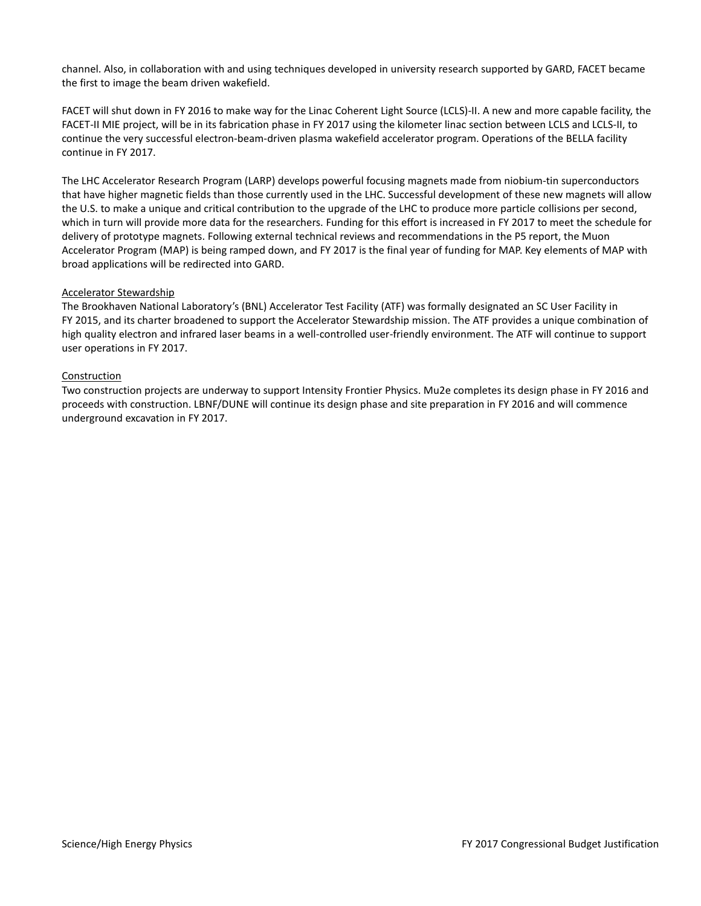channel. Also, in collaboration with and using techniques developed in university research supported by GARD, FACET became the first to image the beam driven wakefield.

FACET will shut down in FY 2016 to make way for the Linac Coherent Light Source (LCLS)-II. A new and more capable facility, the FACET-II MIE project, will be in its fabrication phase in FY 2017 using the kilometer linac section between LCLS and LCLS-II, to continue the very successful electron-beam-driven plasma wakefield accelerator program. Operations of the BELLA facility continue in FY 2017.

The LHC Accelerator Research Program (LARP) develops powerful focusing magnets made from niobium-tin superconductors that have higher magnetic fields than those currently used in the LHC. Successful development of these new magnets will allow the U.S. to make a unique and critical contribution to the upgrade of the LHC to produce more particle collisions per second, which in turn will provide more data for the researchers. Funding for this effort is increased in FY 2017 to meet the schedule for delivery of prototype magnets. Following external technical reviews and recommendations in the P5 report, the Muon Accelerator Program (MAP) is being ramped down, and FY 2017 is the final year of funding for MAP. Key elements of MAP with broad applications will be redirected into GARD.

#### Accelerator Stewardship

The Brookhaven National Laboratory's (BNL) Accelerator Test Facility (ATF) was formally designated an SC User Facility in FY 2015, and its charter broadened to support the Accelerator Stewardship mission. The ATF provides a unique combination of high quality electron and infrared laser beams in a well-controlled user-friendly environment. The ATF will continue to support user operations in FY 2017.

#### Construction

Two construction projects are underway to support Intensity Frontier Physics. Mu2e completes its design phase in FY 2016 and proceeds with construction. LBNF/DUNE will continue its design phase and site preparation in FY 2016 and will commence underground excavation in FY 2017.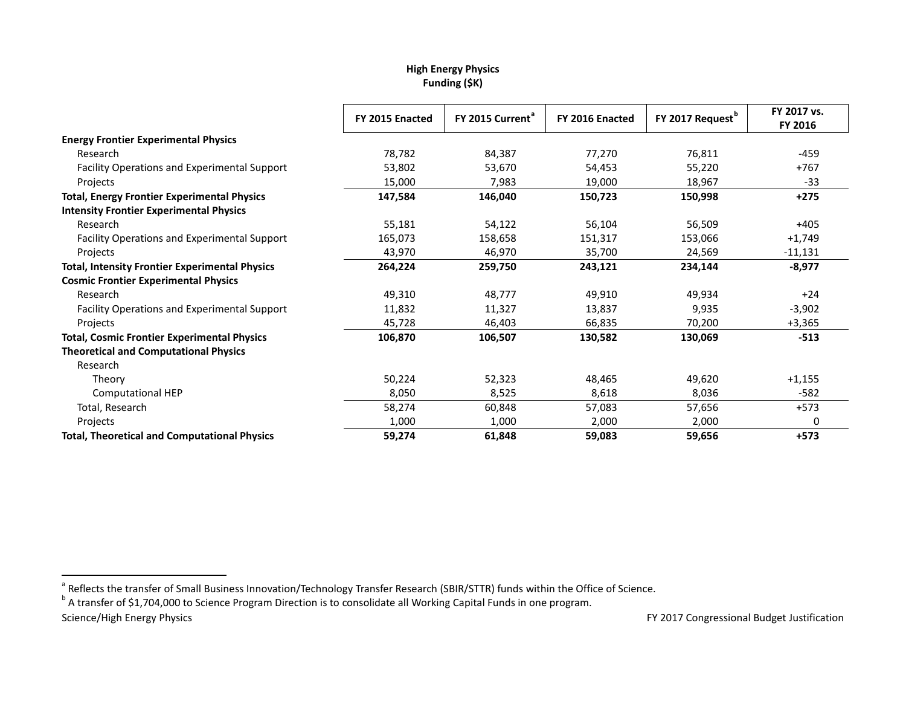# <span id="page-4-1"></span><span id="page-4-0"></span>**High Energy Physics Funding (\$K)**

|                                                       | FY 2015 Enacted | FY 2015 Current <sup>a</sup> | FY 2016 Enacted | FY 2017 Request <sup>b</sup> | FY 2017 vs.<br>FY 2016 |
|-------------------------------------------------------|-----------------|------------------------------|-----------------|------------------------------|------------------------|
| <b>Energy Frontier Experimental Physics</b>           |                 |                              |                 |                              |                        |
| Research                                              | 78,782          | 84,387                       | 77,270          | 76,811                       | $-459$                 |
| Facility Operations and Experimental Support          | 53,802          | 53,670                       | 54,453          | 55,220                       | $+767$                 |
| Projects                                              | 15,000          | 7,983                        | 19,000          | 18,967                       | $-33$                  |
| <b>Total, Energy Frontier Experimental Physics</b>    | 147,584         | 146,040                      | 150,723         | 150,998                      | $+275$                 |
| <b>Intensity Frontier Experimental Physics</b>        |                 |                              |                 |                              |                        |
| Research                                              | 55,181          | 54,122                       | 56,104          | 56,509                       | $+405$                 |
| Facility Operations and Experimental Support          | 165,073         | 158,658                      | 151,317         | 153,066                      | $+1,749$               |
| Projects                                              | 43,970          | 46,970                       | 35,700          | 24,569                       | $-11,131$              |
| <b>Total, Intensity Frontier Experimental Physics</b> | 264,224         | 259,750                      | 243,121         | 234,144                      | $-8,977$               |
| <b>Cosmic Frontier Experimental Physics</b>           |                 |                              |                 |                              |                        |
| Research                                              | 49,310          | 48,777                       | 49,910          | 49,934                       | $+24$                  |
| <b>Facility Operations and Experimental Support</b>   | 11,832          | 11,327                       | 13,837          | 9,935                        | $-3,902$               |
| Projects                                              | 45,728          | 46,403                       | 66,835          | 70,200                       | $+3,365$               |
| <b>Total, Cosmic Frontier Experimental Physics</b>    | 106,870         | 106,507                      | 130,582         | 130,069                      | $-513$                 |
| <b>Theoretical and Computational Physics</b>          |                 |                              |                 |                              |                        |
| Research                                              |                 |                              |                 |                              |                        |
| Theory                                                | 50,224          | 52,323                       | 48,465          | 49,620                       | $+1,155$               |
| <b>Computational HEP</b>                              | 8,050           | 8,525                        | 8,618           | 8,036                        | $-582$                 |
| Total, Research                                       | 58,274          | 60,848                       | 57,083          | 57,656                       | $+573$                 |
| Projects                                              | 1,000           | 1,000                        | 2,000           | 2,000                        | 0                      |
| <b>Total, Theoretical and Computational Physics</b>   | 59,274          | 61,848                       | 59,083          | 59,656                       | $+573$                 |

<sup>a</sup> Reflects the transfer of Small Business Innovation/Technology Transfer Research (SBIR/STTR) funds within the Office of Science.<br><sup>b</sup> A transfer of \$1,704,000 to Science Program Direction is to consolidate all Working C

Science/High Energy Physics **FY 2017** Congressional Budget Justification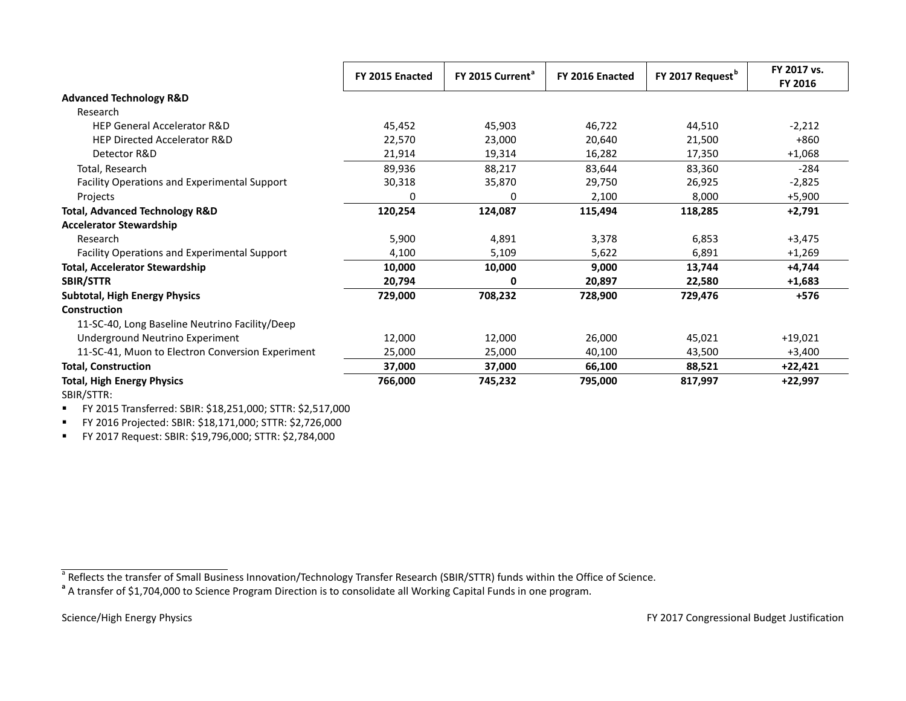|                                                  | FY 2015 Enacted | FY 2015 Current <sup>a</sup> | FY 2016 Enacted | FY 2017 Request <sup>b</sup> | FY 2017 vs.<br>FY 2016 |
|--------------------------------------------------|-----------------|------------------------------|-----------------|------------------------------|------------------------|
| <b>Advanced Technology R&amp;D</b>               |                 |                              |                 |                              |                        |
| Research                                         |                 |                              |                 |                              |                        |
| <b>HEP General Accelerator R&amp;D</b>           | 45,452          | 45,903                       | 46,722          | 44,510                       | $-2,212$               |
| <b>HEP Directed Accelerator R&amp;D</b>          | 22,570          | 23,000                       | 20,640          | 21,500                       | $+860$                 |
| Detector R&D                                     | 21,914          | 19,314                       | 16,282          | 17,350                       | $+1,068$               |
| Total, Research                                  | 89,936          | 88,217                       | 83,644          | 83,360                       | $-284$                 |
| Facility Operations and Experimental Support     | 30,318          | 35,870                       | 29,750          | 26,925                       | $-2,825$               |
| Projects                                         | 0               | 0                            | 2,100           | 8,000                        | $+5,900$               |
| <b>Total, Advanced Technology R&amp;D</b>        | 120,254         | 124,087                      | 115,494         | 118,285                      | $+2,791$               |
| <b>Accelerator Stewardship</b>                   |                 |                              |                 |                              |                        |
| Research                                         | 5,900           | 4,891                        | 3,378           | 6,853                        | $+3,475$               |
| Facility Operations and Experimental Support     | 4,100           | 5,109                        | 5,622           | 6,891                        | $+1,269$               |
| <b>Total, Accelerator Stewardship</b>            | 10,000          | 10,000                       | 9,000           | 13,744                       | +4,744                 |
| <b>SBIR/STTR</b>                                 | 20,794          | 0                            | 20,897          | 22,580                       | $+1,683$               |
| <b>Subtotal, High Energy Physics</b>             | 729,000         | 708,232                      | 728,900         | 729,476                      | $+576$                 |
| Construction                                     |                 |                              |                 |                              |                        |
| 11-SC-40, Long Baseline Neutrino Facility/Deep   |                 |                              |                 |                              |                        |
| Underground Neutrino Experiment                  | 12,000          | 12,000                       | 26,000          | 45,021                       | $+19,021$              |
| 11-SC-41, Muon to Electron Conversion Experiment | 25,000          | 25,000                       | 40,100          | 43,500                       | $+3,400$               |
| <b>Total, Construction</b>                       | 37,000          | 37,000                       | 66,100          | 88,521                       | $+22,421$              |
| <b>Total, High Energy Physics</b>                | 766,000         | 745,232                      | 795,000         | 817,997                      | +22,997                |
| SBIR/STTR:                                       |                 |                              |                 |                              |                        |

FY 2015 Transferred: SBIR: \$18,251,000; STTR: \$2,517,000

FY 2016 Projected: SBIR: \$18,171,000; STTR: \$2,726,000

FY 2017 Request: SBIR: \$19,796,000; STTR: \$2,784,000

<sup>a</sup> Reflects the transfer of Small Business Innovation/Technology Transfer Research (SBIR/STTR) funds within the Office of Science.<br><sup>a</sup> A transfer of \$1,704,000 to Science Program Direction is to consolidate all Working C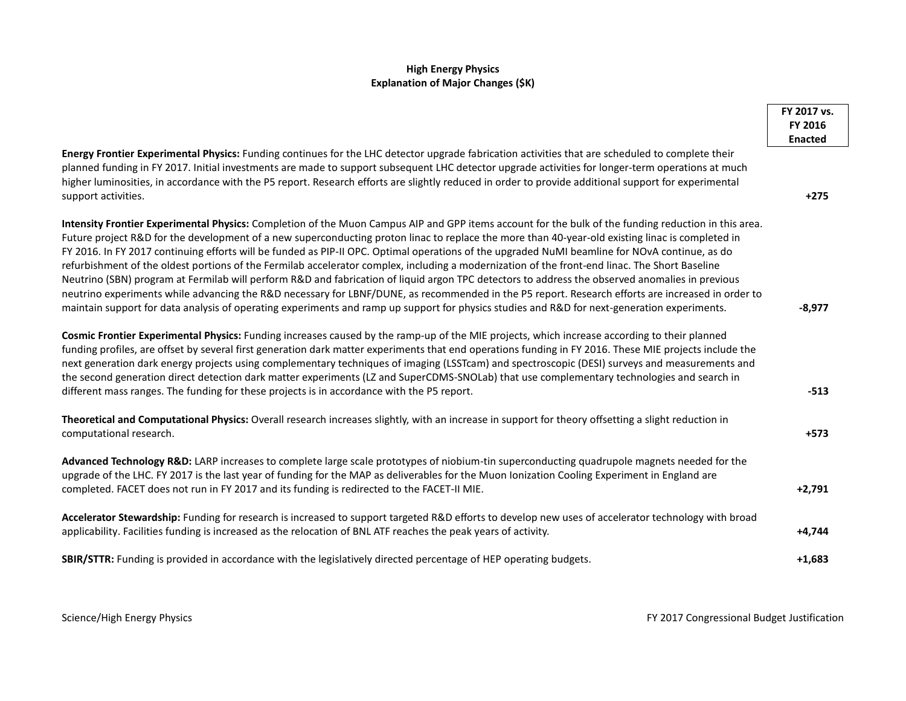# **High Energy Physics Explanation of Major Changes (\$K)**

|                                                                                                                                                                                                                                                                                                                                                                                                                                                                                                                                                                                                                                                                                                                                                                                                                                                                                                                                                                                                                                                                      | FY 2017 vs.<br>FY 2016<br><b>Enacted</b> |
|----------------------------------------------------------------------------------------------------------------------------------------------------------------------------------------------------------------------------------------------------------------------------------------------------------------------------------------------------------------------------------------------------------------------------------------------------------------------------------------------------------------------------------------------------------------------------------------------------------------------------------------------------------------------------------------------------------------------------------------------------------------------------------------------------------------------------------------------------------------------------------------------------------------------------------------------------------------------------------------------------------------------------------------------------------------------|------------------------------------------|
| Energy Frontier Experimental Physics: Funding continues for the LHC detector upgrade fabrication activities that are scheduled to complete their<br>planned funding in FY 2017. Initial investments are made to support subsequent LHC detector upgrade activities for longer-term operations at much<br>higher luminosities, in accordance with the P5 report. Research efforts are slightly reduced in order to provide additional support for experimental<br>support activities.                                                                                                                                                                                                                                                                                                                                                                                                                                                                                                                                                                                 | $+275$                                   |
| Intensity Frontier Experimental Physics: Completion of the Muon Campus AIP and GPP items account for the bulk of the funding reduction in this area.<br>Future project R&D for the development of a new superconducting proton linac to replace the more than 40-year-old existing linac is completed in<br>FY 2016. In FY 2017 continuing efforts will be funded as PIP-II OPC. Optimal operations of the upgraded NuMI beamline for NOvA continue, as do<br>refurbishment of the oldest portions of the Fermilab accelerator complex, including a modernization of the front-end linac. The Short Baseline<br>Neutrino (SBN) program at Fermilab will perform R&D and fabrication of liquid argon TPC detectors to address the observed anomalies in previous<br>neutrino experiments while advancing the R&D necessary for LBNF/DUNE, as recommended in the P5 report. Research efforts are increased in order to<br>maintain support for data analysis of operating experiments and ramp up support for physics studies and R&D for next-generation experiments. | $-8,977$                                 |
| Cosmic Frontier Experimental Physics: Funding increases caused by the ramp-up of the MIE projects, which increase according to their planned<br>funding profiles, are offset by several first generation dark matter experiments that end operations funding in FY 2016. These MIE projects include the<br>next generation dark energy projects using complementary techniques of imaging (LSSTcam) and spectroscopic (DESI) surveys and measurements and<br>the second generation direct detection dark matter experiments (LZ and SuperCDMS-SNOLab) that use complementary technologies and search in<br>different mass ranges. The funding for these projects is in accordance with the P5 report.                                                                                                                                                                                                                                                                                                                                                                | $-513$                                   |
| Theoretical and Computational Physics: Overall research increases slightly, with an increase in support for theory offsetting a slight reduction in<br>computational research.                                                                                                                                                                                                                                                                                                                                                                                                                                                                                                                                                                                                                                                                                                                                                                                                                                                                                       | $+573$                                   |
| Advanced Technology R&D: LARP increases to complete large scale prototypes of niobium-tin superconducting quadrupole magnets needed for the<br>upgrade of the LHC. FY 2017 is the last year of funding for the MAP as deliverables for the Muon Ionization Cooling Experiment in England are<br>completed. FACET does not run in FY 2017 and its funding is redirected to the FACET-II MIE.                                                                                                                                                                                                                                                                                                                                                                                                                                                                                                                                                                                                                                                                          | $+2,791$                                 |
| Accelerator Stewardship: Funding for research is increased to support targeted R&D efforts to develop new uses of accelerator technology with broad<br>applicability. Facilities funding is increased as the relocation of BNL ATF reaches the peak years of activity.                                                                                                                                                                                                                                                                                                                                                                                                                                                                                                                                                                                                                                                                                                                                                                                               | $+4,744$                                 |
| SBIR/STTR: Funding is provided in accordance with the legislatively directed percentage of HEP operating budgets.                                                                                                                                                                                                                                                                                                                                                                                                                                                                                                                                                                                                                                                                                                                                                                                                                                                                                                                                                    | $+1,683$                                 |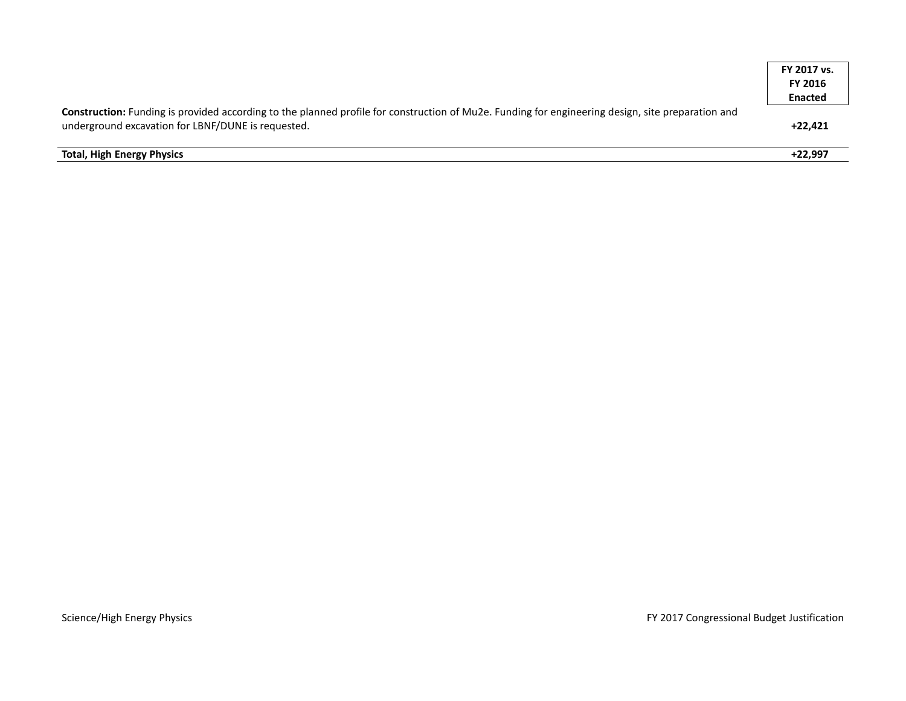|                                                                                                                                                                                                         | FY 2017 vs.<br><b>FY 2016</b> |
|---------------------------------------------------------------------------------------------------------------------------------------------------------------------------------------------------------|-------------------------------|
|                                                                                                                                                                                                         | <b>Enacted</b>                |
| Construction: Funding is provided according to the planned profile for construction of Mu2e. Funding for engineering design, site preparation and<br>underground excavation for LBNF/DUNE is requested. | $+22.421$                     |
| <b>Total, High Energy Physics</b>                                                                                                                                                                       | $+22.997$                     |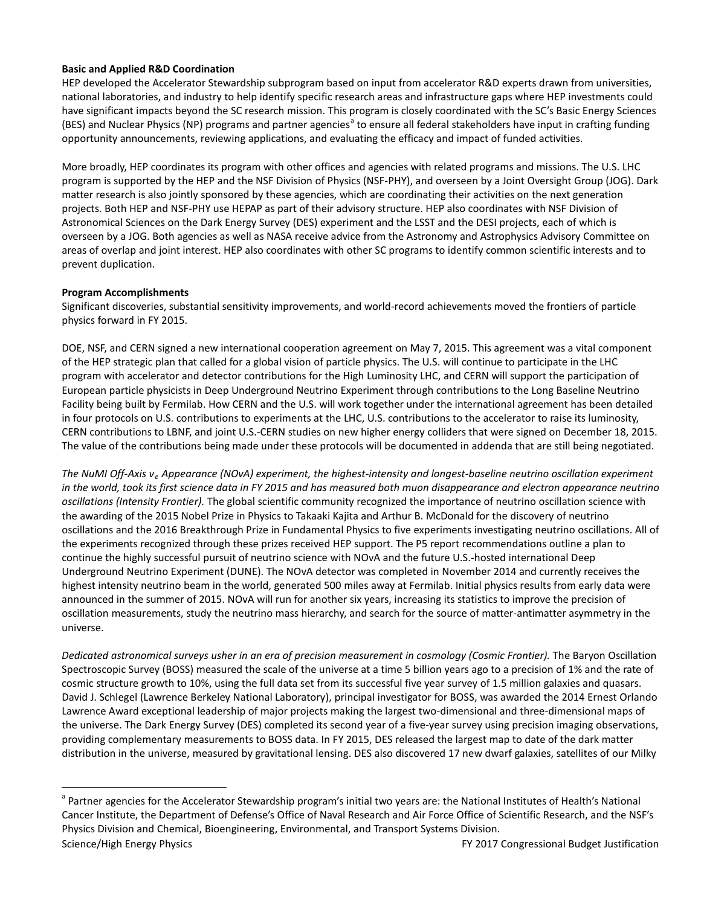### **Basic and Applied R&D Coordination**

HEP developed the Accelerator Stewardship subprogram based on input from accelerator R&D experts drawn from universities, national laboratories, and industry to help identify specific research areas and infrastructure gaps where HEP investments could have significant impacts beyond the SC research mission. This program is closely coordinated with the SC's Basic Energy Sciences (BES) [a](#page-8-0)nd Nuclear Physics (NP) programs and partner agencies<sup>a</sup> to ensure all federal stakeholders have input in crafting funding opportunity announcements, reviewing applications, and evaluating the efficacy and impact of funded activities.

More broadly, HEP coordinates its program with other offices and agencies with related programs and missions. The U.S. LHC program is supported by the HEP and the NSF Division of Physics (NSF-PHY), and overseen by a Joint Oversight Group (JOG). Dark matter research is also jointly sponsored by these agencies, which are coordinating their activities on the next generation projects. Both HEP and NSF-PHY use HEPAP as part of their advisory structure. HEP also coordinates with NSF Division of Astronomical Sciences on the Dark Energy Survey (DES) experiment and the LSST and the DESI projects, each of which is overseen by a JOG. Both agencies as well as NASA receive advice from the Astronomy and Astrophysics Advisory Committee on areas of overlap and joint interest. HEP also coordinates with other SC programs to identify common scientific interests and to prevent duplication.

# **Program Accomplishments**

Significant discoveries, substantial sensitivity improvements, and world-record achievements moved the frontiers of particle physics forward in FY 2015.

DOE, NSF, and CERN signed a new international cooperation agreement on May 7, 2015. This agreement was a vital component of the HEP strategic plan that called for a global vision of particle physics. The U.S. will continue to participate in the LHC program with accelerator and detector contributions for the High Luminosity LHC, and CERN will support the participation of European particle physicists in Deep Underground Neutrino Experiment through contributions to the Long Baseline Neutrino Facility being built by Fermilab. How CERN and the U.S. will work together under the international agreement has been detailed in four protocols on U.S. contributions to experiments at the LHC, U.S. contributions to the accelerator to raise its luminosity, CERN contributions to LBNF, and joint U.S.-CERN studies on new higher energy colliders that were signed on December 18, 2015. The value of the contributions being made under these protocols will be documented in addenda that are still being negotiated.

*The NuMI Off-Axis ν<sup>e</sup> Appearance (NOvA) experiment, the highest-intensity and longest-baseline neutrino oscillation experiment in the world, took its first science data in FY 2015 and has measured both muon disappearance and electron appearance neutrino oscillations (Intensity Frontier).* The global scientific community recognized the importance of neutrino oscillation science with the awarding of the 2015 Nobel Prize in Physics to Takaaki Kajita and Arthur B. McDonald for the discovery of neutrino oscillations and the 2016 Breakthrough Prize in Fundamental Physics to five experiments investigating neutrino oscillations. All of the experiments recognized through these prizes received HEP support. The P5 report recommendations outline a plan to continue the highly successful pursuit of neutrino science with NOvA and the future U.S.-hosted international Deep Underground Neutrino Experiment (DUNE). The NOvA detector was completed in November 2014 and currently receives the highest intensity neutrino beam in the world, generated 500 miles away at Fermilab. Initial physics results from early data were announced in the summer of 2015. NOvA will run for another six years, increasing its statistics to improve the precision of oscillation measurements, study the neutrino mass hierarchy, and search for the source of matter-antimatter asymmetry in the universe.

*Dedicated astronomical surveys usher in an era of precision measurement in cosmology (Cosmic Frontier).* The Baryon Oscillation Spectroscopic Survey (BOSS) measured the scale of the universe at a time 5 billion years ago to a precision of 1% and the rate of cosmic structure growth to 10%, using the full data set from its successful five year survey of 1.5 million galaxies and quasars. David J. Schlegel (Lawrence Berkeley National Laboratory), principal investigator for BOSS, was awarded the 2014 Ernest Orlando Lawrence Award exceptional leadership of major projects making the largest two-dimensional and three-dimensional maps of the universe. The Dark Energy Survey (DES) completed its second year of a five-year survey using precision imaging observations, providing complementary measurements to BOSS data. In FY 2015, DES released the largest map to date of the dark matter distribution in the universe, measured by gravitational lensing. DES also discovered 17 new dwarf galaxies, satellites of our Milky

<span id="page-8-0"></span>Science/High Energy Physics **FY 2017** Congressional Budget Justification <sup>a</sup> Partner agencies for the Accelerator Stewardship program's initial two years are: the National Institutes of Health's National Cancer Institute, the Department of Defense's Office of Naval Research and Air Force Office of Scientific Research, and the NSF's Physics Division and Chemical, Bioengineering, Environmental, and Transport Systems Division.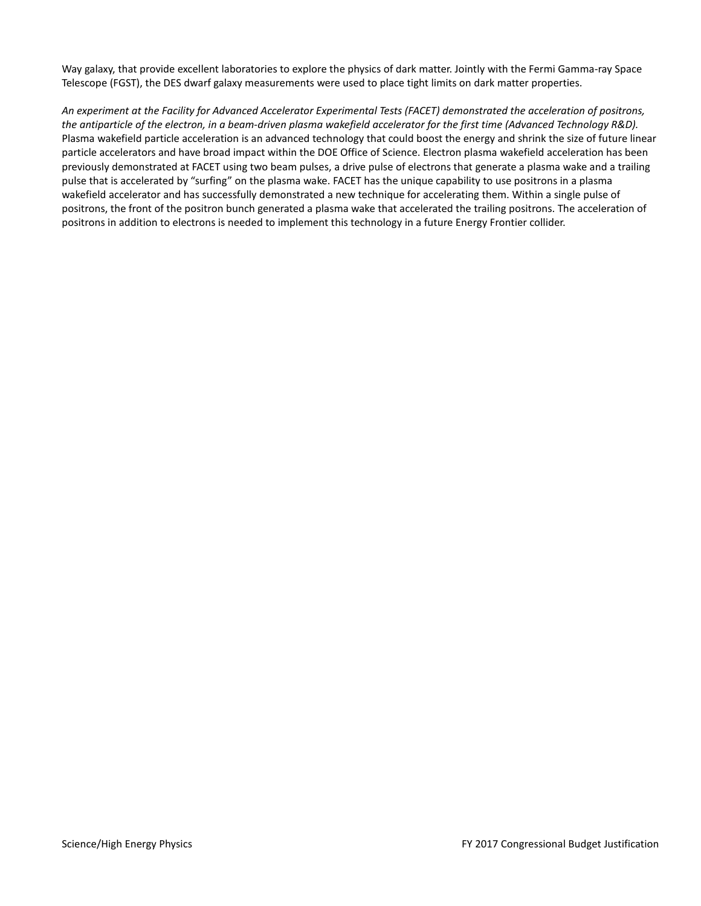Way galaxy, that provide excellent laboratories to explore the physics of dark matter. Jointly with the Fermi Gamma-ray Space Telescope (FGST), the DES dwarf galaxy measurements were used to place tight limits on dark matter properties.

*An experiment at the Facility for Advanced Accelerator Experimental Tests (FACET) demonstrated the acceleration of positrons, the antiparticle of the electron, in a beam-driven plasma wakefield accelerator for the first time (Advanced Technology R&D).* Plasma wakefield particle acceleration is an advanced technology that could boost the energy and shrink the size of future linear particle accelerators and have broad impact within the DOE Office of Science. Electron plasma wakefield acceleration has been previously demonstrated at FACET using two beam pulses, a drive pulse of electrons that generate a plasma wake and a trailing pulse that is accelerated by "surfing" on the plasma wake. FACET has the unique capability to use positrons in a plasma wakefield accelerator and has successfully demonstrated a new technique for accelerating them. Within a single pulse of positrons, the front of the positron bunch generated a plasma wake that accelerated the trailing positrons. The acceleration of positrons in addition to electrons is needed to implement this technology in a future Energy Frontier collider.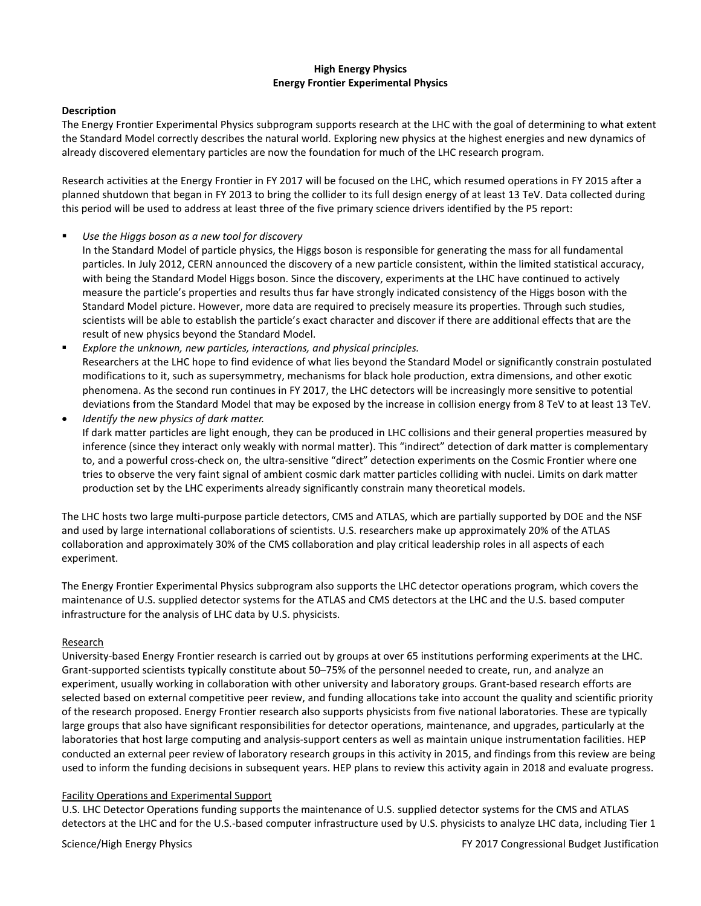#### **High Energy Physics Energy Frontier Experimental Physics**

#### **Description**

The Energy Frontier Experimental Physics subprogram supports research at the LHC with the goal of determining to what extent the Standard Model correctly describes the natural world. Exploring new physics at the highest energies and new dynamics of already discovered elementary particles are now the foundation for much of the LHC research program.

Research activities at the Energy Frontier in FY 2017 will be focused on the LHC, which resumed operations in FY 2015 after a planned shutdown that began in FY 2013 to bring the collider to its full design energy of at least 13 TeV. Data collected during this period will be used to address at least three of the five primary science drivers identified by the P5 report:

#### *Use the Higgs boson as a new tool for discovery*

- In the Standard Model of particle physics, the Higgs boson is responsible for generating the mass for all fundamental particles. In July 2012, CERN announced the discovery of a new particle consistent, within the limited statistical accuracy, with being the Standard Model Higgs boson. Since the discovery, experiments at the LHC have continued to actively measure the particle's properties and results thus far have strongly indicated consistency of the Higgs boson with the Standard Model picture. However, more data are required to precisely measure its properties. Through such studies, scientists will be able to establish the particle's exact character and discover if there are additional effects that are the result of new physics beyond the Standard Model.
- *Explore the unknown, new particles, interactions, and physical principles.* Researchers at the LHC hope to find evidence of what lies beyond the Standard Model or significantly constrain postulated modifications to it, such as supersymmetry, mechanisms for black hole production, extra dimensions, and other exotic phenomena. As the second run continues in FY 2017, the LHC detectors will be increasingly more sensitive to potential deviations from the Standard Model that may be exposed by the increase in collision energy from 8 TeV to at least 13 TeV.
- *Identify the new physics of dark matter.* If dark matter particles are light enough, they can be produced in LHC collisions and their general properties measured by inference (since they interact only weakly with normal matter). This "indirect" detection of dark matter is complementary to, and a powerful cross-check on, the ultra-sensitive "direct" detection experiments on the Cosmic Frontier where one tries to observe the very faint signal of ambient cosmic dark matter particles colliding with nuclei. Limits on dark matter production set by the LHC experiments already significantly constrain many theoretical models.

The LHC hosts two large multi-purpose particle detectors, CMS and ATLAS, which are partially supported by DOE and the NSF and used by large international collaborations of scientists. U.S. researchers make up approximately 20% of the ATLAS collaboration and approximately 30% of the CMS collaboration and play critical leadership roles in all aspects of each experiment.

The Energy Frontier Experimental Physics subprogram also supports the LHC detector operations program, which covers the maintenance of U.S. supplied detector systems for the ATLAS and CMS detectors at the LHC and the U.S. based computer infrastructure for the analysis of LHC data by U.S. physicists.

#### Research

University-based Energy Frontier research is carried out by groups at over 65 institutions performing experiments at the LHC. Grant-supported scientists typically constitute about 50–75% of the personnel needed to create, run, and analyze an experiment, usually working in collaboration with other university and laboratory groups. Grant-based research efforts are selected based on external competitive peer review, and funding allocations take into account the quality and scientific priority of the research proposed. Energy Frontier research also supports physicists from five national laboratories. These are typically large groups that also have significant responsibilities for detector operations, maintenance, and upgrades, particularly at the laboratories that host large computing and analysis-support centers as well as maintain unique instrumentation facilities. HEP conducted an external peer review of laboratory research groups in this activity in 2015, and findings from this review are being used to inform the funding decisions in subsequent years. HEP plans to review this activity again in 2018 and evaluate progress.

### Facility Operations and Experimental Support

U.S. LHC Detector Operations funding supports the maintenance of U.S. supplied detector systems for the CMS and ATLAS detectors at the LHC and for the U.S.-based computer infrastructure used by U.S. physicists to analyze LHC data, including Tier 1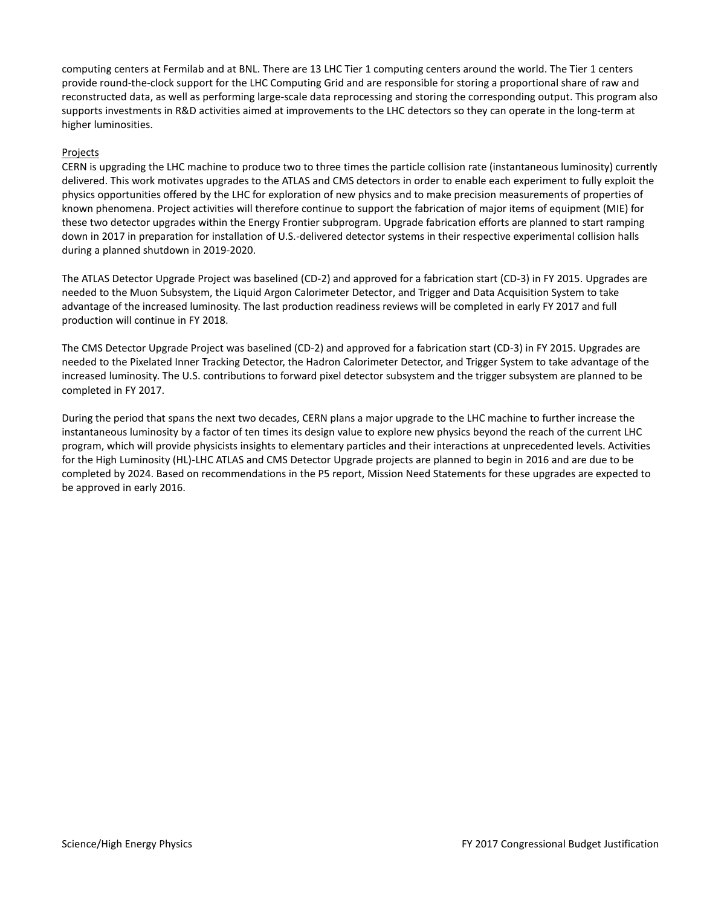computing centers at Fermilab and at BNL. There are 13 LHC Tier 1 computing centers around the world. The Tier 1 centers provide round-the-clock support for the LHC Computing Grid and are responsible for storing a proportional share of raw and reconstructed data, as well as performing large-scale data reprocessing and storing the corresponding output. This program also supports investments in R&D activities aimed at improvements to the LHC detectors so they can operate in the long-term at higher luminosities.

#### Projects

CERN is upgrading the LHC machine to produce two to three times the particle collision rate (instantaneous luminosity) currently delivered. This work motivates upgrades to the ATLAS and CMS detectors in order to enable each experiment to fully exploit the physics opportunities offered by the LHC for exploration of new physics and to make precision measurements of properties of known phenomena. Project activities will therefore continue to support the fabrication of major items of equipment (MIE) for these two detector upgrades within the Energy Frontier subprogram. Upgrade fabrication efforts are planned to start ramping down in 2017 in preparation for installation of U.S.-delivered detector systems in their respective experimental collision halls during a planned shutdown in 2019-2020.

The ATLAS Detector Upgrade Project was baselined (CD-2) and approved for a fabrication start (CD-3) in FY 2015. Upgrades are needed to the Muon Subsystem, the Liquid Argon Calorimeter Detector, and Trigger and Data Acquisition System to take advantage of the increased luminosity. The last production readiness reviews will be completed in early FY 2017 and full production will continue in FY 2018.

The CMS Detector Upgrade Project was baselined (CD-2) and approved for a fabrication start (CD-3) in FY 2015. Upgrades are needed to the Pixelated Inner Tracking Detector, the Hadron Calorimeter Detector, and Trigger System to take advantage of the increased luminosity. The U.S. contributions to forward pixel detector subsystem and the trigger subsystem are planned to be completed in FY 2017.

During the period that spans the next two decades, CERN plans a major upgrade to the LHC machine to further increase the instantaneous luminosity by a factor of ten times its design value to explore new physics beyond the reach of the current LHC program, which will provide physicists insights to elementary particles and their interactions at unprecedented levels. Activities for the High Luminosity (HL)-LHC ATLAS and CMS Detector Upgrade projects are planned to begin in 2016 and are due to be completed by 2024. Based on recommendations in the P5 report, Mission Need Statements for these upgrades are expected to be approved in early 2016.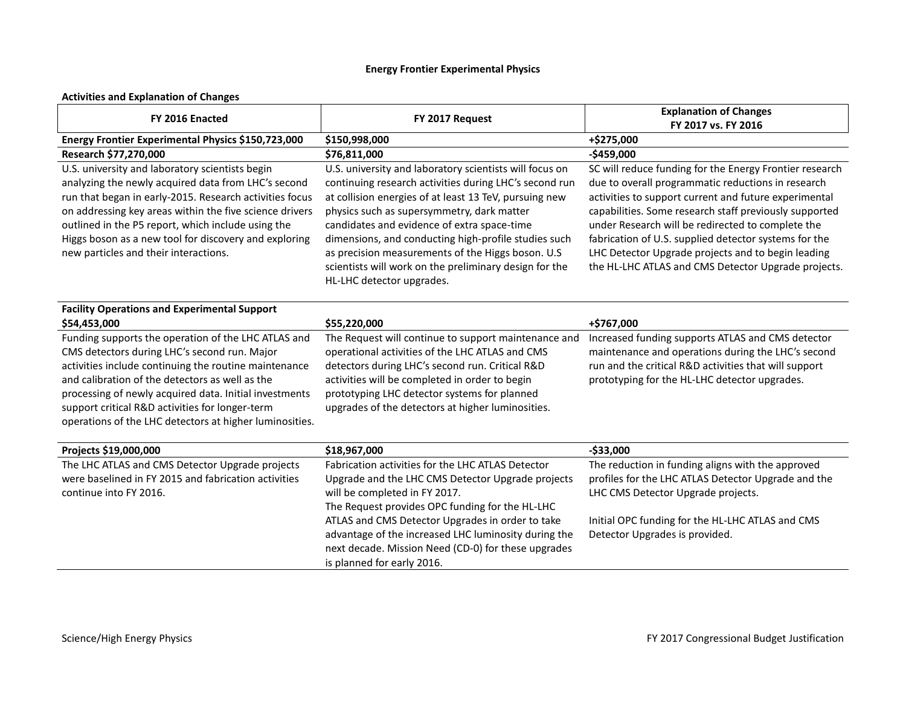# **Energy Frontier Experimental Physics**

# **Activities and Explanation of Changes**

| FY 2016 Enacted                                                                                                                                                                                                                                                                                                                                                                         | FY 2017 Request                                                                                                                                                                                                                                                                                                                                                                                                                                                              | <b>Explanation of Changes</b><br>FY 2017 vs. FY 2016                                                                                                                                                                                                                                                                                                                                                                                                        |
|-----------------------------------------------------------------------------------------------------------------------------------------------------------------------------------------------------------------------------------------------------------------------------------------------------------------------------------------------------------------------------------------|------------------------------------------------------------------------------------------------------------------------------------------------------------------------------------------------------------------------------------------------------------------------------------------------------------------------------------------------------------------------------------------------------------------------------------------------------------------------------|-------------------------------------------------------------------------------------------------------------------------------------------------------------------------------------------------------------------------------------------------------------------------------------------------------------------------------------------------------------------------------------------------------------------------------------------------------------|
| Energy Frontier Experimental Physics \$150,723,000                                                                                                                                                                                                                                                                                                                                      | \$150,998,000                                                                                                                                                                                                                                                                                                                                                                                                                                                                | +\$275,000                                                                                                                                                                                                                                                                                                                                                                                                                                                  |
| Research \$77,270,000                                                                                                                                                                                                                                                                                                                                                                   | \$76,811,000                                                                                                                                                                                                                                                                                                                                                                                                                                                                 | $-$459,000$                                                                                                                                                                                                                                                                                                                                                                                                                                                 |
| U.S. university and laboratory scientists begin<br>analyzing the newly acquired data from LHC's second<br>run that began in early-2015. Research activities focus<br>on addressing key areas within the five science drivers<br>outlined in the P5 report, which include using the<br>Higgs boson as a new tool for discovery and exploring<br>new particles and their interactions.    | U.S. university and laboratory scientists will focus on<br>continuing research activities during LHC's second run<br>at collision energies of at least 13 TeV, pursuing new<br>physics such as supersymmetry, dark matter<br>candidates and evidence of extra space-time<br>dimensions, and conducting high-profile studies such<br>as precision measurements of the Higgs boson. U.S<br>scientists will work on the preliminary design for the<br>HL-LHC detector upgrades. | SC will reduce funding for the Energy Frontier research<br>due to overall programmatic reductions in research<br>activities to support current and future experimental<br>capabilities. Some research staff previously supported<br>under Research will be redirected to complete the<br>fabrication of U.S. supplied detector systems for the<br>LHC Detector Upgrade projects and to begin leading<br>the HL-LHC ATLAS and CMS Detector Upgrade projects. |
| <b>Facility Operations and Experimental Support</b><br>\$54,453,000                                                                                                                                                                                                                                                                                                                     | \$55,220,000                                                                                                                                                                                                                                                                                                                                                                                                                                                                 | +\$767,000                                                                                                                                                                                                                                                                                                                                                                                                                                                  |
| Funding supports the operation of the LHC ATLAS and<br>CMS detectors during LHC's second run. Major<br>activities include continuing the routine maintenance<br>and calibration of the detectors as well as the<br>processing of newly acquired data. Initial investments<br>support critical R&D activities for longer-term<br>operations of the LHC detectors at higher luminosities. | The Request will continue to support maintenance and<br>operational activities of the LHC ATLAS and CMS<br>detectors during LHC's second run. Critical R&D<br>activities will be completed in order to begin<br>prototyping LHC detector systems for planned<br>upgrades of the detectors at higher luminosities.                                                                                                                                                            | Increased funding supports ATLAS and CMS detector<br>maintenance and operations during the LHC's second<br>run and the critical R&D activities that will support<br>prototyping for the HL-LHC detector upgrades.                                                                                                                                                                                                                                           |
| Projects \$19,000,000                                                                                                                                                                                                                                                                                                                                                                   | \$18,967,000                                                                                                                                                                                                                                                                                                                                                                                                                                                                 | $-$33,000$                                                                                                                                                                                                                                                                                                                                                                                                                                                  |
| The LHC ATLAS and CMS Detector Upgrade projects<br>were baselined in FY 2015 and fabrication activities<br>continue into FY 2016.                                                                                                                                                                                                                                                       | Fabrication activities for the LHC ATLAS Detector<br>Upgrade and the LHC CMS Detector Upgrade projects<br>will be completed in FY 2017.<br>The Request provides OPC funding for the HL-LHC<br>ATLAS and CMS Detector Upgrades in order to take<br>advantage of the increased LHC luminosity during the<br>next decade. Mission Need (CD-0) for these upgrades<br>is planned for early 2016.                                                                                  | The reduction in funding aligns with the approved<br>profiles for the LHC ATLAS Detector Upgrade and the<br>LHC CMS Detector Upgrade projects.<br>Initial OPC funding for the HL-LHC ATLAS and CMS<br>Detector Upgrades is provided.                                                                                                                                                                                                                        |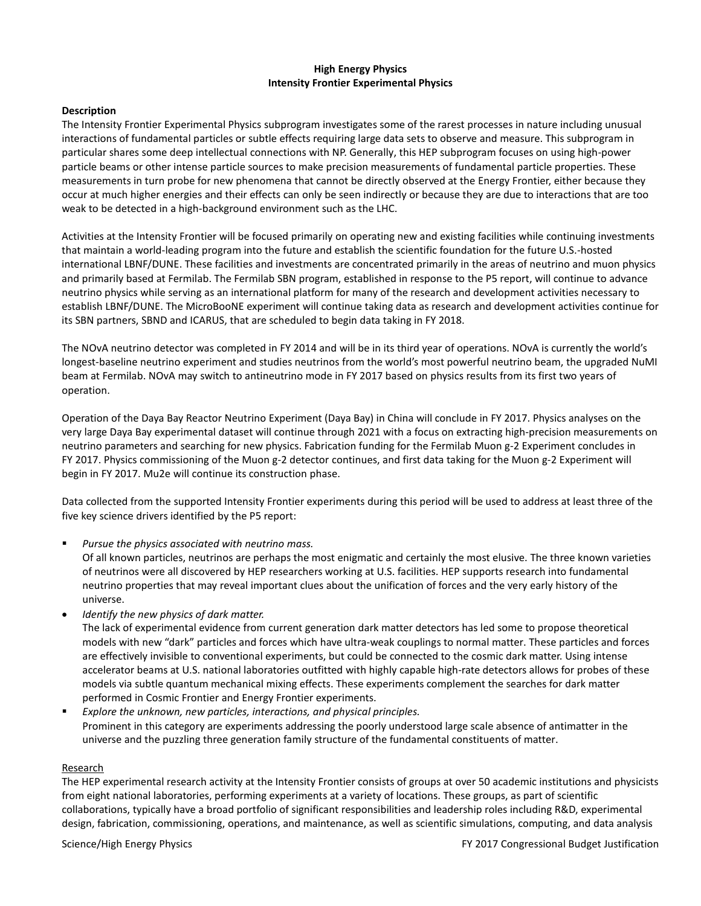### **High Energy Physics Intensity Frontier Experimental Physics**

#### **Description**

The Intensity Frontier Experimental Physics subprogram investigates some of the rarest processes in nature including unusual interactions of fundamental particles or subtle effects requiring large data sets to observe and measure. This subprogram in particular shares some deep intellectual connections with NP. Generally, this HEP subprogram focuses on using high-power particle beams or other intense particle sources to make precision measurements of fundamental particle properties. These measurements in turn probe for new phenomena that cannot be directly observed at the Energy Frontier, either because they occur at much higher energies and their effects can only be seen indirectly or because they are due to interactions that are too weak to be detected in a high-background environment such as the LHC.

Activities at the Intensity Frontier will be focused primarily on operating new and existing facilities while continuing investments that maintain a world-leading program into the future and establish the scientific foundation for the future U.S.-hosted international LBNF/DUNE. These facilities and investments are concentrated primarily in the areas of neutrino and muon physics and primarily based at Fermilab. The Fermilab SBN program, established in response to the P5 report, will continue to advance neutrino physics while serving as an international platform for many of the research and development activities necessary to establish LBNF/DUNE. The MicroBooNE experiment will continue taking data as research and development activities continue for its SBN partners, SBND and ICARUS, that are scheduled to begin data taking in FY 2018.

The NOvA neutrino detector was completed in FY 2014 and will be in its third year of operations. NOvA is currently the world's longest-baseline neutrino experiment and studies neutrinos from the world's most powerful neutrino beam, the upgraded NuMI beam at Fermilab. NOvA may switch to antineutrino mode in FY 2017 based on physics results from its first two years of operation.

Operation of the Daya Bay Reactor Neutrino Experiment (Daya Bay) in China will conclude in FY 2017. Physics analyses on the very large Daya Bay experimental dataset will continue through 2021 with a focus on extracting high-precision measurements on neutrino parameters and searching for new physics. Fabrication funding for the Fermilab Muon g-2 Experiment concludes in FY 2017. Physics commissioning of the Muon g-2 detector continues, and first data taking for the Muon g-2 Experiment will begin in FY 2017. Mu2e will continue its construction phase.

Data collected from the supported Intensity Frontier experiments during this period will be used to address at least three of the five key science drivers identified by the P5 report:

*Pursue the physics associated with neutrino mass.*

Of all known particles, neutrinos are perhaps the most enigmatic and certainly the most elusive. The three known varieties of neutrinos were all discovered by HEP researchers working at U.S. facilities. HEP supports research into fundamental neutrino properties that may reveal important clues about the unification of forces and the very early history of the universe.

• *Identify the new physics of dark matter.*

The lack of experimental evidence from current generation dark matter detectors has led some to propose theoretical models with new "dark" particles and forces which have ultra-weak couplings to normal matter. These particles and forces are effectively invisible to conventional experiments, but could be connected to the cosmic dark matter. Using intense accelerator beams at U.S. national laboratories outfitted with highly capable high-rate detectors allows for probes of these models via subtle quantum mechanical mixing effects. These experiments complement the searches for dark matter performed in Cosmic Frontier and Energy Frontier experiments.

 *Explore the unknown, new particles, interactions, and physical principles.* Prominent in this category are experiments addressing the poorly understood large scale absence of antimatter in the universe and the puzzling three generation family structure of the fundamental constituents of matter.

### Research

The HEP experimental research activity at the Intensity Frontier consists of groups at over 50 academic institutions and physicists from eight national laboratories, performing experiments at a variety of locations. These groups, as part of scientific collaborations, typically have a broad portfolio of significant responsibilities and leadership roles including R&D, experimental design, fabrication, commissioning, operations, and maintenance, as well as scientific simulations, computing, and data analysis

Science/High Energy Physics **FY 2017** Congressional Budget Justification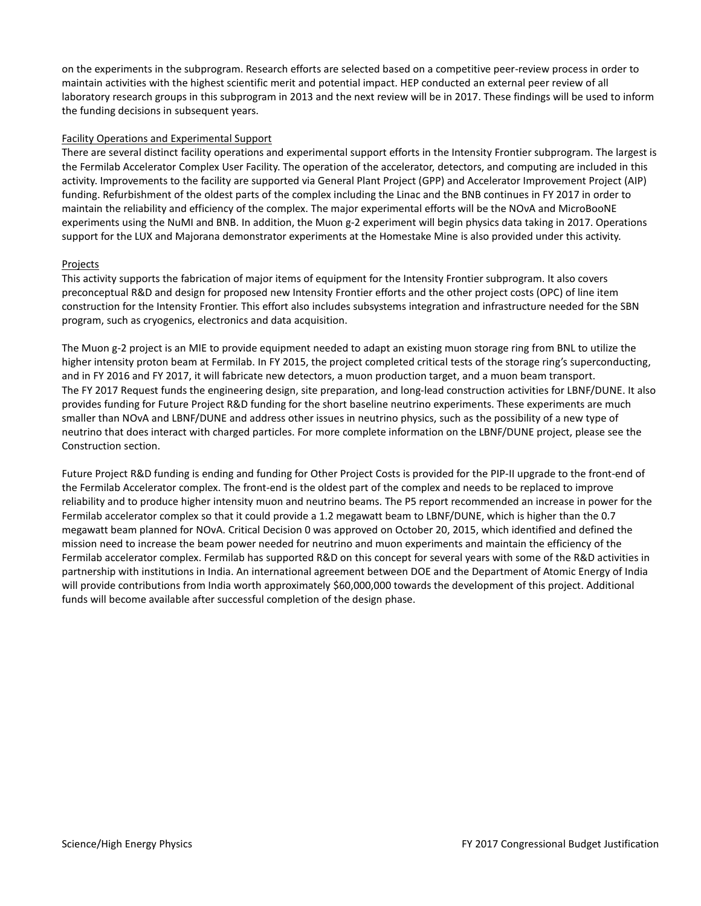on the experiments in the subprogram. Research efforts are selected based on a competitive peer-review process in order to maintain activities with the highest scientific merit and potential impact. HEP conducted an external peer review of all laboratory research groups in this subprogram in 2013 and the next review will be in 2017. These findings will be used to inform the funding decisions in subsequent years.

#### Facility Operations and Experimental Support

There are several distinct facility operations and experimental support efforts in the Intensity Frontier subprogram. The largest is the Fermilab Accelerator Complex User Facility. The operation of the accelerator, detectors, and computing are included in this activity. Improvements to the facility are supported via General Plant Project (GPP) and Accelerator Improvement Project (AIP) funding. Refurbishment of the oldest parts of the complex including the Linac and the BNB continues in FY 2017 in order to maintain the reliability and efficiency of the complex. The major experimental efforts will be the NOνA and MicroBooNE experiments using the NuMI and BNB. In addition, the Muon g-2 experiment will begin physics data taking in 2017. Operations support for the LUX and Majorana demonstrator experiments at the Homestake Mine is also provided under this activity.

#### Projects

This activity supports the fabrication of major items of equipment for the Intensity Frontier subprogram. It also covers preconceptual R&D and design for proposed new Intensity Frontier efforts and the other project costs (OPC) of line item construction for the Intensity Frontier. This effort also includes subsystems integration and infrastructure needed for the SBN program, such as cryogenics, electronics and data acquisition.

The Muon g-2 project is an MIE to provide equipment needed to adapt an existing muon storage ring from BNL to utilize the higher intensity proton beam at Fermilab. In FY 2015, the project completed critical tests of the storage ring's superconducting, and in FY 2016 and FY 2017, it will fabricate new detectors, a muon production target, and a muon beam transport. The FY 2017 Request funds the engineering design, site preparation, and long-lead construction activities for LBNF/DUNE. It also provides funding for Future Project R&D funding for the short baseline neutrino experiments. These experiments are much smaller than NOvA and LBNF/DUNE and address other issues in neutrino physics, such as the possibility of a new type of neutrino that does interact with charged particles. For more complete information on the LBNF/DUNE project, please see the Construction section.

Future Project R&D funding is ending and funding for Other Project Costs is provided for the PIP-II upgrade to the front-end of the Fermilab Accelerator complex. The front-end is the oldest part of the complex and needs to be replaced to improve reliability and to produce higher intensity muon and neutrino beams. The P5 report recommended an increase in power for the Fermilab accelerator complex so that it could provide a 1.2 megawatt beam to LBNF/DUNE, which is higher than the 0.7 megawatt beam planned for NOvA. Critical Decision 0 was approved on October 20, 2015, which identified and defined the mission need to increase the beam power needed for neutrino and muon experiments and maintain the efficiency of the Fermilab accelerator complex. Fermilab has supported R&D on this concept for several years with some of the R&D activities in partnership with institutions in India. An international agreement between DOE and the Department of Atomic Energy of India will provide contributions from India worth approximately \$60,000,000 towards the development of this project. Additional funds will become available after successful completion of the design phase.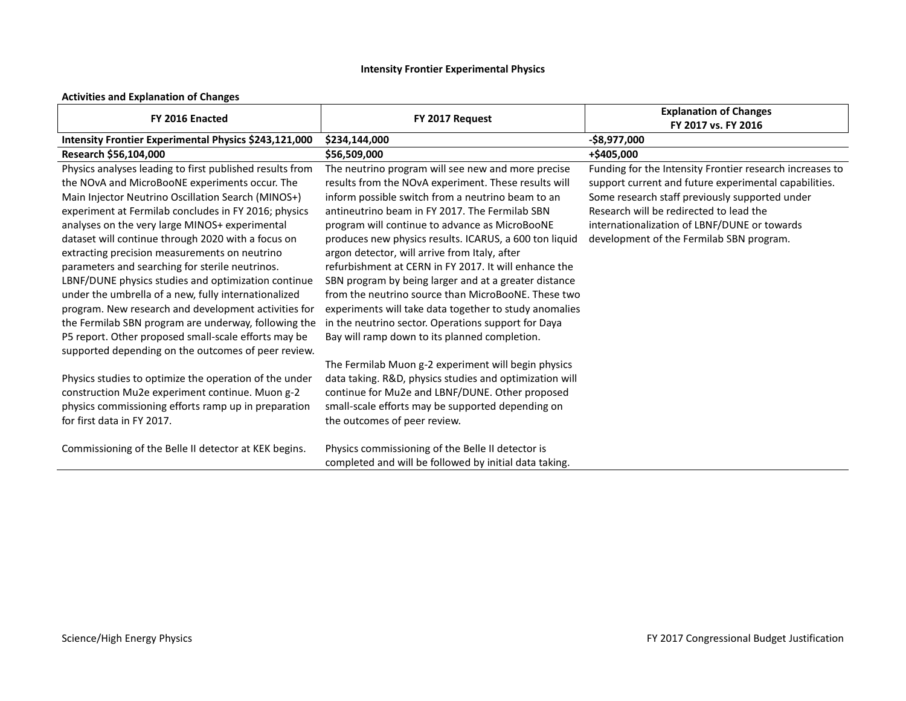# **Intensity Frontier Experimental Physics**

#### **Activities and Explanation of Changes**

| FY 2016 Enacted                                                                                                                                                                                                                                                                                                                                                                                                                                                                                                                                                                                                                                                                                                             | FY 2017 Request                                                                                                                                                                                                                                                                                                                                                                                                                                                                                                                                                                                                                                                                                                           | <b>Explanation of Changes</b><br>FY 2017 vs. FY 2016                                                                                                                                                                                                                                                       |
|-----------------------------------------------------------------------------------------------------------------------------------------------------------------------------------------------------------------------------------------------------------------------------------------------------------------------------------------------------------------------------------------------------------------------------------------------------------------------------------------------------------------------------------------------------------------------------------------------------------------------------------------------------------------------------------------------------------------------------|---------------------------------------------------------------------------------------------------------------------------------------------------------------------------------------------------------------------------------------------------------------------------------------------------------------------------------------------------------------------------------------------------------------------------------------------------------------------------------------------------------------------------------------------------------------------------------------------------------------------------------------------------------------------------------------------------------------------------|------------------------------------------------------------------------------------------------------------------------------------------------------------------------------------------------------------------------------------------------------------------------------------------------------------|
| Intensity Frontier Experimental Physics \$243,121,000                                                                                                                                                                                                                                                                                                                                                                                                                                                                                                                                                                                                                                                                       | \$234,144,000                                                                                                                                                                                                                                                                                                                                                                                                                                                                                                                                                                                                                                                                                                             | -\$8,977,000                                                                                                                                                                                                                                                                                               |
| Research \$56,104,000                                                                                                                                                                                                                                                                                                                                                                                                                                                                                                                                                                                                                                                                                                       | \$56,509,000                                                                                                                                                                                                                                                                                                                                                                                                                                                                                                                                                                                                                                                                                                              | +\$405,000                                                                                                                                                                                                                                                                                                 |
| Physics analyses leading to first published results from<br>the NOvA and MicroBooNE experiments occur. The<br>Main Injector Neutrino Oscillation Search (MINOS+)<br>experiment at Fermilab concludes in FY 2016; physics<br>analyses on the very large MINOS+ experimental<br>dataset will continue through 2020 with a focus on<br>extracting precision measurements on neutrino<br>parameters and searching for sterile neutrinos.<br>LBNF/DUNE physics studies and optimization continue<br>under the umbrella of a new, fully internationalized<br>program. New research and development activities for<br>the Fermilab SBN program are underway, following the<br>P5 report. Other proposed small-scale efforts may be | The neutrino program will see new and more precise<br>results from the NOvA experiment. These results will<br>inform possible switch from a neutrino beam to an<br>antineutrino beam in FY 2017. The Fermilab SBN<br>program will continue to advance as MicroBooNE<br>produces new physics results. ICARUS, a 600 ton liquid<br>argon detector, will arrive from Italy, after<br>refurbishment at CERN in FY 2017. It will enhance the<br>SBN program by being larger and at a greater distance<br>from the neutrino source than MicroBooNE. These two<br>experiments will take data together to study anomalies<br>in the neutrino sector. Operations support for Daya<br>Bay will ramp down to its planned completion. | Funding for the Intensity Frontier research increases to<br>support current and future experimental capabilities.<br>Some research staff previously supported under<br>Research will be redirected to lead the<br>internationalization of LBNF/DUNE or towards<br>development of the Fermilab SBN program. |
| supported depending on the outcomes of peer review.<br>Physics studies to optimize the operation of the under<br>construction Mu2e experiment continue. Muon g-2<br>physics commissioning efforts ramp up in preparation<br>for first data in FY 2017.<br>Commissioning of the Belle II detector at KEK begins.                                                                                                                                                                                                                                                                                                                                                                                                             | The Fermilab Muon g-2 experiment will begin physics<br>data taking. R&D, physics studies and optimization will<br>continue for Mu2e and LBNF/DUNE. Other proposed<br>small-scale efforts may be supported depending on<br>the outcomes of peer review.<br>Physics commissioning of the Belle II detector is<br>completed and will be followed by initial data taking.                                                                                                                                                                                                                                                                                                                                                     |                                                                                                                                                                                                                                                                                                            |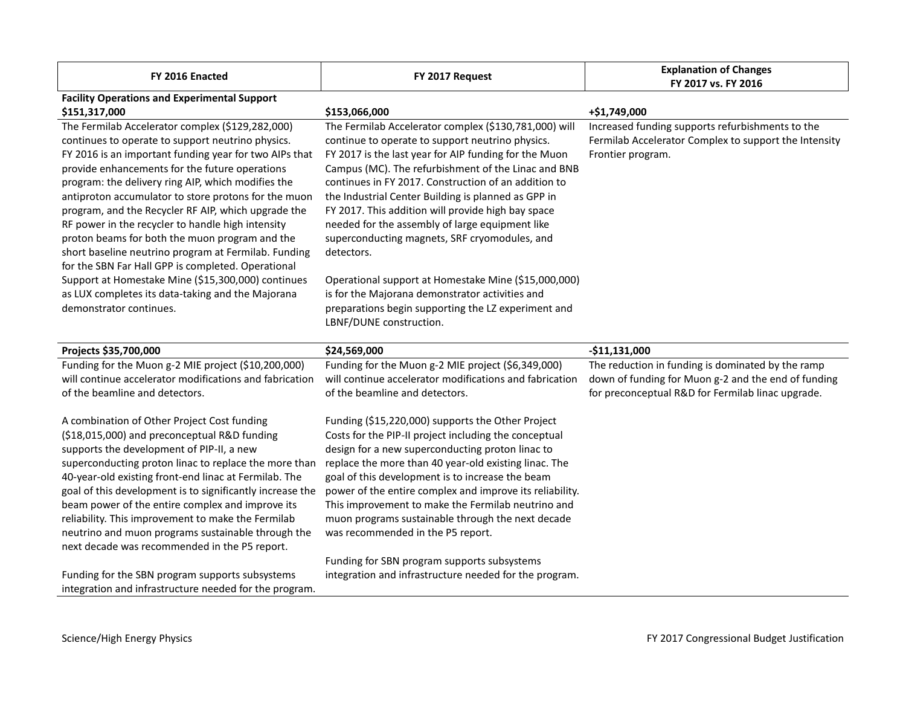| FY 2016 Enacted                                           | FY 2017 Request                                          | <b>Explanation of Changes</b><br>FY 2017 vs. FY 2016  |
|-----------------------------------------------------------|----------------------------------------------------------|-------------------------------------------------------|
| <b>Facility Operations and Experimental Support</b>       |                                                          |                                                       |
| \$151,317,000                                             | \$153,066,000                                            | +\$1,749,000                                          |
| The Fermilab Accelerator complex (\$129,282,000)          | The Fermilab Accelerator complex (\$130,781,000) will    | Increased funding supports refurbishments to the      |
| continues to operate to support neutrino physics.         | continue to operate to support neutrino physics.         | Fermilab Accelerator Complex to support the Intensity |
| FY 2016 is an important funding year for two AIPs that    | FY 2017 is the last year for AIP funding for the Muon    | Frontier program.                                     |
| provide enhancements for the future operations            | Campus (MC). The refurbishment of the Linac and BNB      |                                                       |
| program: the delivery ring AIP, which modifies the        | continues in FY 2017. Construction of an addition to     |                                                       |
| antiproton accumulator to store protons for the muon      | the Industrial Center Building is planned as GPP in      |                                                       |
| program, and the Recycler RF AIP, which upgrade the       | FY 2017. This addition will provide high bay space       |                                                       |
| RF power in the recycler to handle high intensity         | needed for the assembly of large equipment like          |                                                       |
| proton beams for both the muon program and the            | superconducting magnets, SRF cryomodules, and            |                                                       |
| short baseline neutrino program at Fermilab. Funding      | detectors.                                               |                                                       |
| for the SBN Far Hall GPP is completed. Operational        |                                                          |                                                       |
| Support at Homestake Mine (\$15,300,000) continues        | Operational support at Homestake Mine (\$15,000,000)     |                                                       |
| as LUX completes its data-taking and the Majorana         | is for the Majorana demonstrator activities and          |                                                       |
| demonstrator continues.                                   | preparations begin supporting the LZ experiment and      |                                                       |
|                                                           | LBNF/DUNE construction.                                  |                                                       |
| Projects \$35,700,000                                     | \$24,569,000                                             | $-$11,131,000$                                        |
| Funding for the Muon g-2 MIE project (\$10,200,000)       | Funding for the Muon g-2 MIE project (\$6,349,000)       | The reduction in funding is dominated by the ramp     |
| will continue accelerator modifications and fabrication   | will continue accelerator modifications and fabrication  | down of funding for Muon g-2 and the end of funding   |
| of the beamline and detectors.                            | of the beamline and detectors.                           | for preconceptual R&D for Fermilab linac upgrade.     |
|                                                           |                                                          |                                                       |
| A combination of Other Project Cost funding               | Funding (\$15,220,000) supports the Other Project        |                                                       |
| (\$18,015,000) and preconceptual R&D funding              | Costs for the PIP-II project including the conceptual    |                                                       |
| supports the development of PIP-II, a new                 | design for a new superconducting proton linac to         |                                                       |
| superconducting proton linac to replace the more than     | replace the more than 40 year-old existing linac. The    |                                                       |
| 40-year-old existing front-end linac at Fermilab. The     | goal of this development is to increase the beam         |                                                       |
| goal of this development is to significantly increase the | power of the entire complex and improve its reliability. |                                                       |
| beam power of the entire complex and improve its          | This improvement to make the Fermilab neutrino and       |                                                       |
| reliability. This improvement to make the Fermilab        | muon programs sustainable through the next decade        |                                                       |
| neutrino and muon programs sustainable through the        | was recommended in the P5 report.                        |                                                       |
| next decade was recommended in the P5 report.             |                                                          |                                                       |
|                                                           | Funding for SBN program supports subsystems              |                                                       |
| Funding for the SBN program supports subsystems           | integration and infrastructure needed for the program.   |                                                       |
| integration and infrastructure needed for the program.    |                                                          |                                                       |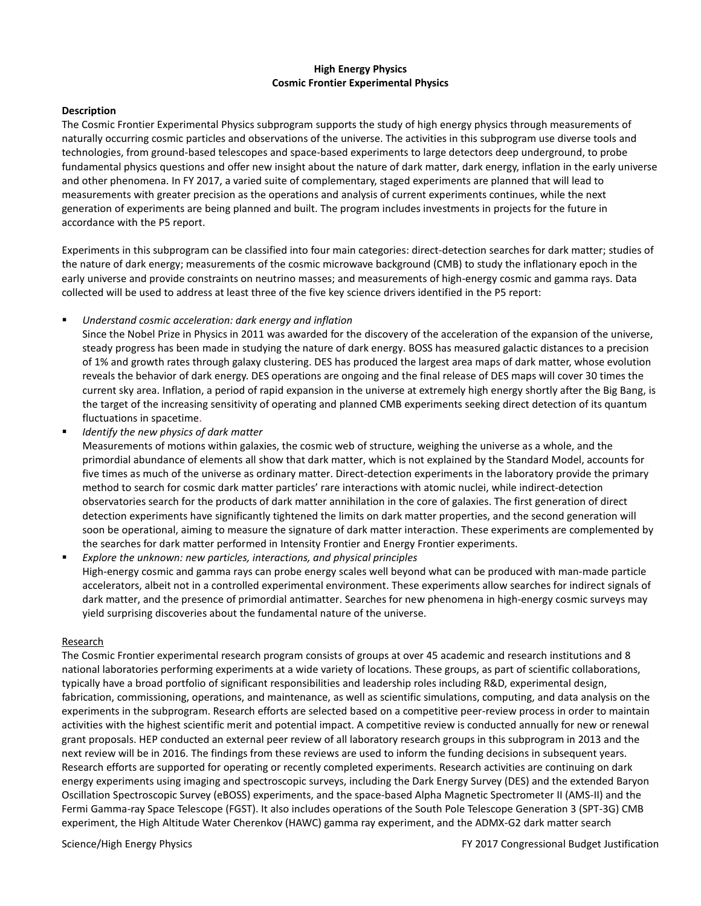#### **High Energy Physics Cosmic Frontier Experimental Physics**

#### **Description**

The Cosmic Frontier Experimental Physics subprogram supports the study of high energy physics through measurements of naturally occurring cosmic particles and observations of the universe. The activities in this subprogram use diverse tools and technologies, from ground-based telescopes and space-based experiments to large detectors deep underground, to probe fundamental physics questions and offer new insight about the nature of dark matter, dark energy, inflation in the early universe and other phenomena. In FY 2017, a varied suite of complementary, staged experiments are planned that will lead to measurements with greater precision as the operations and analysis of current experiments continues, while the next generation of experiments are being planned and built. The program includes investments in projects for the future in accordance with the P5 report.

Experiments in this subprogram can be classified into four main categories: direct-detection searches for dark matter; studies of the nature of dark energy; measurements of the cosmic microwave background (CMB) to study the inflationary epoch in the early universe and provide constraints on neutrino masses; and measurements of high-energy cosmic and gamma rays. Data collected will be used to address at least three of the five key science drivers identified in the P5 report:

*Understand cosmic acceleration: dark energy and inflation*

Since the Nobel Prize in Physics in 2011 was awarded for the discovery of the acceleration of the expansion of the universe, steady progress has been made in studying the nature of dark energy. BOSS has measured galactic distances to a precision of 1% and growth rates through galaxy clustering. DES has produced the largest area maps of dark matter, whose evolution reveals the behavior of dark energy. DES operations are ongoing and the final release of DES maps will cover 30 times the current sky area. Inflation, a period of rapid expansion in the universe at extremely high energy shortly after the Big Bang, is the target of the increasing sensitivity of operating and planned CMB experiments seeking direct detection of its quantum fluctuations in spacetime.

*Identify the new physics of dark matter*

Measurements of motions within galaxies, the cosmic web of structure, weighing the universe as a whole, and the primordial abundance of elements all show that dark matter, which is not explained by the Standard Model, accounts for five times as much of the universe as ordinary matter. Direct-detection experiments in the laboratory provide the primary method to search for cosmic dark matter particles' rare interactions with atomic nuclei, while indirect-detection observatories search for the products of dark matter annihilation in the core of galaxies. The first generation of direct detection experiments have significantly tightened the limits on dark matter properties, and the second generation will soon be operational, aiming to measure the signature of dark matter interaction. These experiments are complemented by the searches for dark matter performed in Intensity Frontier and Energy Frontier experiments.

 *Explore the unknown: new particles, interactions, and physical principles* High-energy cosmic and gamma rays can probe energy scales well beyond what can be produced with man-made particle accelerators, albeit not in a controlled experimental environment. These experiments allow searches for indirect signals of dark matter, and the presence of primordial antimatter. Searches for new phenomena in high-energy cosmic surveys may yield surprising discoveries about the fundamental nature of the universe.

#### **Research**

The Cosmic Frontier experimental research program consists of groups at over 45 academic and research institutions and 8 national laboratories performing experiments at a wide variety of locations. These groups, as part of scientific collaborations, typically have a broad portfolio of significant responsibilities and leadership roles including R&D, experimental design, fabrication, commissioning, operations, and maintenance, as well as scientific simulations, computing, and data analysis on the experiments in the subprogram. Research efforts are selected based on a competitive peer-review process in order to maintain activities with the highest scientific merit and potential impact. A competitive review is conducted annually for new or renewal grant proposals. HEP conducted an external peer review of all laboratory research groups in this subprogram in 2013 and the next review will be in 2016. The findings from these reviews are used to inform the funding decisions in subsequent years. Research efforts are supported for operating or recently completed experiments. Research activities are continuing on dark energy experiments using imaging and spectroscopic surveys, including the Dark Energy Survey (DES) and the extended Baryon Oscillation Spectroscopic Survey (eBOSS) experiments, and the space-based Alpha Magnetic Spectrometer II (AMS-II) and the Fermi Gamma-ray Space Telescope (FGST). It also includes operations of the South Pole Telescope Generation 3 (SPT-3G) CMB experiment, the High Altitude Water Cherenkov (HAWC) gamma ray experiment, and the ADMX-G2 dark matter search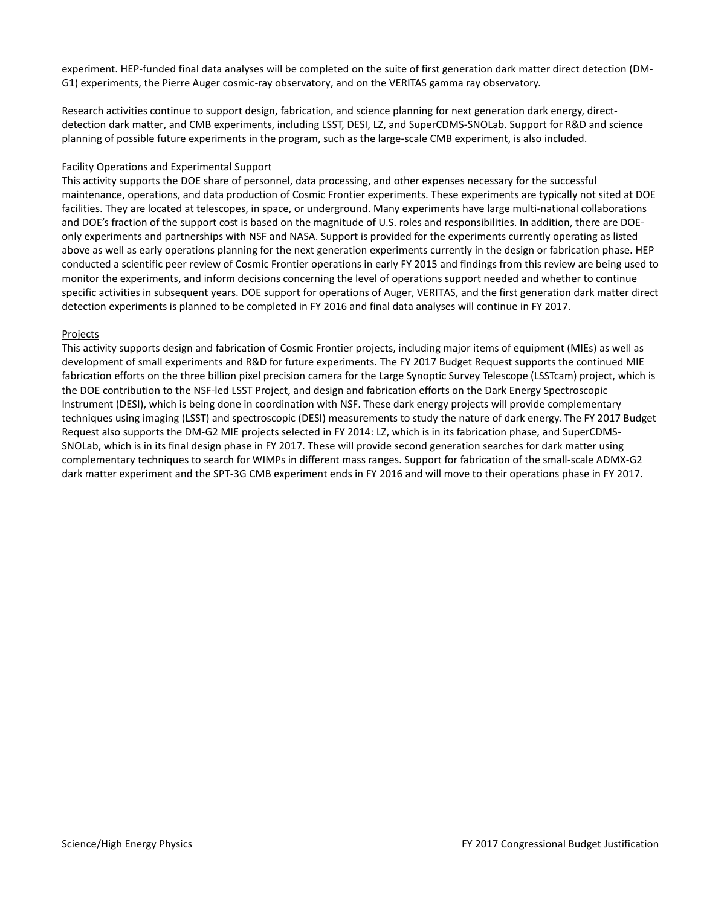experiment. HEP-funded final data analyses will be completed on the suite of first generation dark matter direct detection (DM-G1) experiments, the Pierre Auger cosmic-ray observatory, and on the VERITAS gamma ray observatory.

Research activities continue to support design, fabrication, and science planning for next generation dark energy, directdetection dark matter, and CMB experiments, including LSST, DESI, LZ, and SuperCDMS-SNOLab. Support for R&D and science planning of possible future experiments in the program, such as the large-scale CMB experiment, is also included.

#### Facility Operations and Experimental Support

This activity supports the DOE share of personnel, data processing, and other expenses necessary for the successful maintenance, operations, and data production of Cosmic Frontier experiments. These experiments are typically not sited at DOE facilities. They are located at telescopes, in space, or underground. Many experiments have large multi-national collaborations and DOE's fraction of the support cost is based on the magnitude of U.S. roles and responsibilities. In addition, there are DOEonly experiments and partnerships with NSF and NASA. Support is provided for the experiments currently operating as listed above as well as early operations planning for the next generation experiments currently in the design or fabrication phase. HEP conducted a scientific peer review of Cosmic Frontier operations in early FY 2015 and findings from this review are being used to monitor the experiments, and inform decisions concerning the level of operations support needed and whether to continue specific activities in subsequent years. DOE support for operations of Auger, VERITAS, and the first generation dark matter direct detection experiments is planned to be completed in FY 2016 and final data analyses will continue in FY 2017.

#### Projects

This activity supports design and fabrication of Cosmic Frontier projects, including major items of equipment (MIEs) as well as development of small experiments and R&D for future experiments. The FY 2017 Budget Request supports the continued MIE fabrication efforts on the three billion pixel precision camera for the Large Synoptic Survey Telescope (LSSTcam) project, which is the DOE contribution to the NSF-led LSST Project, and design and fabrication efforts on the Dark Energy Spectroscopic Instrument (DESI), which is being done in coordination with NSF. These dark energy projects will provide complementary techniques using imaging (LSST) and spectroscopic (DESI) measurements to study the nature of dark energy. The FY 2017 Budget Request also supports the DM-G2 MIE projects selected in FY 2014: LZ, which is in its fabrication phase, and SuperCDMS-SNOLab, which is in its final design phase in FY 2017. These will provide second generation searches for dark matter using complementary techniques to search for WIMPs in different mass ranges. Support for fabrication of the small-scale ADMX-G2 dark matter experiment and the SPT-3G CMB experiment ends in FY 2016 and will move to their operations phase in FY 2017.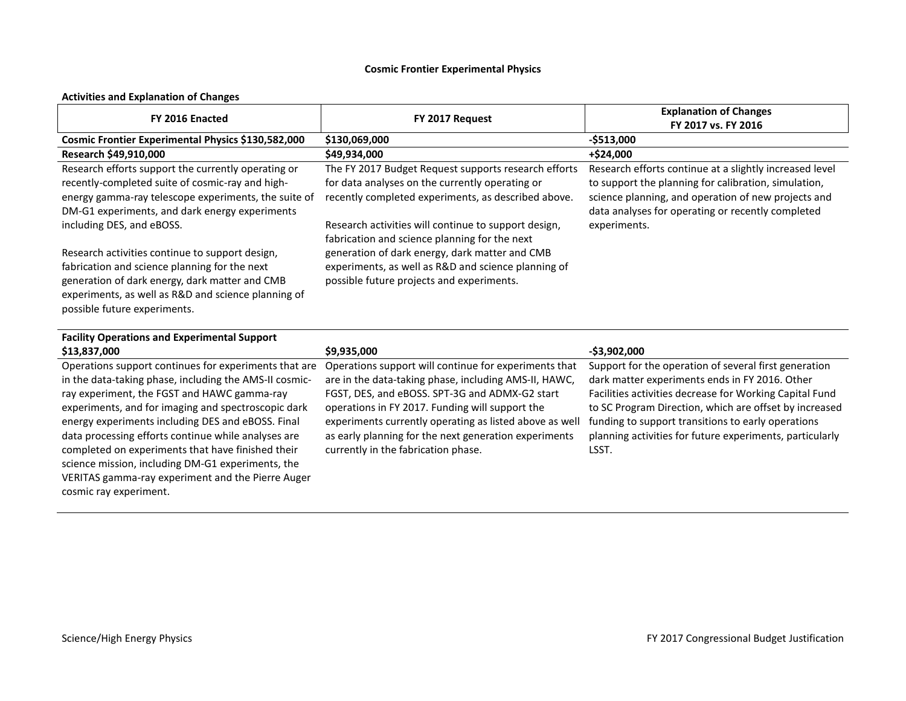# **Cosmic Frontier Experimental Physics**

#### **Activities and Explanation of Changes**

| FY 2016 Enacted                                                                                                                                                                                                                                                                                                                                                                                                                                                                                  | FY 2017 Request                                                                                                                                                                                                                                                                                                                                                                | <b>Explanation of Changes</b><br>FY 2017 vs. FY 2016                                                                                                                                                                                                                                                                                                    |
|--------------------------------------------------------------------------------------------------------------------------------------------------------------------------------------------------------------------------------------------------------------------------------------------------------------------------------------------------------------------------------------------------------------------------------------------------------------------------------------------------|--------------------------------------------------------------------------------------------------------------------------------------------------------------------------------------------------------------------------------------------------------------------------------------------------------------------------------------------------------------------------------|---------------------------------------------------------------------------------------------------------------------------------------------------------------------------------------------------------------------------------------------------------------------------------------------------------------------------------------------------------|
| Cosmic Frontier Experimental Physics \$130,582,000                                                                                                                                                                                                                                                                                                                                                                                                                                               | \$130,069,000                                                                                                                                                                                                                                                                                                                                                                  | $-$513,000$                                                                                                                                                                                                                                                                                                                                             |
| Research \$49,910,000                                                                                                                                                                                                                                                                                                                                                                                                                                                                            | \$49,934,000                                                                                                                                                                                                                                                                                                                                                                   | +\$24,000                                                                                                                                                                                                                                                                                                                                               |
| Research efforts support the currently operating or<br>recently-completed suite of cosmic-ray and high-<br>energy gamma-ray telescope experiments, the suite of<br>DM-G1 experiments, and dark energy experiments<br>including DES, and eBOSS.                                                                                                                                                                                                                                                   | The FY 2017 Budget Request supports research efforts<br>for data analyses on the currently operating or<br>recently completed experiments, as described above.<br>Research activities will continue to support design,<br>fabrication and science planning for the next                                                                                                        | Research efforts continue at a slightly increased level<br>to support the planning for calibration, simulation,<br>science planning, and operation of new projects and<br>data analyses for operating or recently completed<br>experiments.                                                                                                             |
| Research activities continue to support design,<br>fabrication and science planning for the next<br>generation of dark energy, dark matter and CMB<br>experiments, as well as R&D and science planning of<br>possible future experiments.                                                                                                                                                                                                                                                        | generation of dark energy, dark matter and CMB<br>experiments, as well as R&D and science planning of<br>possible future projects and experiments.                                                                                                                                                                                                                             |                                                                                                                                                                                                                                                                                                                                                         |
| <b>Facility Operations and Experimental Support</b>                                                                                                                                                                                                                                                                                                                                                                                                                                              |                                                                                                                                                                                                                                                                                                                                                                                |                                                                                                                                                                                                                                                                                                                                                         |
| \$13,837,000                                                                                                                                                                                                                                                                                                                                                                                                                                                                                     | \$9,935,000                                                                                                                                                                                                                                                                                                                                                                    | $-$3,902,000$                                                                                                                                                                                                                                                                                                                                           |
| Operations support continues for experiments that are<br>in the data-taking phase, including the AMS-II cosmic-<br>ray experiment, the FGST and HAWC gamma-ray<br>experiments, and for imaging and spectroscopic dark<br>energy experiments including DES and eBOSS. Final<br>data processing efforts continue while analyses are<br>completed on experiments that have finished their<br>science mission, including DM-G1 experiments, the<br>VERITAS gamma-ray experiment and the Pierre Auger | Operations support will continue for experiments that<br>are in the data-taking phase, including AMS-II, HAWC,<br>FGST, DES, and eBOSS. SPT-3G and ADMX-G2 start<br>operations in FY 2017. Funding will support the<br>experiments currently operating as listed above as well<br>as early planning for the next generation experiments<br>currently in the fabrication phase. | Support for the operation of several first generation<br>dark matter experiments ends in FY 2016. Other<br>Facilities activities decrease for Working Capital Fund<br>to SC Program Direction, which are offset by increased<br>funding to support transitions to early operations<br>planning activities for future experiments, particularly<br>LSST. |

cosmic ray experiment.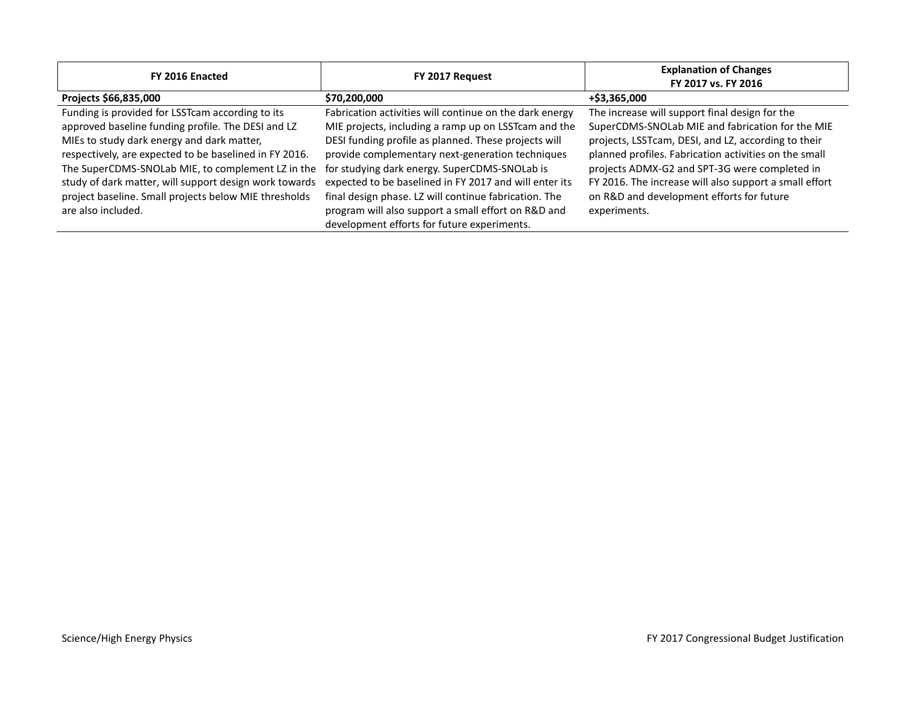| FY 2016 Enacted                                        | FY 2017 Request                                         | <b>Explanation of Changes</b><br>FY 2017 vs. FY 2016   |
|--------------------------------------------------------|---------------------------------------------------------|--------------------------------------------------------|
| Projects \$66,835,000                                  | \$70,200,000                                            | +\$3,365,000                                           |
| Funding is provided for LSSTcam according to its       | Fabrication activities will continue on the dark energy | The increase will support final design for the         |
| approved baseline funding profile. The DESI and LZ     | MIE projects, including a ramp up on LSSTcam and the    | SuperCDMS-SNOLab MIE and fabrication for the MIE       |
| MIEs to study dark energy and dark matter,             | DESI funding profile as planned. These projects will    | projects, LSSTcam, DESI, and LZ, according to their    |
| respectively, are expected to be baselined in FY 2016. | provide complementary next-generation techniques        | planned profiles. Fabrication activities on the small  |
| The SuperCDMS-SNOLab MIE, to complement LZ in the      | for studying dark energy. SuperCDMS-SNOLab is           | projects ADMX-G2 and SPT-3G were completed in          |
| study of dark matter, will support design work towards | expected to be baselined in FY 2017 and will enter its  | FY 2016. The increase will also support a small effort |
| project baseline. Small projects below MIE thresholds  | final design phase. LZ will continue fabrication. The   | on R&D and development efforts for future              |
| are also included.                                     | program will also support a small effort on R&D and     | experiments.                                           |
|                                                        | development efforts for future experiments.             |                                                        |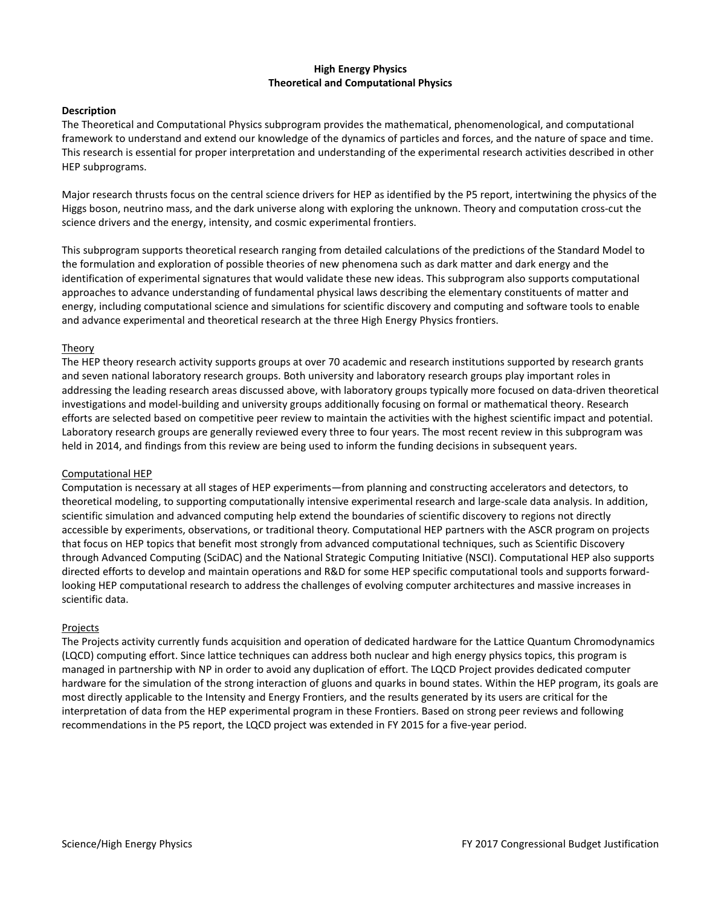#### **High Energy Physics Theoretical and Computational Physics**

#### **Description**

The Theoretical and Computational Physics subprogram provides the mathematical, phenomenological, and computational framework to understand and extend our knowledge of the dynamics of particles and forces, and the nature of space and time. This research is essential for proper interpretation and understanding of the experimental research activities described in other HEP subprograms.

Major research thrusts focus on the central science drivers for HEP as identified by the P5 report, intertwining the physics of the Higgs boson, neutrino mass, and the dark universe along with exploring the unknown. Theory and computation cross-cut the science drivers and the energy, intensity, and cosmic experimental frontiers.

This subprogram supports theoretical research ranging from detailed calculations of the predictions of the Standard Model to the formulation and exploration of possible theories of new phenomena such as dark matter and dark energy and the identification of experimental signatures that would validate these new ideas. This subprogram also supports computational approaches to advance understanding of fundamental physical laws describing the elementary constituents of matter and energy, including computational science and simulations for scientific discovery and computing and software tools to enable and advance experimental and theoretical research at the three High Energy Physics frontiers.

#### Theory

The HEP theory research activity supports groups at over 70 academic and research institutions supported by research grants and seven national laboratory research groups. Both university and laboratory research groups play important roles in addressing the leading research areas discussed above, with laboratory groups typically more focused on data-driven theoretical investigations and model-building and university groups additionally focusing on formal or mathematical theory. Research efforts are selected based on competitive peer review to maintain the activities with the highest scientific impact and potential. Laboratory research groups are generally reviewed every three to four years. The most recent review in this subprogram was held in 2014, and findings from this review are being used to inform the funding decisions in subsequent years.

#### Computational HEP

Computation is necessary at all stages of HEP experiments—from planning and constructing accelerators and detectors, to theoretical modeling, to supporting computationally intensive experimental research and large-scale data analysis. In addition, scientific simulation and advanced computing help extend the boundaries of scientific discovery to regions not directly accessible by experiments, observations, or traditional theory. Computational HEP partners with the ASCR program on projects that focus on HEP topics that benefit most strongly from advanced computational techniques, such as Scientific Discovery through Advanced Computing (SciDAC) and the National Strategic Computing Initiative (NSCI). Computational HEP also supports directed efforts to develop and maintain operations and R&D for some HEP specific computational tools and supports forwardlooking HEP computational research to address the challenges of evolving computer architectures and massive increases in scientific data.

#### Projects

The Projects activity currently funds acquisition and operation of dedicated hardware for the Lattice Quantum Chromodynamics (LQCD) computing effort. Since lattice techniques can address both nuclear and high energy physics topics, this program is managed in partnership with NP in order to avoid any duplication of effort. The LQCD Project provides dedicated computer hardware for the simulation of the strong interaction of gluons and quarks in bound states. Within the HEP program, its goals are most directly applicable to the Intensity and Energy Frontiers, and the results generated by its users are critical for the interpretation of data from the HEP experimental program in these Frontiers. Based on strong peer reviews and following recommendations in the P5 report, the LQCD project was extended in FY 2015 for a five-year period.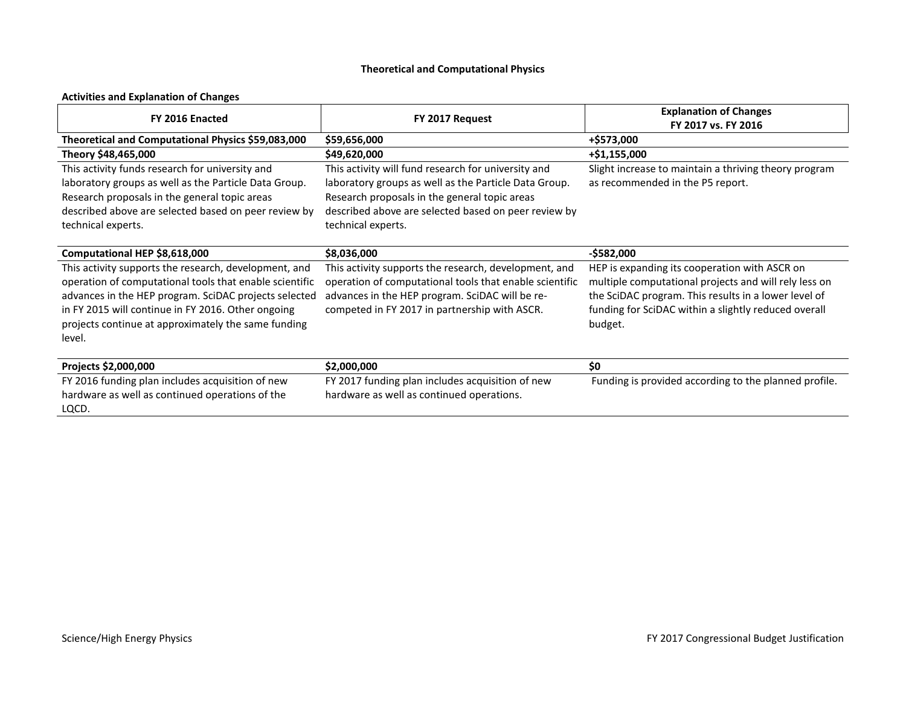# **Theoretical and Computational Physics**

# **Activities and Explanation of Changes**

| FY 2016 Enacted                                                                                                                                                                                                                                                                                  | FY 2017 Request                                                                                                                                                                                                                             | <b>Explanation of Changes</b><br>FY 2017 vs. FY 2016                                                                                                                                                                              |
|--------------------------------------------------------------------------------------------------------------------------------------------------------------------------------------------------------------------------------------------------------------------------------------------------|---------------------------------------------------------------------------------------------------------------------------------------------------------------------------------------------------------------------------------------------|-----------------------------------------------------------------------------------------------------------------------------------------------------------------------------------------------------------------------------------|
| Theoretical and Computational Physics \$59,083,000                                                                                                                                                                                                                                               | \$59,656,000                                                                                                                                                                                                                                | +\$573,000                                                                                                                                                                                                                        |
| Theory \$48,465,000                                                                                                                                                                                                                                                                              | \$49,620,000                                                                                                                                                                                                                                | +\$1,155,000                                                                                                                                                                                                                      |
| This activity funds research for university and<br>laboratory groups as well as the Particle Data Group.<br>Research proposals in the general topic areas<br>described above are selected based on peer review by<br>technical experts.                                                          | This activity will fund research for university and<br>laboratory groups as well as the Particle Data Group.<br>Research proposals in the general topic areas<br>described above are selected based on peer review by<br>technical experts. | Slight increase to maintain a thriving theory program<br>as recommended in the P5 report.                                                                                                                                         |
| Computational HEP \$8,618,000                                                                                                                                                                                                                                                                    | \$8,036,000                                                                                                                                                                                                                                 | $-$ \$582,000                                                                                                                                                                                                                     |
| This activity supports the research, development, and<br>operation of computational tools that enable scientific<br>advances in the HEP program. SciDAC projects selected<br>in FY 2015 will continue in FY 2016. Other ongoing<br>projects continue at approximately the same funding<br>level. | This activity supports the research, development, and<br>operation of computational tools that enable scientific<br>advances in the HEP program. SciDAC will be re-<br>competed in FY 2017 in partnership with ASCR.                        | HEP is expanding its cooperation with ASCR on<br>multiple computational projects and will rely less on<br>the SciDAC program. This results in a lower level of<br>funding for SciDAC within a slightly reduced overall<br>budget. |
| Projects \$2,000,000                                                                                                                                                                                                                                                                             | \$2,000,000                                                                                                                                                                                                                                 | \$0                                                                                                                                                                                                                               |
| FY 2016 funding plan includes acquisition of new<br>hardware as well as continued operations of the<br>LQCD.                                                                                                                                                                                     | FY 2017 funding plan includes acquisition of new<br>hardware as well as continued operations.                                                                                                                                               | Funding is provided according to the planned profile.                                                                                                                                                                             |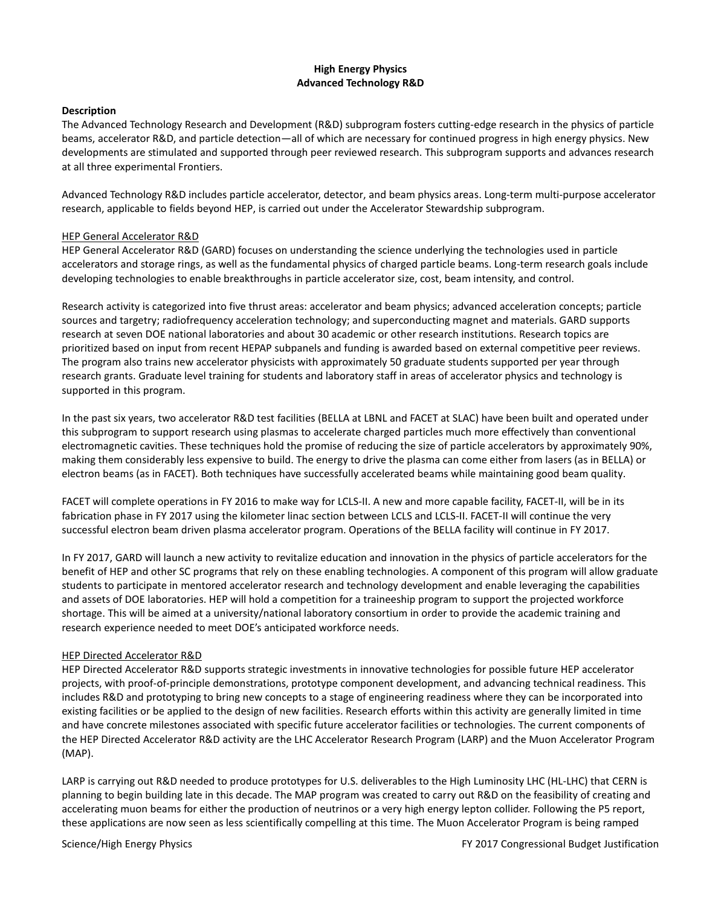### **High Energy Physics Advanced Technology R&D**

#### **Description**

The Advanced Technology Research and Development (R&D) subprogram fosters cutting-edge research in the physics of particle beams, accelerator R&D, and particle detection—all of which are necessary for continued progress in high energy physics. New developments are stimulated and supported through peer reviewed research. This subprogram supports and advances research at all three experimental Frontiers.

Advanced Technology R&D includes particle accelerator, detector, and beam physics areas. Long-term multi-purpose accelerator research, applicable to fields beyond HEP, is carried out under the Accelerator Stewardship subprogram.

#### HEP General Accelerator R&D

HEP General Accelerator R&D (GARD) focuses on understanding the science underlying the technologies used in particle accelerators and storage rings, as well as the fundamental physics of charged particle beams. Long-term research goals include developing technologies to enable breakthroughs in particle accelerator size, cost, beam intensity, and control.

Research activity is categorized into five thrust areas: accelerator and beam physics; advanced acceleration concepts; particle sources and targetry; radiofrequency acceleration technology; and superconducting magnet and materials. GARD supports research at seven DOE national laboratories and about 30 academic or other research institutions. Research topics are prioritized based on input from recent HEPAP subpanels and funding is awarded based on external competitive peer reviews. The program also trains new accelerator physicists with approximately 50 graduate students supported per year through research grants. Graduate level training for students and laboratory staff in areas of accelerator physics and technology is supported in this program.

In the past six years, two accelerator R&D test facilities (BELLA at LBNL and FACET at SLAC) have been built and operated under this subprogram to support research using plasmas to accelerate charged particles much more effectively than conventional electromagnetic cavities. These techniques hold the promise of reducing the size of particle accelerators by approximately 90%, making them considerably less expensive to build. The energy to drive the plasma can come either from lasers (as in BELLA) or electron beams (as in FACET). Both techniques have successfully accelerated beams while maintaining good beam quality.

FACET will complete operations in FY 2016 to make way for LCLS-II. A new and more capable facility, FACET-II, will be in its fabrication phase in FY 2017 using the kilometer linac section between LCLS and LCLS-II. FACET-II will continue the very successful electron beam driven plasma accelerator program. Operations of the BELLA facility will continue in FY 2017.

In FY 2017, GARD will launch a new activity to revitalize education and innovation in the physics of particle accelerators for the benefit of HEP and other SC programs that rely on these enabling technologies. A component of this program will allow graduate students to participate in mentored accelerator research and technology development and enable leveraging the capabilities and assets of DOE laboratories. HEP will hold a competition for a traineeship program to support the projected workforce shortage. This will be aimed at a university/national laboratory consortium in order to provide the academic training and research experience needed to meet DOE's anticipated workforce needs.

#### HEP Directed Accelerator R&D

HEP Directed Accelerator R&D supports strategic investments in innovative technologies for possible future HEP accelerator projects, with proof-of-principle demonstrations, prototype component development, and advancing technical readiness. This includes R&D and prototyping to bring new concepts to a stage of engineering readiness where they can be incorporated into existing facilities or be applied to the design of new facilities. Research efforts within this activity are generally limited in time and have concrete milestones associated with specific future accelerator facilities or technologies. The current components of the HEP Directed Accelerator R&D activity are the LHC Accelerator Research Program (LARP) and the Muon Accelerator Program (MAP).

LARP is carrying out R&D needed to produce prototypes for U.S. deliverables to the High Luminosity LHC (HL-LHC) that CERN is planning to begin building late in this decade. The MAP program was created to carry out R&D on the feasibility of creating and accelerating muon beams for either the production of neutrinos or a very high energy lepton collider. Following the P5 report, these applications are now seen as less scientifically compelling at this time. The Muon Accelerator Program is being ramped

Science/High Energy Physics **FY 2017** Congressional Budget Justification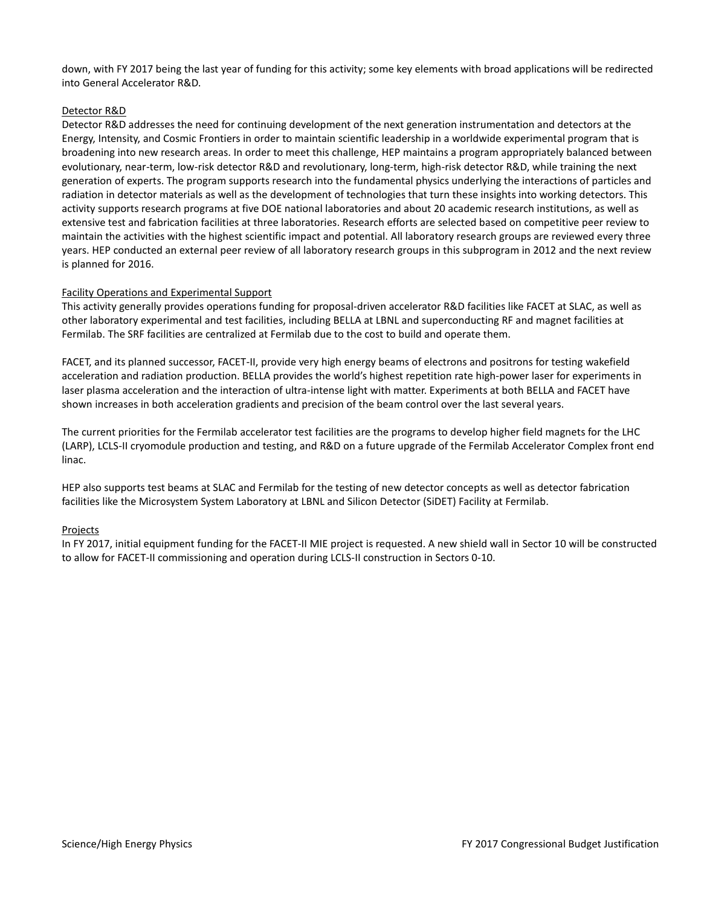down, with FY 2017 being the last year of funding for this activity; some key elements with broad applications will be redirected into General Accelerator R&D.

#### Detector R&D

Detector R&D addresses the need for continuing development of the next generation instrumentation and detectors at the Energy, Intensity, and Cosmic Frontiers in order to maintain scientific leadership in a worldwide experimental program that is broadening into new research areas. In order to meet this challenge, HEP maintains a program appropriately balanced between evolutionary, near-term, low-risk detector R&D and revolutionary, long-term, high-risk detector R&D, while training the next generation of experts. The program supports research into the fundamental physics underlying the interactions of particles and radiation in detector materials as well as the development of technologies that turn these insights into working detectors. This activity supports research programs at five DOE national laboratories and about 20 academic research institutions, as well as extensive test and fabrication facilities at three laboratories. Research efforts are selected based on competitive peer review to maintain the activities with the highest scientific impact and potential. All laboratory research groups are reviewed every three years. HEP conducted an external peer review of all laboratory research groups in this subprogram in 2012 and the next review is planned for 2016.

#### Facility Operations and Experimental Support

This activity generally provides operations funding for proposal-driven accelerator R&D facilities like FACET at SLAC, as well as other laboratory experimental and test facilities, including BELLA at LBNL and superconducting RF and magnet facilities at Fermilab. The SRF facilities are centralized at Fermilab due to the cost to build and operate them.

FACET, and its planned successor, FACET-II, provide very high energy beams of electrons and positrons for testing wakefield acceleration and radiation production. BELLA provides the world's highest repetition rate high-power laser for experiments in laser plasma acceleration and the interaction of ultra-intense light with matter. Experiments at both BELLA and FACET have shown increases in both acceleration gradients and precision of the beam control over the last several years.

The current priorities for the Fermilab accelerator test facilities are the programs to develop higher field magnets for the LHC (LARP), LCLS-II cryomodule production and testing, and R&D on a future upgrade of the Fermilab Accelerator Complex front end linac.

HEP also supports test beams at SLAC and Fermilab for the testing of new detector concepts as well as detector fabrication facilities like the Microsystem System Laboratory at LBNL and Silicon Detector (SiDET) Facility at Fermilab.

#### Projects

In FY 2017, initial equipment funding for the FACET-II MIE project is requested. A new shield wall in Sector 10 will be constructed to allow for FACET-II commissioning and operation during LCLS-II construction in Sectors 0-10.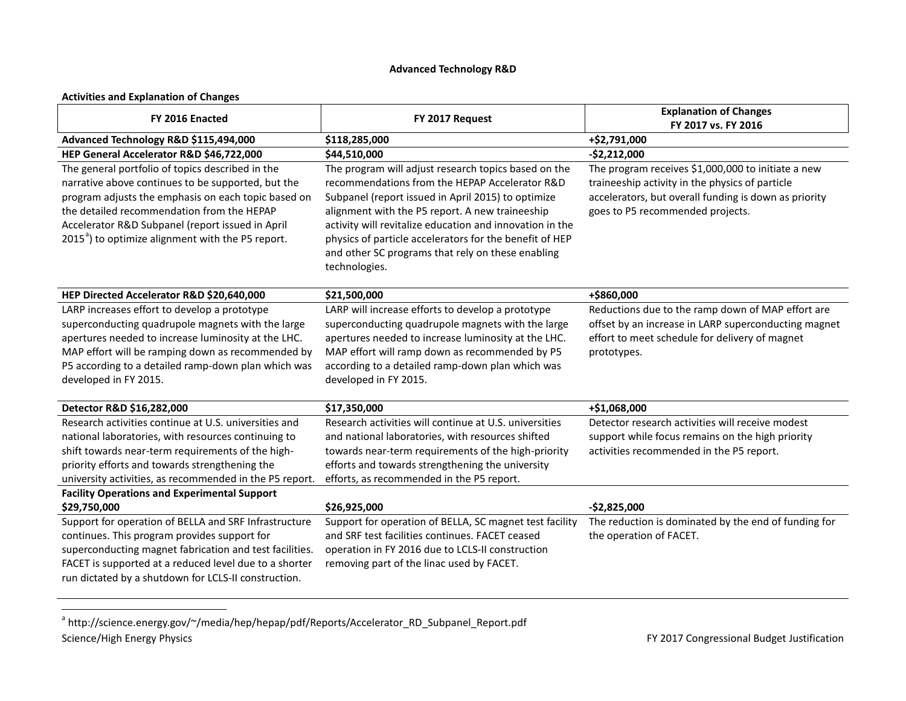# <span id="page-25-0"></span>**Advanced Technology R&D**

#### **Activities and Explanation of Changes**

| FY 2016 Enacted                                                                                                                                                                                                                                                                                                                  | FY 2017 Request                                                                                                                                                                                                                                                                                                                                                                                              | <b>Explanation of Changes</b><br>FY 2017 vs. FY 2016                                                                                                                                               |
|----------------------------------------------------------------------------------------------------------------------------------------------------------------------------------------------------------------------------------------------------------------------------------------------------------------------------------|--------------------------------------------------------------------------------------------------------------------------------------------------------------------------------------------------------------------------------------------------------------------------------------------------------------------------------------------------------------------------------------------------------------|----------------------------------------------------------------------------------------------------------------------------------------------------------------------------------------------------|
| Advanced Technology R&D \$115,494,000                                                                                                                                                                                                                                                                                            | \$118,285,000                                                                                                                                                                                                                                                                                                                                                                                                | +\$2,791,000                                                                                                                                                                                       |
| HEP General Accelerator R&D \$46,722,000                                                                                                                                                                                                                                                                                         | \$44,510,000                                                                                                                                                                                                                                                                                                                                                                                                 | $-$2,212,000$                                                                                                                                                                                      |
| The general portfolio of topics described in the<br>narrative above continues to be supported, but the<br>program adjusts the emphasis on each topic based on<br>the detailed recommendation from the HEPAP<br>Accelerator R&D Subpanel (report issued in April<br>2015 <sup>a</sup> ) to optimize alignment with the P5 report. | The program will adjust research topics based on the<br>recommendations from the HEPAP Accelerator R&D<br>Subpanel (report issued in April 2015) to optimize<br>alignment with the P5 report. A new traineeship<br>activity will revitalize education and innovation in the<br>physics of particle accelerators for the benefit of HEP<br>and other SC programs that rely on these enabling<br>technologies. | The program receives \$1,000,000 to initiate a new<br>traineeship activity in the physics of particle<br>accelerators, but overall funding is down as priority<br>goes to P5 recommended projects. |
| HEP Directed Accelerator R&D \$20,640,000                                                                                                                                                                                                                                                                                        | \$21,500,000                                                                                                                                                                                                                                                                                                                                                                                                 | +\$860,000                                                                                                                                                                                         |
| LARP increases effort to develop a prototype<br>superconducting quadrupole magnets with the large<br>apertures needed to increase luminosity at the LHC.<br>MAP effort will be ramping down as recommended by<br>P5 according to a detailed ramp-down plan which was<br>developed in FY 2015.                                    | LARP will increase efforts to develop a prototype<br>superconducting quadrupole magnets with the large<br>apertures needed to increase luminosity at the LHC.<br>MAP effort will ramp down as recommended by P5<br>according to a detailed ramp-down plan which was<br>developed in FY 2015.                                                                                                                 | Reductions due to the ramp down of MAP effort are<br>offset by an increase in LARP superconducting magnet<br>effort to meet schedule for delivery of magnet<br>prototypes.                         |
| Detector R&D \$16,282,000                                                                                                                                                                                                                                                                                                        | \$17,350,000                                                                                                                                                                                                                                                                                                                                                                                                 | +\$1,068,000                                                                                                                                                                                       |
| Research activities continue at U.S. universities and<br>national laboratories, with resources continuing to<br>shift towards near-term requirements of the high-<br>priority efforts and towards strengthening the<br>university activities, as recommended in the P5 report.                                                   | Research activities will continue at U.S. universities<br>and national laboratories, with resources shifted<br>towards near-term requirements of the high-priority<br>efforts and towards strengthening the university<br>efforts, as recommended in the P5 report.                                                                                                                                          | Detector research activities will receive modest<br>support while focus remains on the high priority<br>activities recommended in the P5 report.                                                   |
| <b>Facility Operations and Experimental Support</b>                                                                                                                                                                                                                                                                              |                                                                                                                                                                                                                                                                                                                                                                                                              |                                                                                                                                                                                                    |
| \$29,750,000<br>Support for operation of BELLA and SRF Infrastructure<br>continues. This program provides support for                                                                                                                                                                                                            | \$26,925,000<br>Support for operation of BELLA, SC magnet test facility<br>and SRF test facilities continues. FACET ceased                                                                                                                                                                                                                                                                                   | $-$2,825,000$<br>The reduction is dominated by the end of funding for<br>the operation of FACET.                                                                                                   |
| superconducting magnet fabrication and test facilities.<br>FACET is supported at a reduced level due to a shorter<br>run dictated by a shutdown for LCLS-II construction.                                                                                                                                                        | operation in FY 2016 due to LCLS-II construction<br>removing part of the linac used by FACET.                                                                                                                                                                                                                                                                                                                |                                                                                                                                                                                                    |

Science/High Energy Physics **FY 2017** Congressional Budget Justification a http://science.energy.gov/~/media/hep/hepap/pdf/Reports/Accelerator\_RD\_Subpanel\_Report.pdf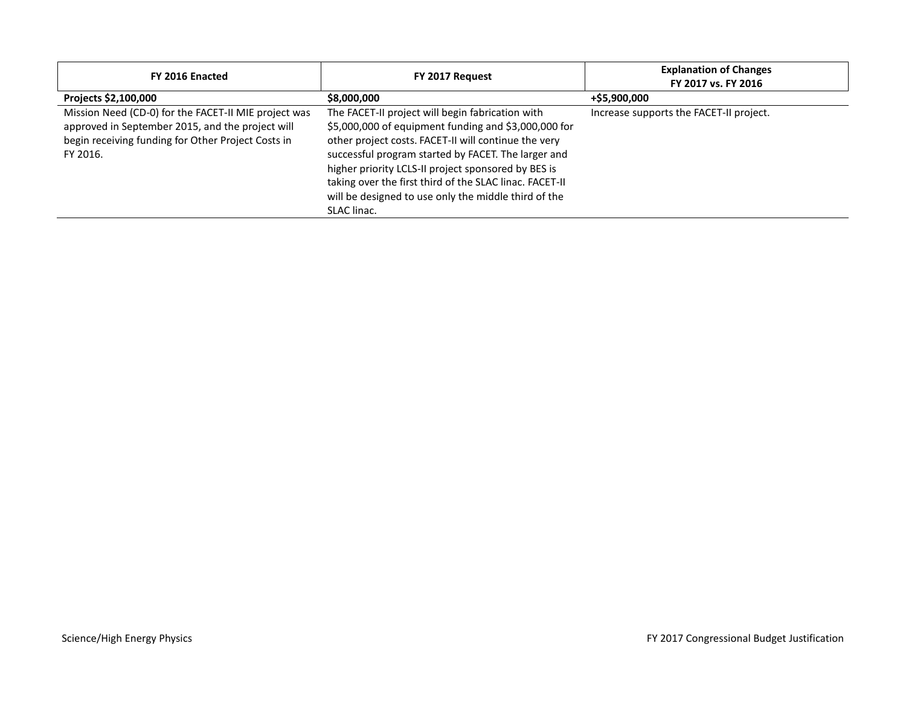| FY 2016 Enacted                                                                                                                                                            | FY 2017 Request                                                                                                                                                                                                                                                                                                                                                                                                  | <b>Explanation of Changes</b><br>FY 2017 vs. FY 2016 |
|----------------------------------------------------------------------------------------------------------------------------------------------------------------------------|------------------------------------------------------------------------------------------------------------------------------------------------------------------------------------------------------------------------------------------------------------------------------------------------------------------------------------------------------------------------------------------------------------------|------------------------------------------------------|
| Projects \$2,100,000                                                                                                                                                       | \$8,000,000                                                                                                                                                                                                                                                                                                                                                                                                      | +\$5,900,000                                         |
| Mission Need (CD-0) for the FACET-II MIE project was<br>approved in September 2015, and the project will<br>begin receiving funding for Other Project Costs in<br>FY 2016. | The FACET-II project will begin fabrication with<br>\$5,000,000 of equipment funding and \$3,000,000 for<br>other project costs. FACET-II will continue the very<br>successful program started by FACET. The larger and<br>higher priority LCLS-II project sponsored by BES is<br>taking over the first third of the SLAC linac. FACET-II<br>will be designed to use only the middle third of the<br>SLAC linac. | Increase supports the FACET-II project.              |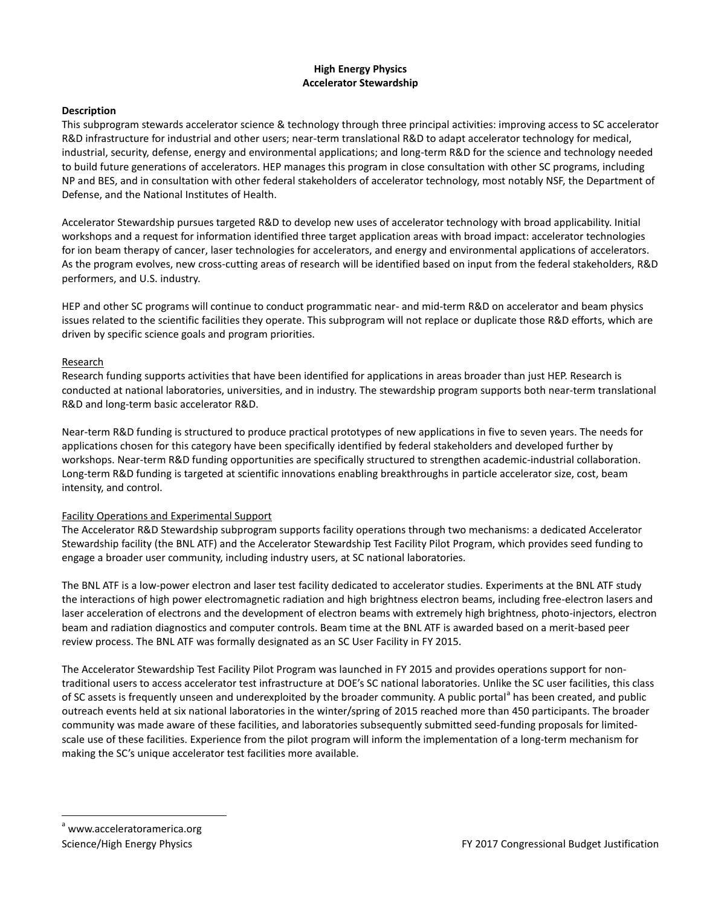### **High Energy Physics Accelerator Stewardship**

#### **Description**

This subprogram stewards accelerator science & technology through three principal activities: improving access to SC accelerator R&D infrastructure for industrial and other users; near-term translational R&D to adapt accelerator technology for medical, industrial, security, defense, energy and environmental applications; and long-term R&D for the science and technology needed to build future generations of accelerators. HEP manages this program in close consultation with other SC programs, including NP and BES, and in consultation with other federal stakeholders of accelerator technology, most notably NSF, the Department of Defense, and the National Institutes of Health.

Accelerator Stewardship pursues targeted R&D to develop new uses of accelerator technology with broad applicability. Initial workshops and a request for information identified three target application areas with broad impact: accelerator technologies for ion beam therapy of cancer, laser technologies for accelerators, and energy and environmental applications of accelerators. As the program evolves, new cross-cutting areas of research will be identified based on input from the federal stakeholders, R&D performers, and U.S. industry.

HEP and other SC programs will continue to conduct programmatic near- and mid-term R&D on accelerator and beam physics issues related to the scientific facilities they operate. This subprogram will not replace or duplicate those R&D efforts, which are driven by specific science goals and program priorities.

#### Research

Research funding supports activities that have been identified for applications in areas broader than just HEP. Research is conducted at national laboratories, universities, and in industry. The stewardship program supports both near-term translational R&D and long-term basic accelerator R&D.

Near-term R&D funding is structured to produce practical prototypes of new applications in five to seven years. The needs for applications chosen for this category have been specifically identified by federal stakeholders and developed further by workshops. Near-term R&D funding opportunities are specifically structured to strengthen academic-industrial collaboration. Long-term R&D funding is targeted at scientific innovations enabling breakthroughs in particle accelerator size, cost, beam intensity, and control.

### Facility Operations and Experimental Support

The Accelerator R&D Stewardship subprogram supports facility operations through two mechanisms: a dedicated Accelerator Stewardship facility (the BNL ATF) and the Accelerator Stewardship Test Facility Pilot Program, which provides seed funding to engage a broader user community, including industry users, at SC national laboratories.

The BNL ATF is a low-power electron and laser test facility dedicated to accelerator studies. Experiments at the BNL ATF study the interactions of high power electromagnetic radiation and high brightness electron beams, including free-electron lasers and laser acceleration of electrons and the development of electron beams with extremely high brightness, photo-injectors, electron beam and radiation diagnostics and computer controls. Beam time at the BNL ATF is awarded based on a merit-based peer review process. The BNL ATF was formally designated as an SC User Facility in FY 2015.

<span id="page-27-0"></span>The Accelerator Stewardship Test Facility Pilot Program was launched in FY 2015 and provides operations support for nontraditional users to access accelerator test infrastructure at DOE's SC national laboratories. Unlike the SC user facilities, this class of SC [a](#page-27-0)ssets is frequently unseen and underexploited by the broader community. A public portal has been created, and public outreach events held at six national laboratories in the winter/spring of 2015 reached more than 450 participants. The broader community was made aware of these facilities, and laboratories subsequently submitted seed-funding proposals for limitedscale use of these facilities. Experience from the pilot program will inform the implementation of a long-term mechanism for making the SC's unique accelerator test facilities more available.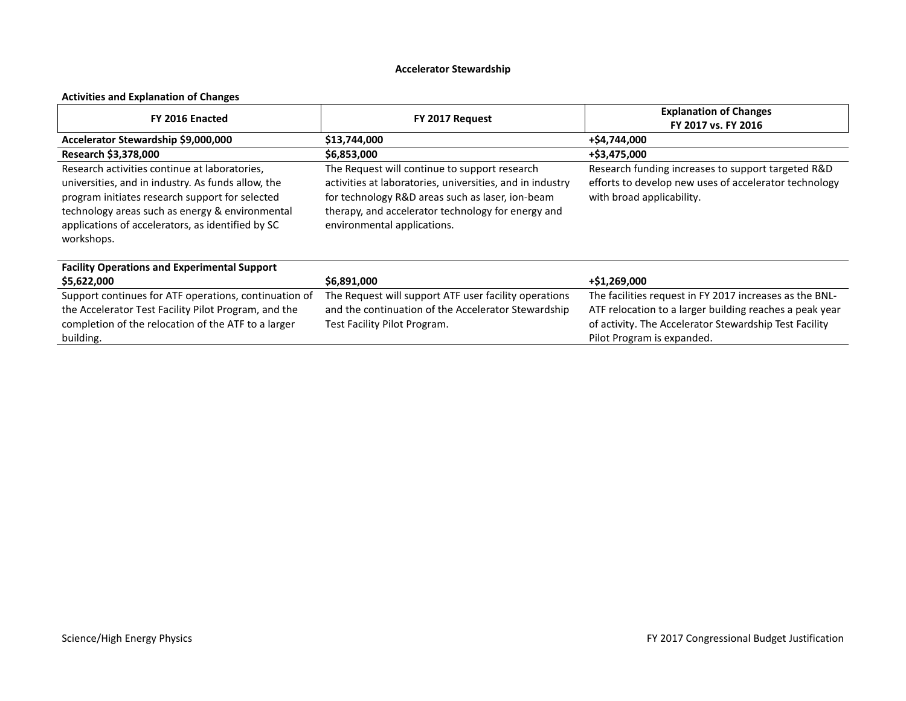# **Accelerator Stewardship**

# **Activities and Explanation of Changes**

| FY 2016 Enacted                                                                                                                                                                                                                                                              | FY 2017 Request                                                                                                                                                                                                                                     | <b>Explanation of Changes</b><br>FY 2017 vs. FY 2016                                                                                                                                                       |  |  |
|------------------------------------------------------------------------------------------------------------------------------------------------------------------------------------------------------------------------------------------------------------------------------|-----------------------------------------------------------------------------------------------------------------------------------------------------------------------------------------------------------------------------------------------------|------------------------------------------------------------------------------------------------------------------------------------------------------------------------------------------------------------|--|--|
| Accelerator Stewardship \$9,000,000                                                                                                                                                                                                                                          | \$13,744,000                                                                                                                                                                                                                                        | +\$4,744,000                                                                                                                                                                                               |  |  |
| Research \$3,378,000                                                                                                                                                                                                                                                         | \$6,853,000                                                                                                                                                                                                                                         | +\$3,475,000                                                                                                                                                                                               |  |  |
| Research activities continue at laboratories.<br>universities, and in industry. As funds allow, the<br>program initiates research support for selected<br>technology areas such as energy & environmental<br>applications of accelerators, as identified by SC<br>workshops. | The Request will continue to support research<br>activities at laboratories, universities, and in industry<br>for technology R&D areas such as laser, ion-beam<br>therapy, and accelerator technology for energy and<br>environmental applications. | Research funding increases to support targeted R&D<br>efforts to develop new uses of accelerator technology<br>with broad applicability.                                                                   |  |  |
| <b>Facility Operations and Experimental Support</b>                                                                                                                                                                                                                          |                                                                                                                                                                                                                                                     |                                                                                                                                                                                                            |  |  |
| \$5,622,000                                                                                                                                                                                                                                                                  | \$6,891,000                                                                                                                                                                                                                                         | +\$1,269,000                                                                                                                                                                                               |  |  |
| Support continues for ATF operations, continuation of<br>the Accelerator Test Facility Pilot Program, and the<br>completion of the relocation of the ATF to a larger<br>building.                                                                                            | The Request will support ATF user facility operations<br>and the continuation of the Accelerator Stewardship<br>Test Facility Pilot Program.                                                                                                        | The facilities request in FY 2017 increases as the BNL-<br>ATF relocation to a larger building reaches a peak year<br>of activity. The Accelerator Stewardship Test Facility<br>Pilot Program is expanded. |  |  |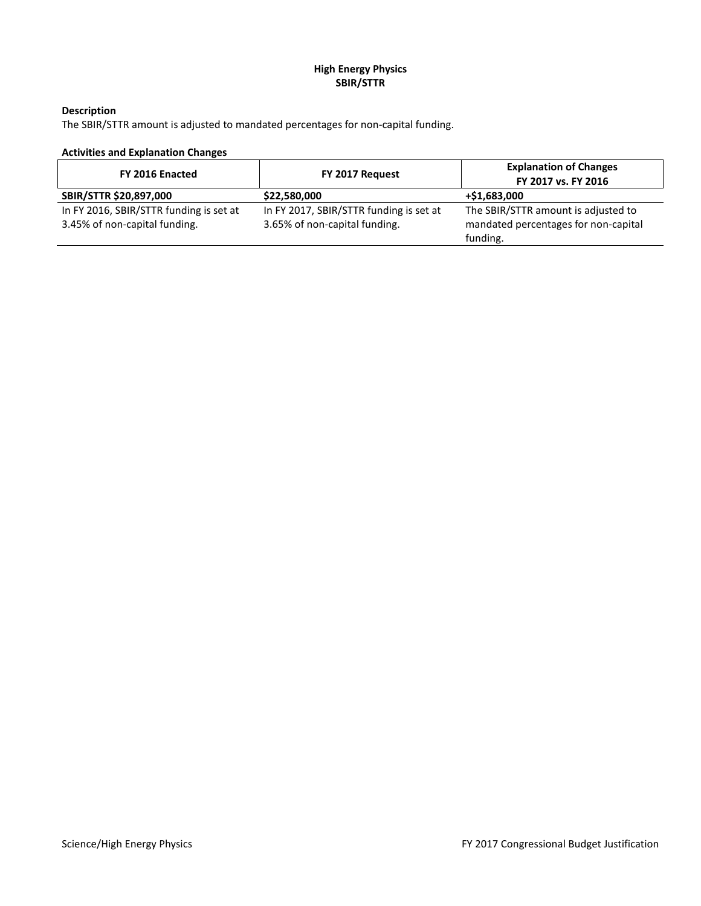# **High Energy Physics SBIR/STTR**

# **Description**

The SBIR/STTR amount is adjusted to mandated percentages for non-capital funding.

# **Activities and Explanation Changes**

| FY 2016 Enacted                         | FY 2017 Request                         | <b>Explanation of Changes</b><br>FY 2017 vs. FY 2016 |  |  |
|-----------------------------------------|-----------------------------------------|------------------------------------------------------|--|--|
| SBIR/STTR \$20,897,000                  | \$22,580,000                            | +\$1,683,000                                         |  |  |
| In FY 2016, SBIR/STTR funding is set at | In FY 2017, SBIR/STTR funding is set at | The SBIR/STTR amount is adjusted to                  |  |  |
| 3.45% of non-capital funding.           | 3.65% of non-capital funding.           | mandated percentages for non-capital                 |  |  |
|                                         |                                         | funding.                                             |  |  |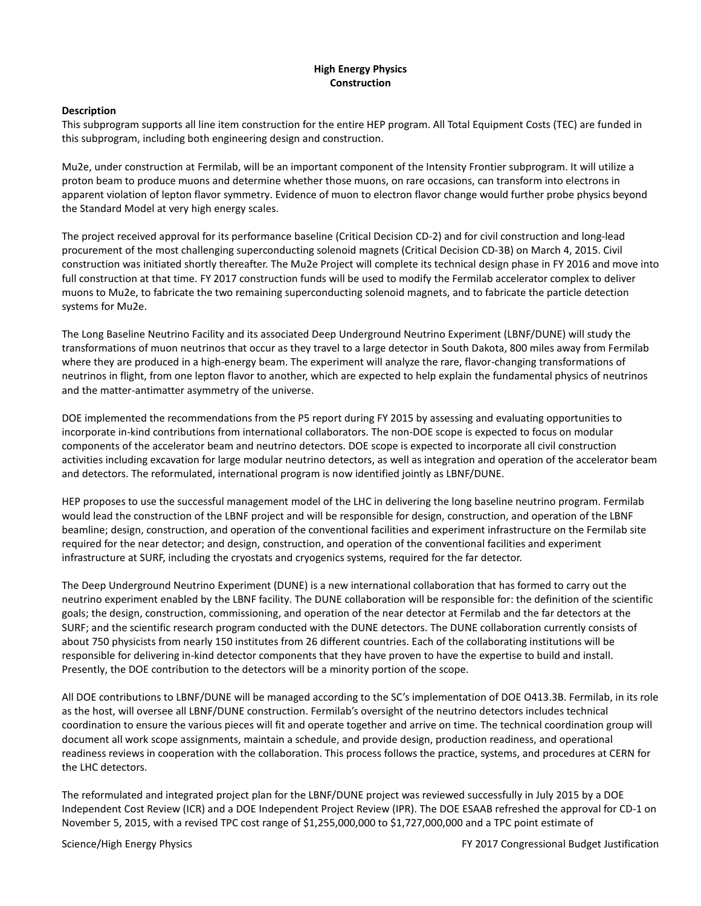#### **High Energy Physics Construction**

#### **Description**

This subprogram supports all line item construction for the entire HEP program. All Total Equipment Costs (TEC) are funded in this subprogram, including both engineering design and construction.

Mu2e, under construction at Fermilab, will be an important component of the Intensity Frontier subprogram. It will utilize a proton beam to produce muons and determine whether those muons, on rare occasions, can transform into electrons in apparent violation of lepton flavor symmetry. Evidence of muon to electron flavor change would further probe physics beyond the Standard Model at very high energy scales.

The project received approval for its performance baseline (Critical Decision CD-2) and for civil construction and long-lead procurement of the most challenging superconducting solenoid magnets (Critical Decision CD-3B) on March 4, 2015. Civil construction was initiated shortly thereafter. The Mu2e Project will complete its technical design phase in FY 2016 and move into full construction at that time. FY 2017 construction funds will be used to modify the Fermilab accelerator complex to deliver muons to Mu2e, to fabricate the two remaining superconducting solenoid magnets, and to fabricate the particle detection systems for Mu2e.

The Long Baseline Neutrino Facility and its associated Deep Underground Neutrino Experiment (LBNF/DUNE) will study the transformations of muon neutrinos that occur as they travel to a large detector in South Dakota, 800 miles away from Fermilab where they are produced in a high-energy beam. The experiment will analyze the rare, flavor-changing transformations of neutrinos in flight, from one lepton flavor to another, which are expected to help explain the fundamental physics of neutrinos and the matter-antimatter asymmetry of the universe.

DOE implemented the recommendations from the P5 report during FY 2015 by assessing and evaluating opportunities to incorporate in-kind contributions from international collaborators. The non-DOE scope is expected to focus on modular components of the accelerator beam and neutrino detectors. DOE scope is expected to incorporate all civil construction activities including excavation for large modular neutrino detectors, as well as integration and operation of the accelerator beam and detectors. The reformulated, international program is now identified jointly as LBNF/DUNE.

HEP proposes to use the successful management model of the LHC in delivering the long baseline neutrino program. Fermilab would lead the construction of the LBNF project and will be responsible for design, construction, and operation of the LBNF beamline; design, construction, and operation of the conventional facilities and experiment infrastructure on the Fermilab site required for the near detector; and design, construction, and operation of the conventional facilities and experiment infrastructure at SURF, including the cryostats and cryogenics systems, required for the far detector.

The Deep Underground Neutrino Experiment (DUNE) is a new international collaboration that has formed to carry out the neutrino experiment enabled by the LBNF facility. The DUNE collaboration will be responsible for: the definition of the scientific goals; the design, construction, commissioning, and operation of the near detector at Fermilab and the far detectors at the SURF; and the scientific research program conducted with the DUNE detectors. The DUNE collaboration currently consists of about 750 physicists from nearly 150 institutes from 26 different countries. Each of the collaborating institutions will be responsible for delivering in-kind detector components that they have proven to have the expertise to build and install. Presently, the DOE contribution to the detectors will be a minority portion of the scope.

All DOE contributions to LBNF/DUNE will be managed according to the SC's implementation of DOE O413.3B. Fermilab, in its role as the host, will oversee all LBNF/DUNE construction. Fermilab's oversight of the neutrino detectors includes technical coordination to ensure the various pieces will fit and operate together and arrive on time. The technical coordination group will document all work scope assignments, maintain a schedule, and provide design, production readiness, and operational readiness reviews in cooperation with the collaboration. This process follows the practice, systems, and procedures at CERN for the LHC detectors.

The reformulated and integrated project plan for the LBNF/DUNE project was reviewed successfully in July 2015 by a DOE Independent Cost Review (ICR) and a DOE Independent Project Review (IPR). The DOE ESAAB refreshed the approval for CD-1 on November 5, 2015, with a revised TPC cost range of \$1,255,000,000 to \$1,727,000,000 and a TPC point estimate of

Science/High Energy Physics **FY 2017** Congressional Budget Justification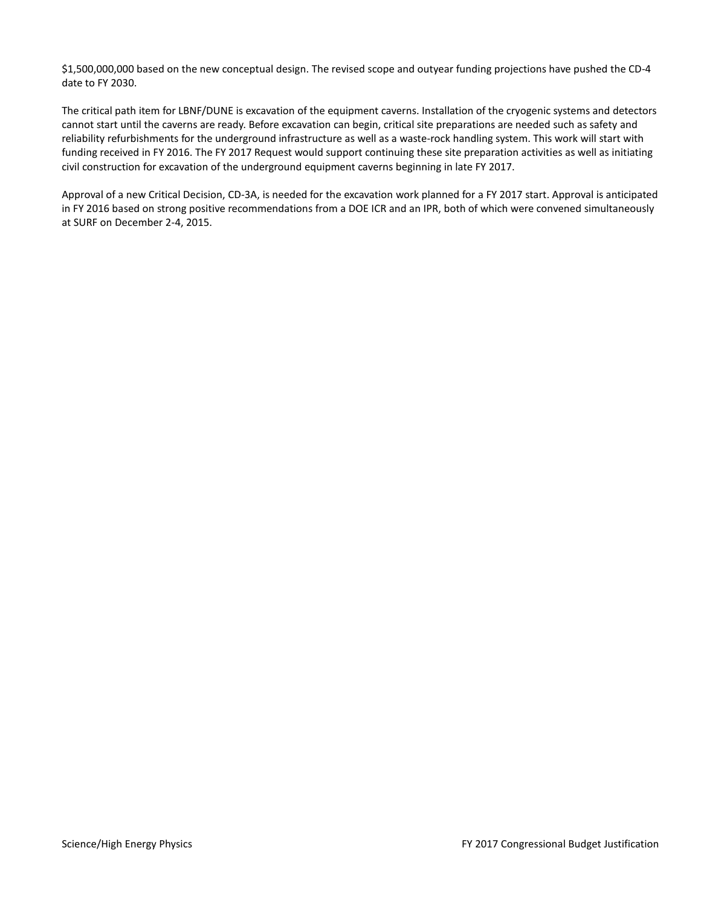\$1,500,000,000 based on the new conceptual design. The revised scope and outyear funding projections have pushed the CD-4 date to FY 2030.

The critical path item for LBNF/DUNE is excavation of the equipment caverns. Installation of the cryogenic systems and detectors cannot start until the caverns are ready. Before excavation can begin, critical site preparations are needed such as safety and reliability refurbishments for the underground infrastructure as well as a waste-rock handling system. This work will start with funding received in FY 2016. The FY 2017 Request would support continuing these site preparation activities as well as initiating civil construction for excavation of the underground equipment caverns beginning in late FY 2017.

Approval of a new Critical Decision, CD-3A, is needed for the excavation work planned for a FY 2017 start. Approval is anticipated in FY 2016 based on strong positive recommendations from a DOE ICR and an IPR, both of which were convened simultaneously at SURF on December 2-4, 2015.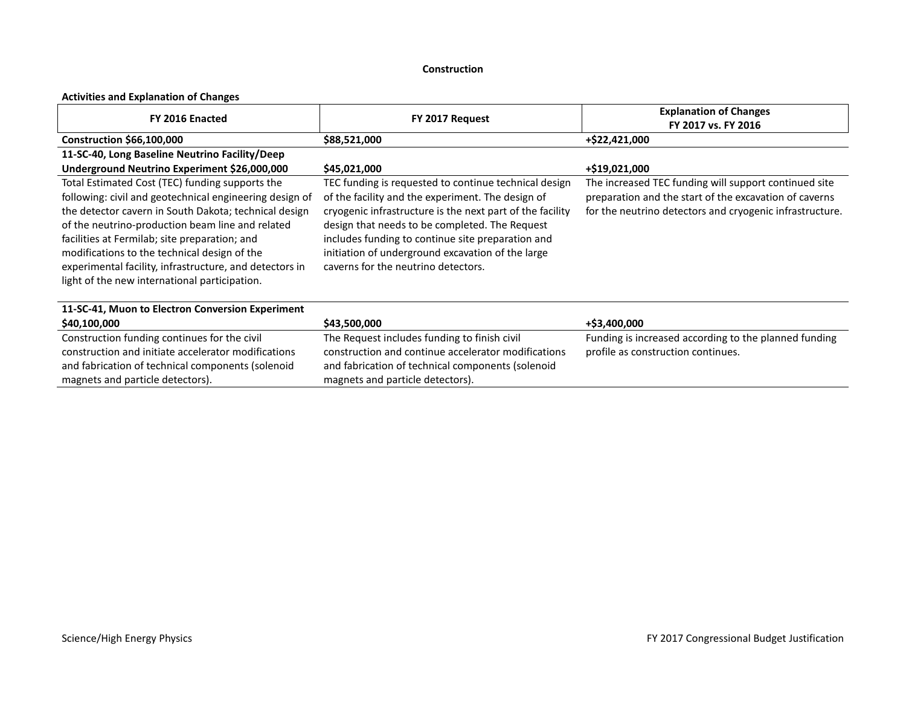#### **Construction**

# **Activities and Explanation of Changes**

| FY 2016 Enacted                                                                                                                                                                                                                                                                                                                                                                                                                      | FY 2017 Request                                                                                                                                                                                                                                                                                                                                                            | <b>Explanation of Changes</b><br>FY 2017 vs. FY 2016                                                                                                                        |
|--------------------------------------------------------------------------------------------------------------------------------------------------------------------------------------------------------------------------------------------------------------------------------------------------------------------------------------------------------------------------------------------------------------------------------------|----------------------------------------------------------------------------------------------------------------------------------------------------------------------------------------------------------------------------------------------------------------------------------------------------------------------------------------------------------------------------|-----------------------------------------------------------------------------------------------------------------------------------------------------------------------------|
| Construction \$66,100,000                                                                                                                                                                                                                                                                                                                                                                                                            | \$88,521,000                                                                                                                                                                                                                                                                                                                                                               | +\$22,421,000                                                                                                                                                               |
| 11-SC-40, Long Baseline Neutrino Facility/Deep                                                                                                                                                                                                                                                                                                                                                                                       |                                                                                                                                                                                                                                                                                                                                                                            |                                                                                                                                                                             |
| Underground Neutrino Experiment \$26,000,000                                                                                                                                                                                                                                                                                                                                                                                         | \$45,021,000                                                                                                                                                                                                                                                                                                                                                               | +\$19,021,000                                                                                                                                                               |
| Total Estimated Cost (TEC) funding supports the<br>following: civil and geotechnical engineering design of<br>the detector cavern in South Dakota; technical design<br>of the neutrino-production beam line and related<br>facilities at Fermilab; site preparation; and<br>modifications to the technical design of the<br>experimental facility, infrastructure, and detectors in<br>light of the new international participation. | TEC funding is requested to continue technical design<br>of the facility and the experiment. The design of<br>cryogenic infrastructure is the next part of the facility<br>design that needs to be completed. The Request<br>includes funding to continue site preparation and<br>initiation of underground excavation of the large<br>caverns for the neutrino detectors. | The increased TEC funding will support continued site<br>preparation and the start of the excavation of caverns<br>for the neutrino detectors and cryogenic infrastructure. |
| 11-SC-41, Muon to Electron Conversion Experiment                                                                                                                                                                                                                                                                                                                                                                                     |                                                                                                                                                                                                                                                                                                                                                                            |                                                                                                                                                                             |
| \$40,100,000                                                                                                                                                                                                                                                                                                                                                                                                                         | \$43,500,000                                                                                                                                                                                                                                                                                                                                                               | +\$3,400,000                                                                                                                                                                |
| Construction funding continues for the civil<br>construction and initiate accelerator modifications<br>and fabrication of technical components (solenoid<br>magnets and particle detectors).                                                                                                                                                                                                                                         | The Request includes funding to finish civil<br>construction and continue accelerator modifications<br>and fabrication of technical components (solenoid<br>magnets and particle detectors).                                                                                                                                                                               | Funding is increased according to the planned funding<br>profile as construction continues.                                                                                 |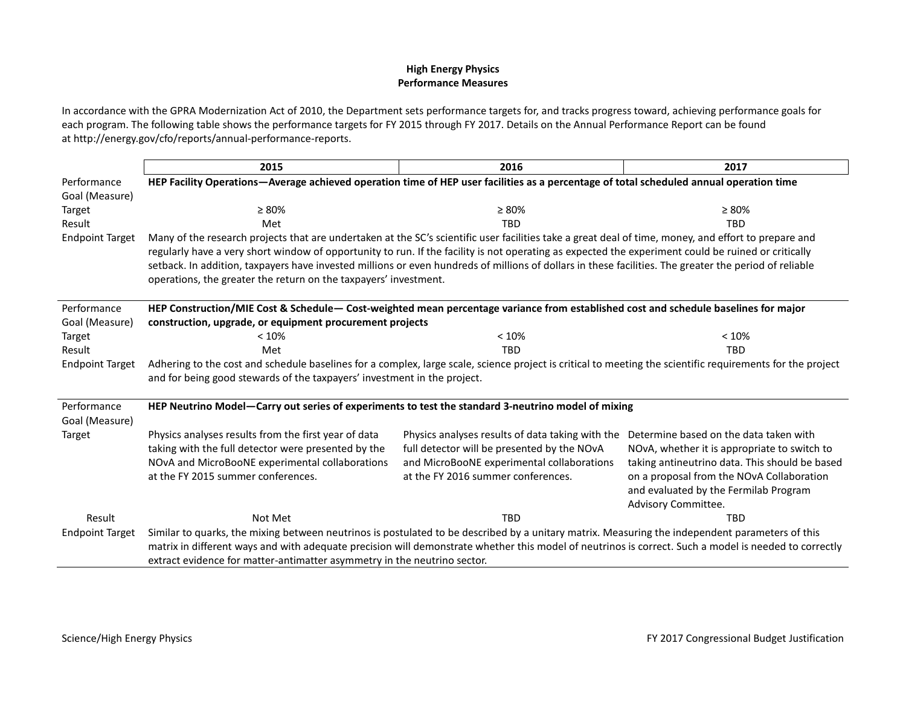#### **High Energy Physics Performance Measures**

In accordance with the GPRA Modernization Act of 2010, the Department sets performance targets for, and tracks progress toward, achieving performance goals for each program. The following table shows the performance targets for FY 2015 through FY 2017. Details on the Annual Performance Report can be found a[t http://energy.gov/cfo/reports/annual-performance-reports.](http://energy.gov/cfo/reports/annual-performance-reports)

|                               | 2015                                                                                                                                                                                                                                                                                                     | 2016                                             | 2017                                           |
|-------------------------------|----------------------------------------------------------------------------------------------------------------------------------------------------------------------------------------------------------------------------------------------------------------------------------------------------------|--------------------------------------------------|------------------------------------------------|
| Performance                   | HEP Facility Operations—Average achieved operation time of HEP user facilities as a percentage of total scheduled annual operation time                                                                                                                                                                  |                                                  |                                                |
| Goal (Measure)                |                                                                                                                                                                                                                                                                                                          |                                                  |                                                |
| Target                        | $\geq 80\%$                                                                                                                                                                                                                                                                                              | $\geq 80\%$                                      | $\geq 80\%$                                    |
| Result                        | Met                                                                                                                                                                                                                                                                                                      | <b>TBD</b>                                       | <b>TBD</b>                                     |
| <b>Endpoint Target</b>        | Many of the research projects that are undertaken at the SC's scientific user facilities take a great deal of time, money, and effort to prepare and                                                                                                                                                     |                                                  |                                                |
|                               | regularly have a very short window of opportunity to run. If the facility is not operating as expected the experiment could be ruined or critically                                                                                                                                                      |                                                  |                                                |
|                               | setback. In addition, taxpayers have invested millions or even hundreds of millions of dollars in these facilities. The greater the period of reliable                                                                                                                                                   |                                                  |                                                |
|                               | operations, the greater the return on the taxpayers' investment.                                                                                                                                                                                                                                         |                                                  |                                                |
| Performance                   | HEP Construction/MIE Cost & Schedule-Cost-weighted mean percentage variance from established cost and schedule baselines for major                                                                                                                                                                       |                                                  |                                                |
| Goal (Measure)                | construction, upgrade, or equipment procurement projects                                                                                                                                                                                                                                                 |                                                  |                                                |
| Target                        | < 10%                                                                                                                                                                                                                                                                                                    | < 10%                                            | < 10%                                          |
| Result                        | Met                                                                                                                                                                                                                                                                                                      | <b>TBD</b>                                       | <b>TRD</b>                                     |
| <b>Endpoint Target</b>        | Adhering to the cost and schedule baselines for a complex, large scale, science project is critical to meeting the scientific requirements for the project                                                                                                                                               |                                                  |                                                |
|                               | and for being good stewards of the taxpayers' investment in the project.                                                                                                                                                                                                                                 |                                                  |                                                |
| Performance<br>Goal (Measure) | HEP Neutrino Model-Carry out series of experiments to test the standard 3-neutrino model of mixing                                                                                                                                                                                                       |                                                  |                                                |
| Target                        | Physics analyses results from the first year of data                                                                                                                                                                                                                                                     | Physics analyses results of data taking with the | Determine based on the data taken with         |
|                               | taking with the full detector were presented by the                                                                                                                                                                                                                                                      | full detector will be presented by the NOvA      | NOvA, whether it is appropriate to switch to   |
|                               | NOvA and MicroBooNE experimental collaborations                                                                                                                                                                                                                                                          | and MicroBooNE experimental collaborations       | taking antineutrino data. This should be based |
|                               | at the FY 2015 summer conferences.                                                                                                                                                                                                                                                                       | at the FY 2016 summer conferences.               | on a proposal from the NOvA Collaboration      |
|                               |                                                                                                                                                                                                                                                                                                          |                                                  | and evaluated by the Fermilab Program          |
|                               |                                                                                                                                                                                                                                                                                                          |                                                  | Advisory Committee.                            |
| Result                        | Not Met                                                                                                                                                                                                                                                                                                  | <b>TBD</b>                                       | <b>TBD</b>                                     |
| <b>Endpoint Target</b>        | Similar to quarks, the mixing between neutrinos is postulated to be described by a unitary matrix. Measuring the independent parameters of this<br>matrix in different ways and with adequate precision will demonstrate whether this model of neutrinos is correct. Such a model is needed to correctly |                                                  |                                                |
|                               | extract evidence for matter-antimatter asymmetry in the neutrino sector.                                                                                                                                                                                                                                 |                                                  |                                                |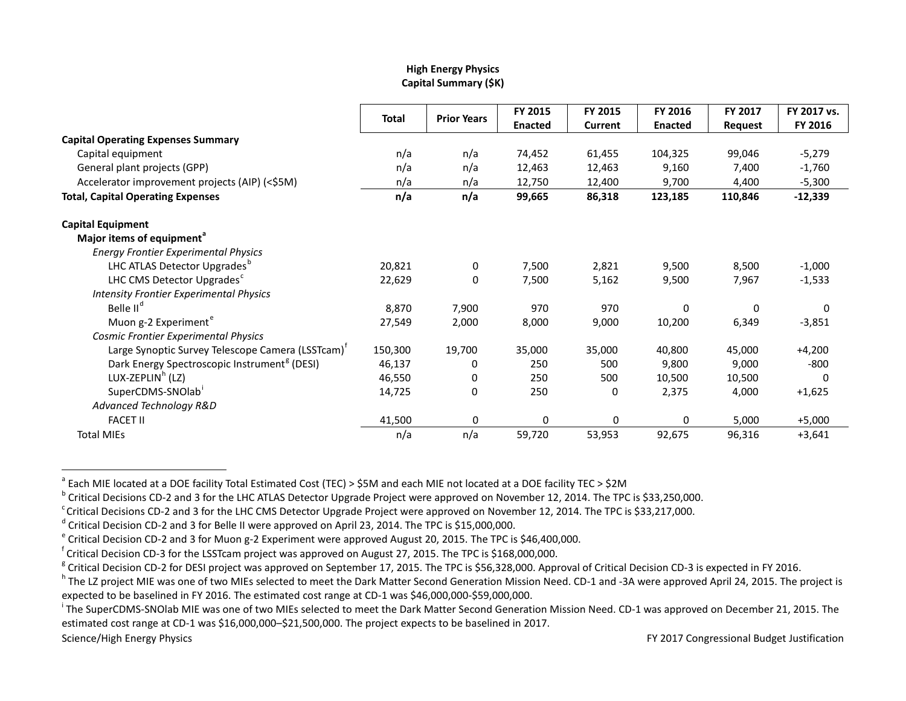# <span id="page-34-8"></span><span id="page-34-7"></span><span id="page-34-6"></span><span id="page-34-5"></span><span id="page-34-4"></span><span id="page-34-3"></span><span id="page-34-2"></span><span id="page-34-1"></span><span id="page-34-0"></span>**High Energy Physics Capital Summary (\$K)**

|                                                               |              |                    |                | FY 2015        | FY 2016        | FY 2017        | FY 2017 vs. |
|---------------------------------------------------------------|--------------|--------------------|----------------|----------------|----------------|----------------|-------------|
|                                                               | <b>Total</b> | <b>Prior Years</b> | <b>Enacted</b> | <b>Current</b> | <b>Enacted</b> | <b>Request</b> | FY 2016     |
| <b>Capital Operating Expenses Summary</b>                     |              |                    |                |                |                |                |             |
| Capital equipment                                             | n/a          | n/a                | 74,452         | 61,455         | 104,325        | 99,046         | $-5,279$    |
| General plant projects (GPP)                                  | n/a          | n/a                | 12,463         | 12,463         | 9,160          | 7,400          | $-1,760$    |
| Accelerator improvement projects (AIP) (<\$5M)                | n/a          | n/a                | 12,750         | 12,400         | 9,700          | 4,400          | $-5,300$    |
| <b>Total, Capital Operating Expenses</b>                      | n/a          | n/a                | 99,665         | 86,318         | 123,185        | 110,846        | $-12,339$   |
| <b>Capital Equipment</b>                                      |              |                    |                |                |                |                |             |
| Major items of equipment <sup>a</sup>                         |              |                    |                |                |                |                |             |
| <b>Energy Frontier Experimental Physics</b>                   |              |                    |                |                |                |                |             |
| LHC ATLAS Detector Upgrades <sup>b</sup>                      | 20,821       | 0                  | 7,500          | 2,821          | 9,500          | 8,500          | $-1,000$    |
| LHC CMS Detector Upgrades <sup>c</sup>                        | 22,629       | 0                  | 7,500          | 5,162          | 9,500          | 7,967          | $-1,533$    |
| <b>Intensity Frontier Experimental Physics</b>                |              |                    |                |                |                |                |             |
| Belle II <sup>d</sup>                                         | 8,870        | 7,900              | 970            | 970            | $\Omega$       | 0              | 0           |
| Muon g-2 Experiment <sup>e</sup>                              | 27,549       | 2,000              | 8,000          | 9,000          | 10,200         | 6,349          | $-3,851$    |
| Cosmic Frontier Experimental Physics                          |              |                    |                |                |                |                |             |
| Large Synoptic Survey Telescope Camera (LSSTcam) <sup>T</sup> | 150,300      | 19,700             | 35,000         | 35,000         | 40,800         | 45,000         | $+4,200$    |
| Dark Energy Spectroscopic Instrument <sup>8</sup> (DESI)      | 46,137       | 0                  | 250            | 500            | 9,800          | 9,000          | $-800$      |
| LUX-ZEPLIN <sup>h</sup> (LZ)                                  | 46,550       | 0                  | 250            | 500            | 10,500         | 10,500         | $\Omega$    |
| SuperCDMS-SNOlab                                              | 14,725       | 0                  | 250            | 0              | 2,375          | 4,000          | $+1,625$    |
| Advanced Technology R&D                                       |              |                    |                |                |                |                |             |
| <b>FACET II</b>                                               | 41,500       | 0                  | 0              | 0              | 0              | 5,000          | $+5,000$    |
| <b>Total MIEs</b>                                             | n/a          | n/a                | 59,720         | 53,953         | 92,675         | 96,316         | $+3,641$    |

<sup>a</sup> Each MIE located at a DOE facility Total Estimated Cost (TEC) > \$5M and each MIE not located at a DOE facility TEC > \$2M<br><sup>b</sup> Critical Decisions CD-2 and 3 for the LHC ATLAS Detector Upgrade Project were approved on No

<sup>&</sup>lt;sup>d</sup> Critical Decision CD-2 and 3 for Belle II were approved on April 23, 2014. The TPC is \$15,000,000.<br>
<sup>e</sup> Critical Decision CD-2 and 3 for Muon g-2 Experiment were approved August 20, 2015. The TPC is \$46,400,000.<br>
<sup>f</sup>

<sup>&</sup>lt;sup>8</sup> Critical Decision CD-2 for DESI project was approved on September 17, 2015. The TPC is \$56,328,000. Approval of Critical Decision CD-3 is expected in FY 2016.<br><sup>h</sup> The LZ project MIE was one of two MIEs selected to meet

expected to be baselined in FY 2016. The estimated cost range at CD-1 was \$46,000,000-\$59,000,000.

<sup>&</sup>lt;sup>1</sup> The SuperCDMS-SNOlab MIE was one of two MIEs selected to meet the Dark Matter Second Generation Mission Need. CD-1 was approved on December 21, 2015. The estimated cost range at CD-1 was \$16,000,000–\$21,500,000. The project expects to be baselined in 2017.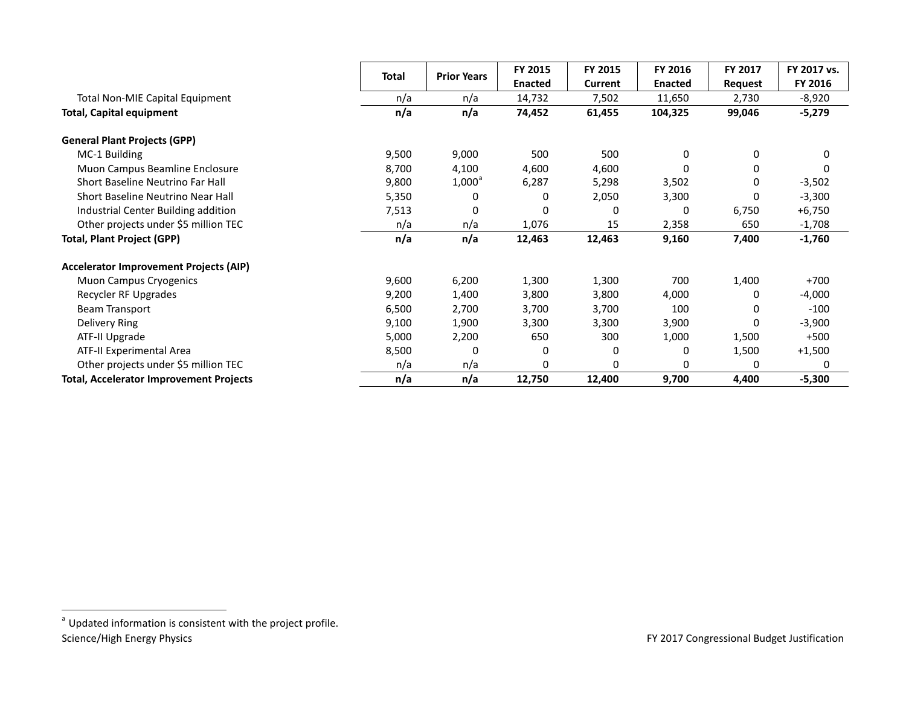<span id="page-35-0"></span>

|                                                |       | <b>Total</b><br><b>Prior Years</b> |                | FY 2015  | FY 2016        | FY 2017 | FY 2017 vs. |
|------------------------------------------------|-------|------------------------------------|----------------|----------|----------------|---------|-------------|
|                                                |       |                                    | <b>Enacted</b> | Current  | <b>Enacted</b> | Request | FY 2016     |
| Total Non-MIE Capital Equipment                | n/a   | n/a                                | 14,732         | 7,502    | 11,650         | 2,730   | $-8,920$    |
| <b>Total, Capital equipment</b>                | n/a   | n/a                                | 74,452         | 61,455   | 104,325        | 99,046  | $-5,279$    |
| <b>General Plant Projects (GPP)</b>            |       |                                    |                |          |                |         |             |
| MC-1 Building                                  | 9,500 | 9,000                              | 500            | 500      | $\Omega$       | 0       | 0           |
| Muon Campus Beamline Enclosure                 | 8,700 | 4,100                              | 4,600          | 4,600    | <sup>0</sup>   | 0       | $\Omega$    |
| Short Baseline Neutrino Far Hall               | 9,800 | $1,000^{\circ}$                    | 6,287          | 5,298    | 3,502          | 0       | $-3,502$    |
| Short Baseline Neutrino Near Hall              | 5,350 | 0                                  | 0              | 2,050    | 3,300          | 0       | $-3,300$    |
| Industrial Center Building addition            | 7,513 | 0                                  | 0              | $\Omega$ | 0              | 6,750   | $+6,750$    |
| Other projects under \$5 million TEC           | n/a   | n/a                                | 1,076          | 15       | 2,358          | 650     | $-1,708$    |
| <b>Total, Plant Project (GPP)</b>              | n/a   | n/a                                | 12,463         | 12,463   | 9,160          | 7,400   | $-1,760$    |
| <b>Accelerator Improvement Projects (AIP)</b>  |       |                                    |                |          |                |         |             |
| <b>Muon Campus Cryogenics</b>                  | 9,600 | 6,200                              | 1,300          | 1,300    | 700            | 1,400   | $+700$      |
| Recycler RF Upgrades                           | 9,200 | 1,400                              | 3,800          | 3,800    | 4,000          | 0       | $-4,000$    |
| Beam Transport                                 | 6,500 | 2,700                              | 3,700          | 3,700    | 100            | 0       | $-100$      |
| Delivery Ring                                  | 9,100 | 1,900                              | 3,300          | 3,300    | 3,900          | 0       | $-3,900$    |
| ATF-II Upgrade                                 | 5,000 | 2,200                              | 650            | 300      | 1,000          | 1,500   | $+500$      |
| ATF-II Experimental Area                       | 8,500 | 0                                  | 0              | $\Omega$ | 0              | 1,500   | $+1,500$    |
| Other projects under \$5 million TEC           | n/a   | n/a                                | 0              | 0        | 0              | 0       | 0           |
| <b>Total, Accelerator Improvement Projects</b> | n/a   | n/a                                | 12,750         | 12,400   | 9,700          | 4,400   | $-5,300$    |

Science/High Energy Physics **FY 2017** Congressional Budget Justification  $a$  Updated information is consistent with the project profile.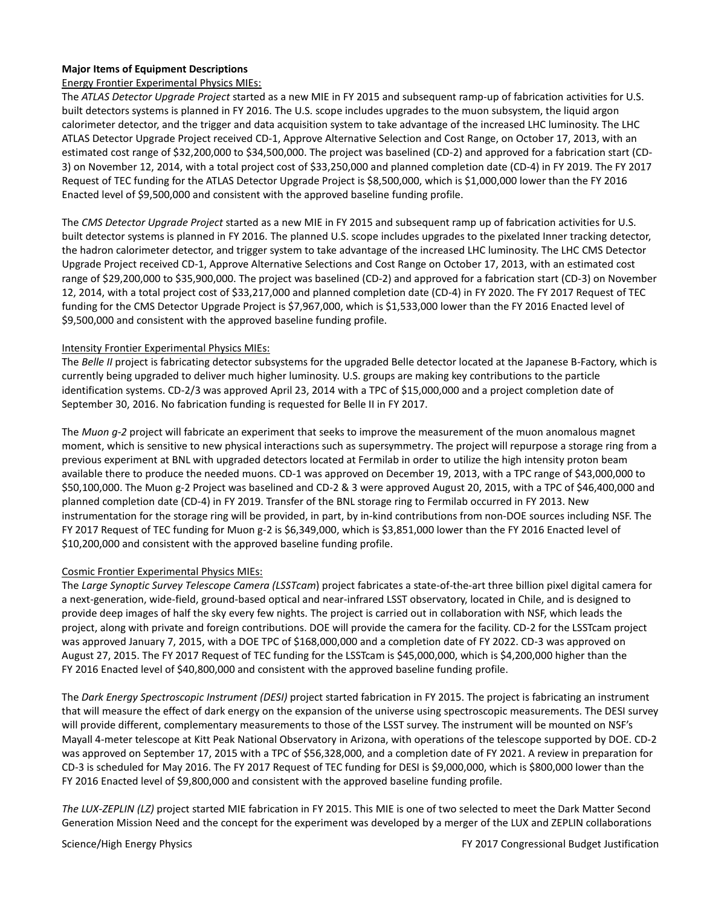### **Major Items of Equipment Descriptions**

#### Energy Frontier Experimental Physics MIEs:

The *ATLAS Detector Upgrade Project* started as a new MIE in FY 2015 and subsequent ramp-up of fabrication activities for U.S. built detectors systems is planned in FY 2016. The U.S. scope includes upgrades to the muon subsystem, the liquid argon calorimeter detector, and the trigger and data acquisition system to take advantage of the increased LHC luminosity. The LHC ATLAS Detector Upgrade Project received CD-1, Approve Alternative Selection and Cost Range, on October 17, 2013, with an estimated cost range of \$32,200,000 to \$34,500,000. The project was baselined (CD-2) and approved for a fabrication start (CD-3) on November 12, 2014, with a total project cost of \$33,250,000 and planned completion date (CD-4) in FY 2019. The FY 2017 Request of TEC funding for the ATLAS Detector Upgrade Project is \$8,500,000, which is \$1,000,000 lower than the FY 2016 Enacted level of \$9,500,000 and consistent with the approved baseline funding profile.

The *CMS Detector Upgrade Project* started as a new MIE in FY 2015 and subsequent ramp up of fabrication activities for U.S. built detector systems is planned in FY 2016. The planned U.S. scope includes upgrades to the pixelated Inner tracking detector, the hadron calorimeter detector, and trigger system to take advantage of the increased LHC luminosity. The LHC CMS Detector Upgrade Project received CD-1, Approve Alternative Selections and Cost Range on October 17, 2013, with an estimated cost range of \$29,200,000 to \$35,900,000. The project was baselined (CD-2) and approved for a fabrication start (CD-3) on November 12, 2014, with a total project cost of \$33,217,000 and planned completion date (CD-4) in FY 2020. The FY 2017 Request of TEC funding for the CMS Detector Upgrade Project is \$7,967,000, which is \$1,533,000 lower than the FY 2016 Enacted level of \$9,500,000 and consistent with the approved baseline funding profile.

#### Intensity Frontier Experimental Physics MIEs:

The *Belle II* project is fabricating detector subsystems for the upgraded Belle detector located at the Japanese B-Factory, which is currently being upgraded to deliver much higher luminosity. U.S. groups are making key contributions to the particle identification systems. CD-2/3 was approved April 23, 2014 with a TPC of \$15,000,000 and a project completion date of September 30, 2016. No fabrication funding is requested for Belle II in FY 2017.

The *Muon g-2* project will fabricate an experiment that seeks to improve the measurement of the muon anomalous magnet moment, which is sensitive to new physical interactions such as supersymmetry. The project will repurpose a storage ring from a previous experiment at BNL with upgraded detectors located at Fermilab in order to utilize the high intensity proton beam available there to produce the needed muons. CD-1 was approved on December 19, 2013, with a TPC range of \$43,000,000 to \$50,100,000. The Muon g-2 Project was baselined and CD-2 & 3 were approved August 20, 2015, with a TPC of \$46,400,000 and planned completion date (CD-4) in FY 2019. Transfer of the BNL storage ring to Fermilab occurred in FY 2013. New instrumentation for the storage ring will be provided, in part, by in-kind contributions from non-DOE sources including NSF. The FY 2017 Request of TEC funding for Muon g-2 is \$6,349,000, which is \$3,851,000 lower than the FY 2016 Enacted level of \$10,200,000 and consistent with the approved baseline funding profile.

### Cosmic Frontier Experimental Physics MIEs:

The *Large Synoptic Survey Telescope Camera (LSSTcam*) project fabricates a state-of-the-art three billion pixel digital camera for a next-generation, wide-field, ground-based optical and near-infrared LSST observatory, located in Chile, and is designed to provide deep images of half the sky every few nights. The project is carried out in collaboration with NSF, which leads the project, along with private and foreign contributions. DOE will provide the camera for the facility. CD-2 for the LSSTcam project was approved January 7, 2015, with a DOE TPC of \$168,000,000 and a completion date of FY 2022. CD-3 was approved on August 27, 2015. The FY 2017 Request of TEC funding for the LSSTcam is \$45,000,000, which is \$4,200,000 higher than the FY 2016 Enacted level of \$40,800,000 and consistent with the approved baseline funding profile.

The *Dark Energy Spectroscopic Instrument (DESI)* project started fabrication in FY 2015. The project is fabricating an instrument that will measure the effect of dark energy on the expansion of the universe using spectroscopic measurements. The DESI survey will provide different, complementary measurements to those of the LSST survey. The instrument will be mounted on NSF's Mayall 4-meter telescope at Kitt Peak National Observatory in Arizona, with operations of the telescope supported by DOE. CD-2 was approved on September 17, 2015 with a TPC of \$56,328,000, and a completion date of FY 2021. A review in preparation for CD-3 is scheduled for May 2016. The FY 2017 Request of TEC funding for DESI is \$9,000,000, which is \$800,000 lower than the FY 2016 Enacted level of \$9,800,000 and consistent with the approved baseline funding profile.

*The LUX-ZEPLIN (LZ)* project started MIE fabrication in FY 2015. This MIE is one of two selected to meet the Dark Matter Second Generation Mission Need and the concept for the experiment was developed by a merger of the LUX and ZEPLIN collaborations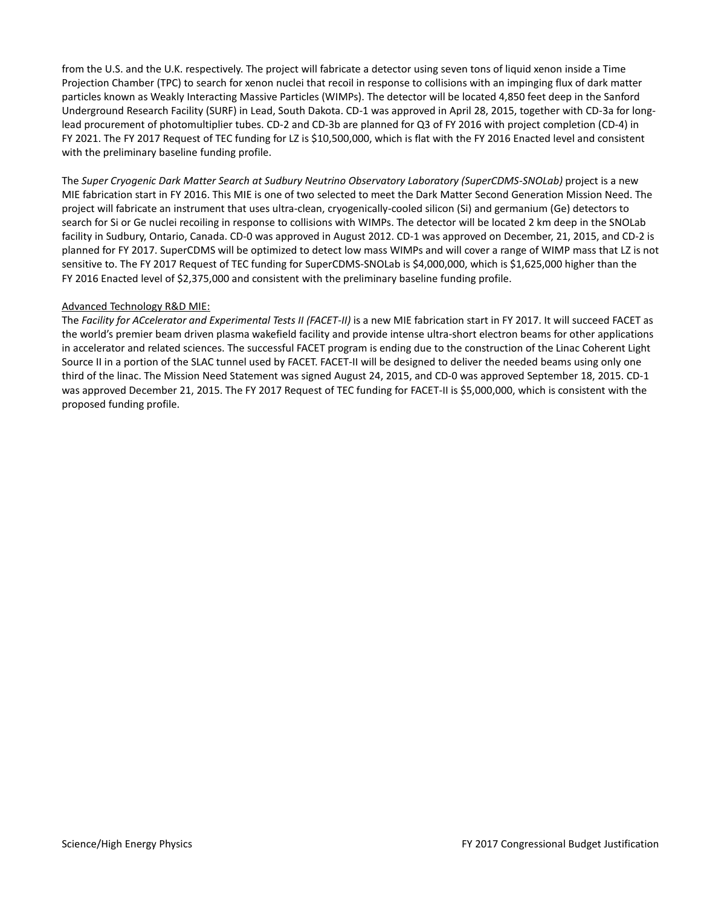from the U.S. and the U.K. respectively. The project will fabricate a detector using seven tons of liquid xenon inside a Time Projection Chamber (TPC) to search for xenon nuclei that recoil in response to collisions with an impinging flux of dark matter particles known as Weakly Interacting Massive Particles (WIMPs). The detector will be located 4,850 feet deep in the Sanford Underground Research Facility (SURF) in Lead, South Dakota. CD-1 was approved in April 28, 2015, together with CD-3a for longlead procurement of photomultiplier tubes. CD-2 and CD-3b are planned for Q3 of FY 2016 with project completion (CD-4) in FY 2021. The FY 2017 Request of TEC funding for LZ is \$10,500,000, which is flat with the FY 2016 Enacted level and consistent with the preliminary baseline funding profile.

The *Super Cryogenic Dark Matter Search at Sudbury Neutrino Observatory Laboratory (SuperCDMS-SNOLab)* project is a new MIE fabrication start in FY 2016. This MIE is one of two selected to meet the Dark Matter Second Generation Mission Need. The project will fabricate an instrument that uses ultra-clean, cryogenically-cooled silicon (Si) and germanium (Ge) detectors to search for Si or Ge nuclei recoiling in response to collisions with WIMPs. The detector will be located 2 km deep in the SNOLab facility in Sudbury, Ontario, Canada. CD-0 was approved in August 2012. CD-1 was approved on December, 21, 2015, and CD-2 is planned for FY 2017. SuperCDMS will be optimized to detect low mass WIMPs and will cover a range of WIMP mass that LZ is not sensitive to. The FY 2017 Request of TEC funding for SuperCDMS-SNOLab is \$4,000,000, which is \$1,625,000 higher than the FY 2016 Enacted level of \$2,375,000 and consistent with the preliminary baseline funding profile.

### Advanced Technology R&D MIE:

The *Facility for ACcelerator and Experimental Tests II (FACET-II)* is a new MIE fabrication start in FY 2017. It will succeed FACET as the world's premier beam driven plasma wakefield facility and provide intense ultra-short electron beams for other applications in accelerator and related sciences. The successful FACET program is ending due to the construction of the Linac Coherent Light Source II in a portion of the SLAC tunnel used by FACET. FACET-II will be designed to deliver the needed beams using only one third of the linac. The Mission Need Statement was signed August 24, 2015, and CD-0 was approved September 18, 2015. CD-1 was approved December 21, 2015. The FY 2017 Request of TEC funding for FACET-II is \$5,000,000, which is consistent with the proposed funding profile.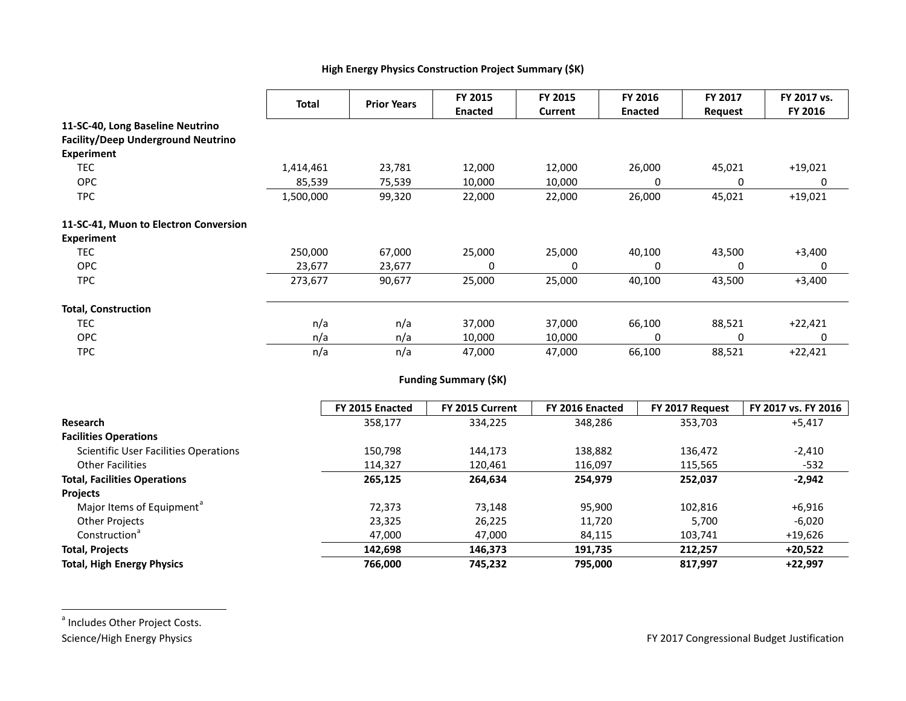# <span id="page-38-0"></span>**High Energy Physics Construction Project Summary (\$K)**

|                                           | <b>Total</b> | <b>Prior Years</b> | FY 2015<br><b>Enacted</b> | FY 2015<br>Current | FY 2016<br><b>Enacted</b> | FY 2017<br>Request | FY 2017 vs.<br>FY 2016 |
|-------------------------------------------|--------------|--------------------|---------------------------|--------------------|---------------------------|--------------------|------------------------|
| 11-SC-40, Long Baseline Neutrino          |              |                    |                           |                    |                           |                    |                        |
| <b>Facility/Deep Underground Neutrino</b> |              |                    |                           |                    |                           |                    |                        |
| <b>Experiment</b>                         |              |                    |                           |                    |                           |                    |                        |
| <b>TEC</b>                                | 1,414,461    | 23,781             | 12,000                    | 12,000             | 26,000                    | 45,021             | $+19,021$              |
| <b>OPC</b>                                | 85,539       | 75,539             | 10,000                    | 10,000             | 0                         | 0                  | 0                      |
| <b>TPC</b>                                | 1,500,000    | 99,320             | 22,000                    | 22,000             | 26,000                    | 45,021             | $+19,021$              |
| 11-SC-41, Muon to Electron Conversion     |              |                    |                           |                    |                           |                    |                        |
| <b>Experiment</b>                         |              |                    |                           |                    |                           |                    |                        |
| <b>TEC</b>                                | 250,000      | 67,000             | 25,000                    | 25,000             | 40,100                    | 43,500             | $+3,400$               |
| <b>OPC</b>                                | 23,677       | 23,677             | 0                         | 0                  | 0                         | 0                  | 0                      |
| <b>TPC</b>                                | 273,677      | 90,677             | 25,000                    | 25,000             | 40,100                    | 43,500             | $+3,400$               |
| <b>Total, Construction</b>                |              |                    |                           |                    |                           |                    |                        |
| <b>TEC</b>                                | n/a          | n/a                | 37,000                    | 37,000             | 66,100                    | 88,521             | $+22,421$              |
| <b>OPC</b>                                | n/a          | n/a                | 10,000                    | 10,000             | 0                         | 0                  | 0                      |
| <b>TPC</b>                                | n/a          | n/a                | 47,000                    | 47,000             | 66,100                    | 88,521             | $+22,421$              |

# **Funding Summary (\$K)**

|                                              | FY 2015 Enacted | FY 2015 Current | FY 2016 Enacted | FY 2017 Request | FY 2017 vs. FY 2016 |
|----------------------------------------------|-----------------|-----------------|-----------------|-----------------|---------------------|
| Research                                     | 358,177         | 334,225         | 348,286         | 353,703         | $+5,417$            |
| <b>Facilities Operations</b>                 |                 |                 |                 |                 |                     |
| <b>Scientific User Facilities Operations</b> | 150.798         | 144.173         | 138,882         | 136,472         | $-2,410$            |
| <b>Other Facilities</b>                      | 114,327         | 120,461         | 116,097         | 115,565         | $-532$              |
| <b>Total, Facilities Operations</b>          | 265,125         | 264,634         | 254,979         | 252,037         | $-2,942$            |
| <b>Projects</b>                              |                 |                 |                 |                 |                     |
| Major Items of Equipment <sup>a</sup>        | 72.373          | 73.148          | 95,900          | 102.816         | $+6,916$            |
| <b>Other Projects</b>                        | 23,325          | 26,225          | 11,720          | 5,700           | $-6,020$            |
| Construction <sup>a</sup>                    | 47,000          | 47,000          | 84,115          | 103,741         | $+19,626$           |
| <b>Total, Projects</b>                       | 142,698         | 146,373         | 191,735         | 212,257         | $+20,522$           |
| <b>Total, High Energy Physics</b>            | 766,000         | 745,232         | 795,000         | 817,997         | $+22.997$           |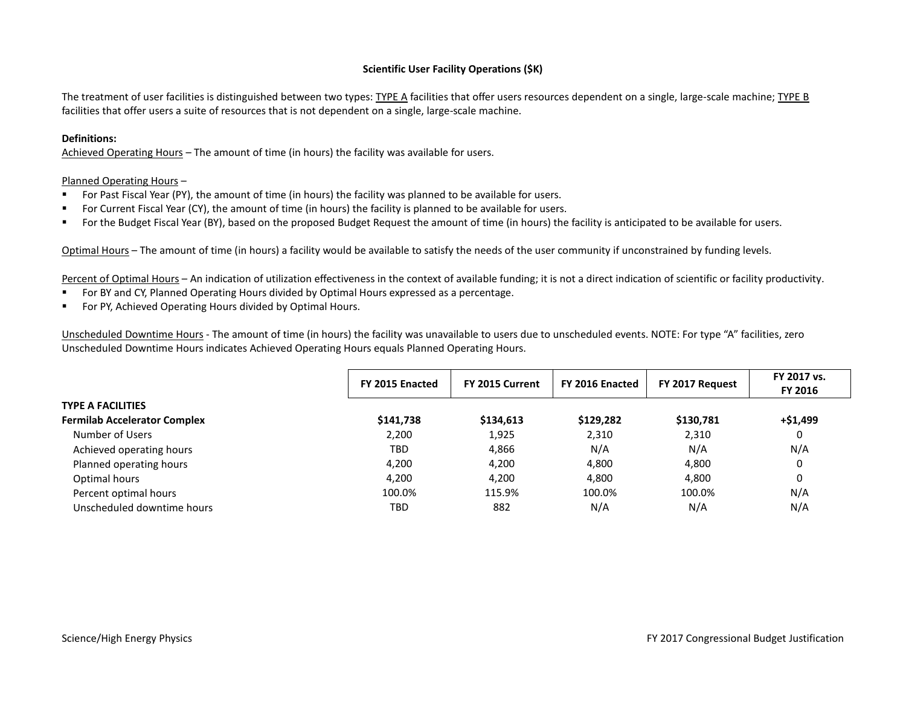### **Scientific User Facility Operations (\$K)**

The treatment of user facilities is distinguished between two types: TYPE A facilities that offer users resources dependent on a single, large-scale machine; TYPE B facilities that offer users a suite of resources that is not dependent on a single, large-scale machine.

#### **Definitions:**

Achieved Operating Hours – The amount of time (in hours) the facility was available for users.

#### Planned Operating Hours –

- For Past Fiscal Year (PY), the amount of time (in hours) the facility was planned to be available for users.
- For Current Fiscal Year (CY), the amount of time (in hours) the facility is planned to be available for users.
- For the Budget Fiscal Year (BY), based on the proposed Budget Request the amount of time (in hours) the facility is anticipated to be available for users.

Optimal Hours – The amount of time (in hours) a facility would be available to satisfy the needs of the user community if unconstrained by funding levels.

Percent of Optimal Hours - An indication of utilization effectiveness in the context of available funding; it is not a direct indication of scientific or facility productivity.

- For BY and CY, Planned Operating Hours divided by Optimal Hours expressed as a percentage.
- **For PY, Achieved Operating Hours divided by Optimal Hours.**

Unscheduled Downtime Hours - The amount of time (in hours) the facility was unavailable to users due to unscheduled events. NOTE: For type "A" facilities, zero Unscheduled Downtime Hours indicates Achieved Operating Hours equals Planned Operating Hours.

|                                     | FY 2015 Enacted | FY 2015 Current<br>FY 2016 Enacted |           | FY 2017 Request | FY 2017 vs.<br>FY 2016 |
|-------------------------------------|-----------------|------------------------------------|-----------|-----------------|------------------------|
| <b>TYPE A FACILITIES</b>            |                 |                                    |           |                 |                        |
| <b>Fermilab Accelerator Complex</b> | \$141,738       | \$134,613                          | \$129,282 | \$130,781       | +\$1,499               |
| Number of Users                     | 2,200           | 1,925                              | 2,310     | 2,310           | 0                      |
| Achieved operating hours            | <b>TBD</b>      | 4,866                              | N/A       | N/A             | N/A                    |
| Planned operating hours             | 4.200           | 4,200                              | 4,800     | 4,800           | 0                      |
| Optimal hours                       | 4.200           | 4.200                              | 4,800     | 4.800           | 0                      |
| Percent optimal hours               | 100.0%          | 115.9%                             | 100.0%    | 100.0%          | N/A                    |
| Unscheduled downtime hours          | <b>TBD</b>      | 882                                | N/A       | N/A             | N/A                    |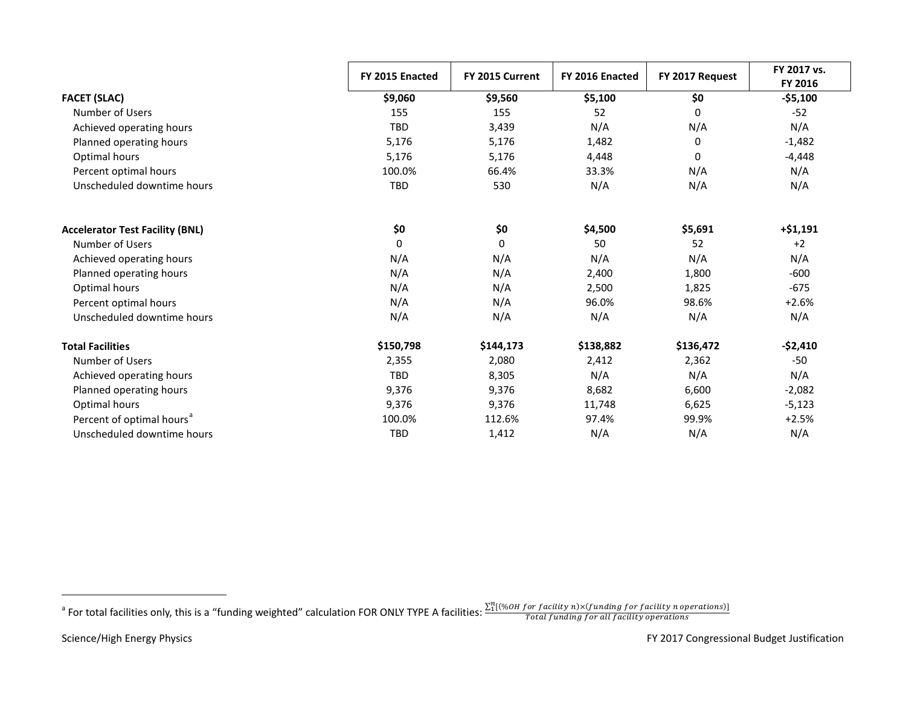<span id="page-40-0"></span>

|                                        | FY 2015 Enacted | FY 2015 Current | FY 2016 Enacted | FY 2017 Request | FY 2017 vs.<br>FY 2016 |
|----------------------------------------|-----------------|-----------------|-----------------|-----------------|------------------------|
| <b>FACET (SLAC)</b>                    | \$9,060         | \$9,560         | \$5,100         | \$0             | $- $5,100$             |
| Number of Users                        | 155             | 155             | 52              | $\mathbf 0$     | $-52$                  |
| Achieved operating hours               | <b>TBD</b>      | 3,439           | N/A             | N/A             | N/A                    |
| Planned operating hours                | 5,176           | 5,176           | 1,482           | 0               | $-1,482$               |
| Optimal hours                          | 5,176           | 5,176           | 4,448           | 0               | $-4,448$               |
| Percent optimal hours                  | 100.0%          | 66.4%           | 33.3%           | N/A             | N/A                    |
| Unscheduled downtime hours             | <b>TBD</b>      | 530             | N/A             | N/A             | N/A                    |
| <b>Accelerator Test Facility (BNL)</b> | \$0             | \$0             | \$4,500         | \$5,691         | $+ $1,191$             |
| Number of Users                        | $\mathbf 0$     | 0               | 50              | 52              | $+2$                   |
| Achieved operating hours               | N/A             | N/A             | N/A             | N/A             | N/A                    |
| Planned operating hours                | N/A             | N/A             | 2,400           | 1,800           | $-600$                 |
| Optimal hours                          | N/A             | N/A             | 2,500           | 1,825           | $-675$                 |
| Percent optimal hours                  | N/A             | N/A             | 96.0%           | 98.6%           | $+2.6%$                |
| Unscheduled downtime hours             | N/A             | N/A             | N/A             | N/A             | N/A                    |
| <b>Total Facilities</b>                | \$150,798       | \$144,173       | \$138,882       | \$136,472       | $-$2,410$              |
| Number of Users                        | 2,355           | 2,080           | 2,412           | 2,362           | $-50$                  |
| Achieved operating hours               | <b>TBD</b>      | 8,305           | N/A             | N/A             | N/A                    |
| Planned operating hours                | 9,376           | 9,376           | 8,682           | 6,600           | $-2,082$               |
| Optimal hours                          | 9,376           | 9,376           | 11,748          | 6,625           | $-5,123$               |
| Percent of optimal hours <sup>a</sup>  | 100.0%          | 112.6%          | 97.4%           | 99.9%           | $+2.5%$                |
| Unscheduled downtime hours             | <b>TBD</b>      | 1,412           | N/A             | N/A             | N/A                    |

a For total facilities only, this is a "funding weighted" calculation FOR ONLY TYPE A facilities:  $\frac{\sum_{1}^{n}[(\%OH for facility N)/(funding for facility N)]}{Total funding for all facility operations}$ 

 $\overline{a}$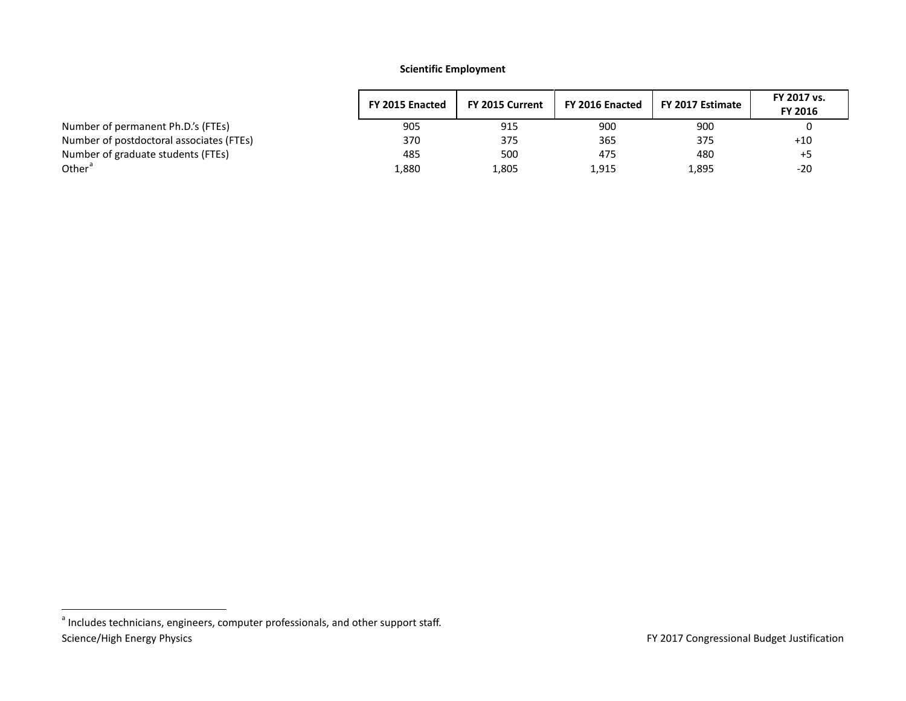# <span id="page-41-0"></span>**Scientific Employment**

|                                          | FY 2015 Enacted | FY 2015 Current | FY 2016 Enacted | FY 2017 Estimate | FY 2017 vs.<br>FY 2016 |
|------------------------------------------|-----------------|-----------------|-----------------|------------------|------------------------|
| Number of permanent Ph.D.'s (FTEs)       | 905             | 915             | 900             | 900              |                        |
| Number of postdoctoral associates (FTEs) | 370             | 375             | 365             | 375              | $+10$                  |
| Number of graduate students (FTEs)       | 485             | 500             | 475             | 480              | +5                     |
| Other <sup>a</sup>                       | 1,880           | 1,805           | 1,915           | 1,895            | $-20$                  |

Science/High Energy Physics **FY 2017** Congressional Budget Justification <sup>a</sup> Includes technicians, engineers, computer professionals, and other support staff.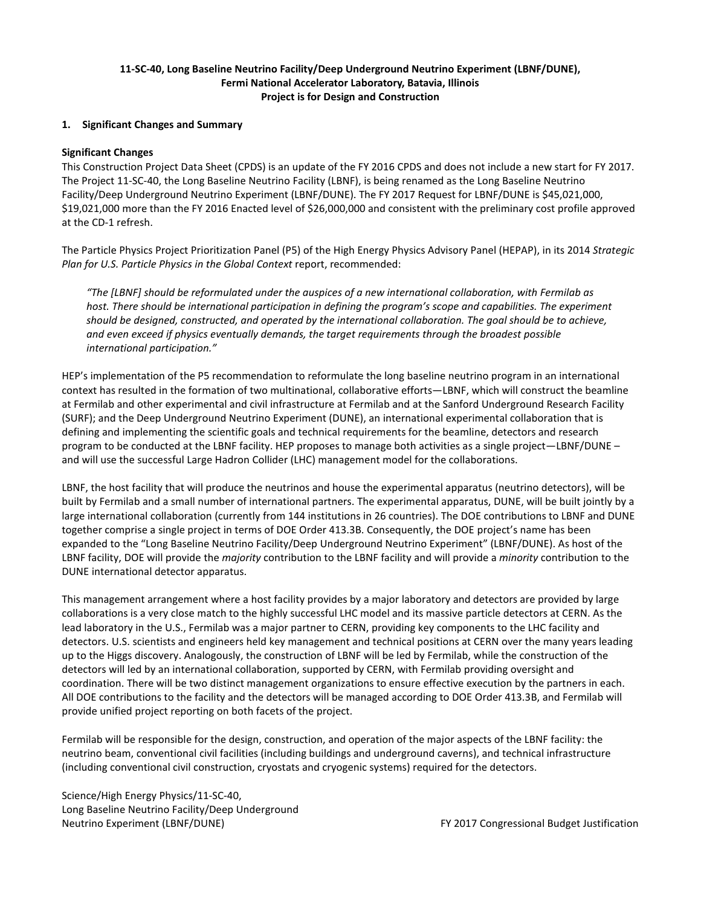# **11-SC-40, Long Baseline Neutrino Facility/Deep Underground Neutrino Experiment (LBNF/DUNE), Fermi National Accelerator Laboratory, Batavia, Illinois Project is for Design and Construction**

#### **1. Significant Changes and Summary**

#### **Significant Changes**

This Construction Project Data Sheet (CPDS) is an update of the FY 2016 CPDS and does not include a new start for FY 2017. The Project 11-SC-40, the Long Baseline Neutrino Facility (LBNF), is being renamed as the Long Baseline Neutrino Facility/Deep Underground Neutrino Experiment (LBNF/DUNE). The FY 2017 Request for LBNF/DUNE is \$45,021,000, \$19,021,000 more than the FY 2016 Enacted level of \$26,000,000 and consistent with the preliminary cost profile approved at the CD-1 refresh.

The Particle Physics Project Prioritization Panel (P5) of the High Energy Physics Advisory Panel (HEPAP), in its 2014 *Strategic Plan for U.S. Particle Physics in the Global Context* report, recommended:

*"The [LBNF] should be reformulated under the auspices of a new international collaboration, with Fermilab as host. There should be international participation in defining the program's scope and capabilities. The experiment should be designed, constructed, and operated by the international collaboration. The goal should be to achieve, and even exceed if physics eventually demands, the target requirements through the broadest possible international participation."*

HEP's implementation of the P5 recommendation to reformulate the long baseline neutrino program in an international context has resulted in the formation of two multinational, collaborative efforts—LBNF, which will construct the beamline at Fermilab and other experimental and civil infrastructure at Fermilab and at the Sanford Underground Research Facility (SURF); and the Deep Underground Neutrino Experiment (DUNE), an international experimental collaboration that is defining and implementing the scientific goals and technical requirements for the beamline, detectors and research program to be conducted at the LBNF facility. HEP proposes to manage both activities as a single project—LBNF/DUNE – and will use the successful Large Hadron Collider (LHC) management model for the collaborations.

LBNF, the host facility that will produce the neutrinos and house the experimental apparatus (neutrino detectors), will be built by Fermilab and a small number of international partners. The experimental apparatus, DUNE, will be built jointly by a large international collaboration (currently from 144 institutions in 26 countries). The DOE contributions to LBNF and DUNE together comprise a single project in terms of DOE Order 413.3B. Consequently, the DOE project's name has been expanded to the "Long Baseline Neutrino Facility/Deep Underground Neutrino Experiment" (LBNF/DUNE). As host of the LBNF facility, DOE will provide the *majority* contribution to the LBNF facility and will provide a *minority* contribution to the DUNE international detector apparatus.

This management arrangement where a host facility provides by a major laboratory and detectors are provided by large collaborations is a very close match to the highly successful LHC model and its massive particle detectors at CERN. As the lead laboratory in the U.S., Fermilab was a major partner to CERN, providing key components to the LHC facility and detectors. U.S. scientists and engineers held key management and technical positions at CERN over the many years leading up to the Higgs discovery. Analogously, the construction of LBNF will be led by Fermilab, while the construction of the detectors will led by an international collaboration, supported by CERN, with Fermilab providing oversight and coordination. There will be two distinct management organizations to ensure effective execution by the partners in each. All DOE contributions to the facility and the detectors will be managed according to DOE Order 413.3B, and Fermilab will provide unified project reporting on both facets of the project.

Fermilab will be responsible for the design, construction, and operation of the major aspects of the LBNF facility: the neutrino beam, conventional civil facilities (including buildings and underground caverns), and technical infrastructure (including conventional civil construction, cryostats and cryogenic systems) required for the detectors.

Science/High Energy Physics/11-SC-40, Long Baseline Neutrino Facility/Deep Underground Neutrino Experiment (LBNF/DUNE) FY 2017 Congressional Budget Justification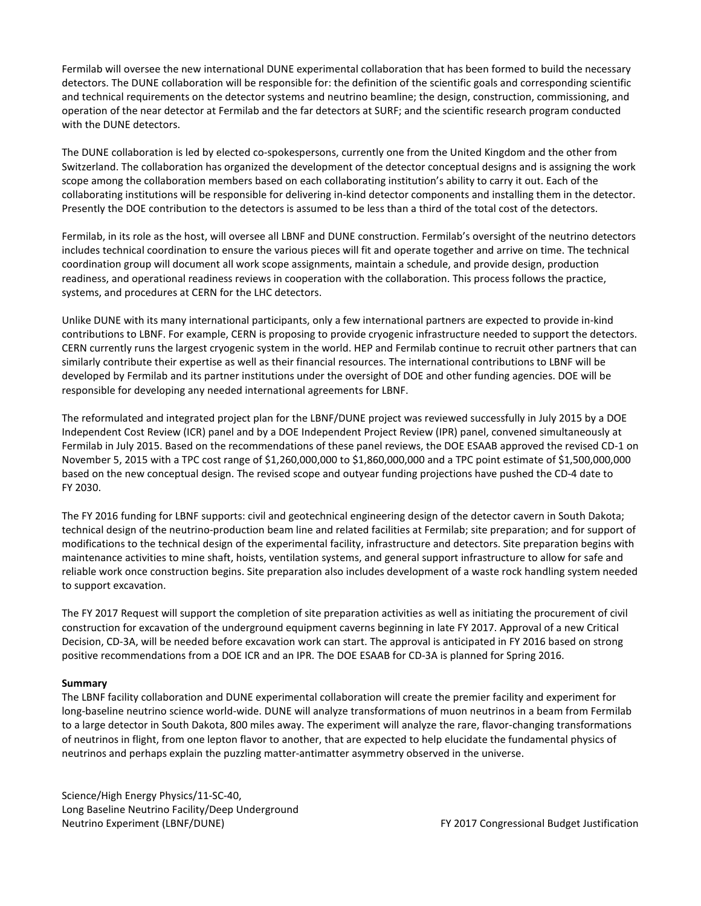Fermilab will oversee the new international DUNE experimental collaboration that has been formed to build the necessary detectors. The DUNE collaboration will be responsible for: the definition of the scientific goals and corresponding scientific and technical requirements on the detector systems and neutrino beamline; the design, construction, commissioning, and operation of the near detector at Fermilab and the far detectors at SURF; and the scientific research program conducted with the DUNE detectors.

The DUNE collaboration is led by elected co-spokespersons, currently one from the United Kingdom and the other from Switzerland. The collaboration has organized the development of the detector conceptual designs and is assigning the work scope among the collaboration members based on each collaborating institution's ability to carry it out. Each of the collaborating institutions will be responsible for delivering in-kind detector components and installing them in the detector. Presently the DOE contribution to the detectors is assumed to be less than a third of the total cost of the detectors.

Fermilab, in its role as the host, will oversee all LBNF and DUNE construction. Fermilab's oversight of the neutrino detectors includes technical coordination to ensure the various pieces will fit and operate together and arrive on time. The technical coordination group will document all work scope assignments, maintain a schedule, and provide design, production readiness, and operational readiness reviews in cooperation with the collaboration. This process follows the practice, systems, and procedures at CERN for the LHC detectors.

Unlike DUNE with its many international participants, only a few international partners are expected to provide in-kind contributions to LBNF. For example, CERN is proposing to provide cryogenic infrastructure needed to support the detectors. CERN currently runs the largest cryogenic system in the world. HEP and Fermilab continue to recruit other partners that can similarly contribute their expertise as well as their financial resources. The international contributions to LBNF will be developed by Fermilab and its partner institutions under the oversight of DOE and other funding agencies. DOE will be responsible for developing any needed international agreements for LBNF.

The reformulated and integrated project plan for the LBNF/DUNE project was reviewed successfully in July 2015 by a DOE Independent Cost Review (ICR) panel and by a DOE Independent Project Review (IPR) panel, convened simultaneously at Fermilab in July 2015. Based on the recommendations of these panel reviews, the DOE ESAAB approved the revised CD-1 on November 5, 2015 with a TPC cost range of \$1,260,000,000 to \$1,860,000,000 and a TPC point estimate of \$1,500,000,000 based on the new conceptual design. The revised scope and outyear funding projections have pushed the CD-4 date to FY 2030.

The FY 2016 funding for LBNF supports: civil and geotechnical engineering design of the detector cavern in South Dakota; technical design of the neutrino-production beam line and related facilities at Fermilab; site preparation; and for support of modifications to the technical design of the experimental facility, infrastructure and detectors. Site preparation begins with maintenance activities to mine shaft, hoists, ventilation systems, and general support infrastructure to allow for safe and reliable work once construction begins. Site preparation also includes development of a waste rock handling system needed to support excavation.

The FY 2017 Request will support the completion of site preparation activities as well as initiating the procurement of civil construction for excavation of the underground equipment caverns beginning in late FY 2017. Approval of a new Critical Decision, CD-3A, will be needed before excavation work can start. The approval is anticipated in FY 2016 based on strong positive recommendations from a DOE ICR and an IPR. The DOE ESAAB for CD-3A is planned for Spring 2016.

### **Summary**

The LBNF facility collaboration and DUNE experimental collaboration will create the premier facility and experiment for long-baseline neutrino science world-wide. DUNE will analyze transformations of muon neutrinos in a beam from Fermilab to a large detector in South Dakota, 800 miles away. The experiment will analyze the rare, flavor-changing transformations of neutrinos in flight, from one lepton flavor to another, that are expected to help elucidate the fundamental physics of neutrinos and perhaps explain the puzzling matter-antimatter asymmetry observed in the universe.

Science/High Energy Physics/11-SC-40, Long Baseline Neutrino Facility/Deep Underground Neutrino Experiment (LBNF/DUNE) FY 2017 Congressional Budget Justification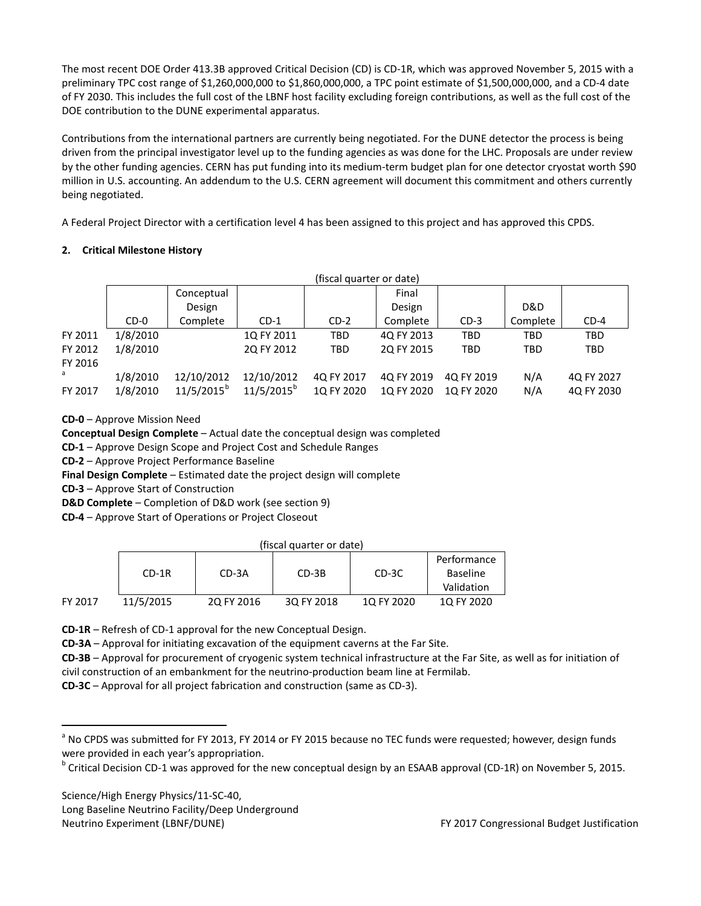The most recent DOE Order 413.3B approved Critical Decision (CD) is CD-1R, which was approved November 5, 2015 with a preliminary TPC cost range of \$1,260,000,000 to \$1,860,000,000, a TPC point estimate of \$1,500,000,000, and a CD-4 date of FY 2030. This includes the full cost of the LBNF host facility excluding foreign contributions, as well as the full cost of the DOE contribution to the DUNE experimental apparatus.

Contributions from the international partners are currently being negotiated. For the DUNE detector the process is being driven from the principal investigator level up to the funding agencies as was done for the LHC. Proposals are under review by the other funding agencies. CERN has put funding into its medium-term budget plan for one detector cryostat worth \$90 million in U.S. accounting. An addendum to the U.S. CERN agreement will document this commitment and others currently being negotiated.

A Federal Project Director with a certification level 4 has been assigned to this project and has approved this CPDS.

# **2. Critical Milestone History**

|         | (fiscal quarter or date) |               |               |            |            |            |            |            |
|---------|--------------------------|---------------|---------------|------------|------------|------------|------------|------------|
|         |                          | Conceptual    |               |            | Final      |            |            |            |
|         |                          | Design        |               |            | Design     |            | D&D        |            |
|         | $CD-0$                   | Complete      | $CD-1$        | $CD-2$     | Complete   | $CD-3$     | Complete   | $CD-4$     |
| FY 2011 | 1/8/2010                 |               | 1Q FY 2011    | TBD        | 4Q FY 2013 | <b>TBD</b> | <b>TBD</b> | <b>TBD</b> |
| FY 2012 | 1/8/2010                 |               | 2Q FY 2012    | <b>TBD</b> | 2Q FY 2015 | <b>TBD</b> | <b>TBD</b> | <b>TBD</b> |
| FY 2016 |                          |               |               |            |            |            |            |            |
| a       | 1/8/2010                 | 12/10/2012    | 12/10/2012    | 4Q FY 2017 | 4Q FY 2019 | 4Q FY 2019 | N/A        | 4Q FY 2027 |
| FY 2017 | 1/8/2010                 | $11/5/2015^b$ | $11/5/2015^b$ | 1Q FY 2020 | 1Q FY 2020 | 1Q FY 2020 | N/A        | 4Q FY 2030 |

**CD-0** – Approve Mission Need

**Conceptual Design Complete** – Actual date the conceptual design was completed

**CD-1** – Approve Design Scope and Project Cost and Schedule Ranges

**CD-2** – Approve Project Performance Baseline

**Final Design Complete** – Estimated date the project design will complete

**CD-3** – Approve Start of Construction

**D&D Complete** – Completion of D&D work (see section 9)

**CD-4** – Approve Start of Operations or Project Closeout

| (fiscal quarter or date) |  |
|--------------------------|--|
|                          |  |

|         | $CD-1R$   | CD-3A      | $CD-3B$    | CD-3C      | Performance<br><b>Baseline</b> |
|---------|-----------|------------|------------|------------|--------------------------------|
|         |           |            |            |            | Validation                     |
| FY 2017 | 11/5/2015 | 2Q FY 2016 | 3Q FY 2018 | 10 FY 2020 | 10 FY 2020                     |

**CD-1R** – Refresh of CD-1 approval for the new Conceptual Design.

**CD-3A** – Approval for initiating excavation of the equipment caverns at the Far Site.

**CD-3B** – Approval for procurement of cryogenic system technical infrastructure at the Far Site, as well as for initiation of civil construction of an embankment for the neutrino-production beam line at Fermilab.

**CD-3C** – Approval for all project fabrication and construction (same as CD-3).

Science/High Energy Physics/11-SC-40, Long Baseline Neutrino Facility/Deep Underground

<span id="page-44-0"></span><sup>&</sup>lt;sup>a</sup> No CPDS was submitted for FY 2013, FY 2014 or FY 2015 because no TEC funds were requested; however, design funds were provided in each year's appropriation.

<span id="page-44-1"></span><sup>&</sup>lt;sup>b</sup> Critical Decision CD-1 was approved for the new conceptual design by an ESAAB approval (CD-1R) on November 5, 2015.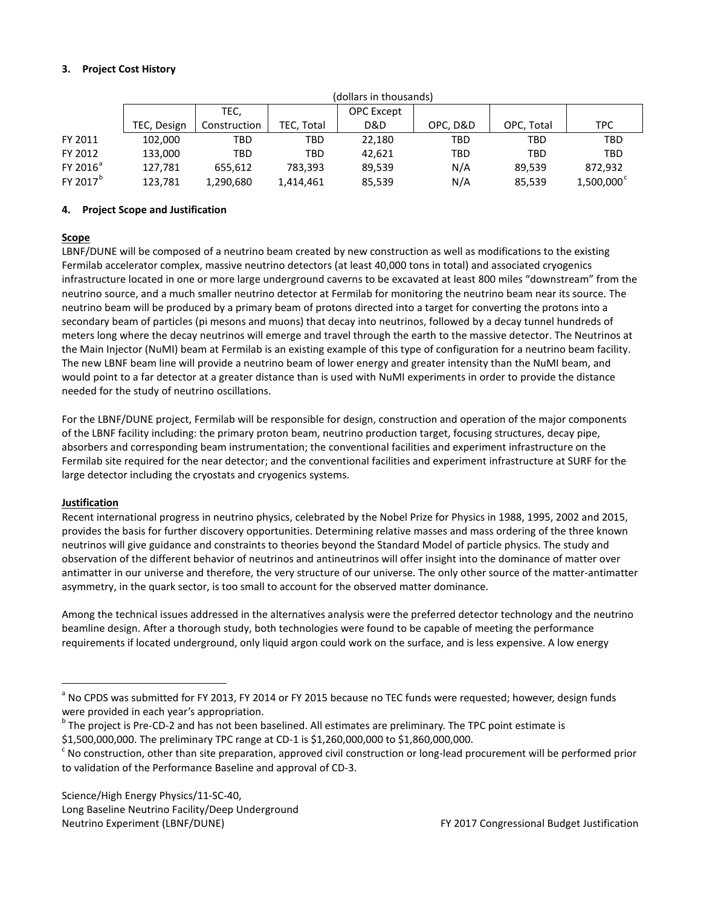# **3. Project Cost History**

|                      | (dollars in thousands) |                           |            |        |            |            |                     |
|----------------------|------------------------|---------------------------|------------|--------|------------|------------|---------------------|
|                      |                        | TEC,<br><b>OPC</b> Except |            |        |            |            |                     |
|                      | TEC, Design            | Construction              | TEC, Total | D&D    | OPC. D&D   | OPC, Total | <b>TPC</b>          |
| FY 2011              | 102,000                | TBD                       | TBD        | 22.180 | TBD        | TBD        | <b>TBD</b>          |
| FY 2012              | 133,000                | TBD                       | <b>TBD</b> | 42.621 | <b>TBD</b> | TBD        | <b>TBD</b>          |
| FY 2016 <sup>ª</sup> | 127.781                | 655.612                   | 783.393    | 89,539 | N/A        | 89.539     | 872,932             |
| FY 2017 <sup>b</sup> | 123,781                | 1,290,680                 | 1,414,461  | 85,539 | N/A        | 85,539     | $1,500,000^{\circ}$ |

(dollars in thousands)

### **4. Project Scope and Justification**

# **Scope**

LBNF/DUNE will be composed of a neutrino beam created by new construction as well as modifications to the existing Fermilab accelerator complex, massive neutrino detectors (at least 40,000 tons in total) and associated cryogenics infrastructure located in one or more large underground caverns to be excavated at least 800 miles "downstream" from the neutrino source, and a much smaller neutrino detector at Fermilab for monitoring the neutrino beam near its source. The neutrino beam will be produced by a primary beam of protons directed into a target for converting the protons into a secondary beam of particles (pi mesons and muons) that decay into neutrinos, followed by a decay tunnel hundreds of meters long where the decay neutrinos will emerge and travel through the earth to the massive detector. The Neutrinos at the Main Injector (NuMI) beam at Fermilab is an existing example of this type of configuration for a neutrino beam facility. The new LBNF beam line will provide a neutrino beam of lower energy and greater intensity than the NuMI beam, and would point to a far detector at a greater distance than is used with NuMI experiments in order to provide the distance needed for the study of neutrino oscillations.

For the LBNF/DUNE project, Fermilab will be responsible for design, construction and operation of the major components of the LBNF facility including: the primary proton beam, neutrino production target, focusing structures, decay pipe, absorbers and corresponding beam instrumentation; the conventional facilities and experiment infrastructure on the Fermilab site required for the near detector; and the conventional facilities and experiment infrastructure at SURF for the large detector including the cryostats and cryogenics systems.

# **Justification**

Recent international progress in neutrino physics, celebrated by the Nobel Prize for Physics in 1988, 1995, 2002 and 2015, provides the basis for further discovery opportunities. Determining relative masses and mass ordering of the three known neutrinos will give guidance and constraints to theories beyond the Standard Model of particle physics. The study and observation of the different behavior of neutrinos and antineutrinos will offer insight into the dominance of matter over antimatter in our universe and therefore, the very structure of our universe. The only other source of the matter-antimatter asymmetry, in the quark sector, is too small to account for the observed matter dominance.

Among the technical issues addressed in the alternatives analysis were the preferred detector technology and the neutrino beamline design. After a thorough study, both technologies were found to be capable of meeting the performance requirements if located underground, only liquid argon could work on the surface, and is less expensive. A low energy

<span id="page-45-0"></span><sup>&</sup>lt;sup>a</sup> No CPDS was submitted for FY 2013, FY 2014 or FY 2015 because no TEC funds were requested; however, design funds

<span id="page-45-1"></span>were provided in each year's appropriation.<br> $b$  The project is Pre-CD-2 and has not been baselined. All estimates are preliminary. The TPC point estimate is

<span id="page-45-2"></span><sup>\$1,500,000,000.</sup> The preliminary TPC range at CD-1 is \$1,260,000,000 to \$1,860,000,000.<br>
So construction, other than site preparation, approved civil construction or long-lead procurement will be performed prior<br>
So constru to validation of the Performance Baseline and approval of CD-3.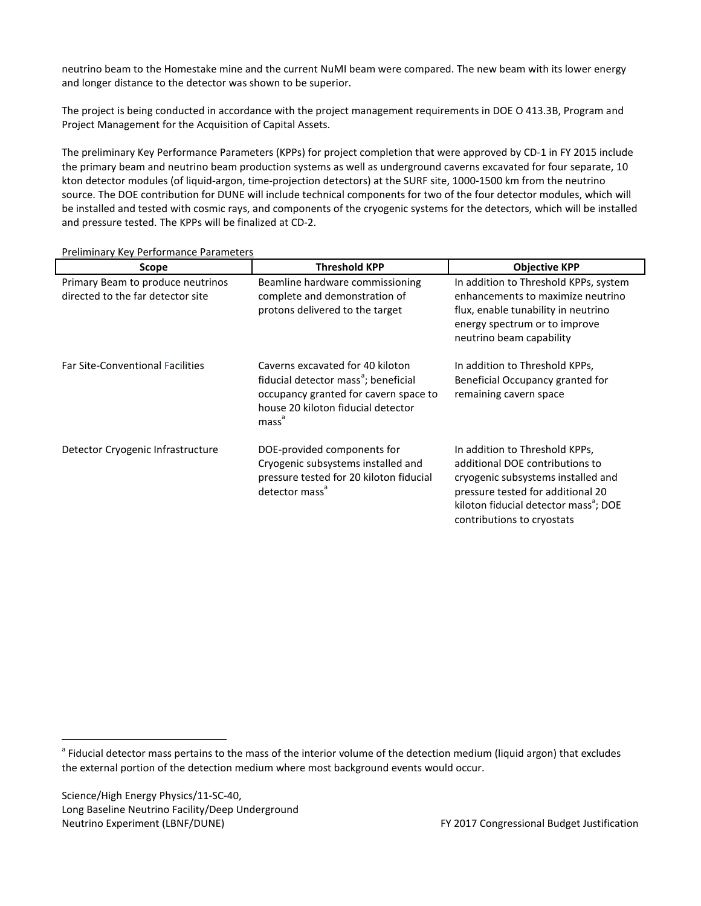neutrino beam to the Homestake mine and the current NuMI beam were compared. The new beam with its lower energy and longer distance to the detector was shown to be superior.

The project is being conducted in accordance with the project management requirements in DOE O 413.3B, Program and Project Management for the Acquisition of Capital Assets.

The preliminary Key Performance Parameters (KPPs) for project completion that were approved by CD-1 in FY 2015 include the primary beam and neutrino beam production systems as well as underground caverns excavated for four separate, 10 kton detector modules (of liquid-argon, time-projection detectors) at the SURF site, 1000-1500 km from the neutrino source. The DOE contribution for DUNE will include technical components for two of the four detector modules, which will be installed and tested with cosmic rays, and components of the cryogenic systems for the detectors, which will be installed and pressure tested. The KPPs will be finalized at CD-2.

| Scope                                                                  | <b>Threshold KPP</b>                                                                                                                                                                     | <b>Objective KPP</b>                                                                                                                                                                                                            |
|------------------------------------------------------------------------|------------------------------------------------------------------------------------------------------------------------------------------------------------------------------------------|---------------------------------------------------------------------------------------------------------------------------------------------------------------------------------------------------------------------------------|
| Primary Beam to produce neutrinos<br>directed to the far detector site | Beamline hardware commissioning<br>complete and demonstration of<br>protons delivered to the target                                                                                      | In addition to Threshold KPPs, system<br>enhancements to maximize neutrino<br>flux, enable tunability in neutrino<br>energy spectrum or to improve<br>neutrino beam capability                                                  |
| <b>Far Site-Conventional Facilities</b>                                | Caverns excavated for 40 kiloton<br>fiducial detector mass <sup>a</sup> ; beneficial<br>occupancy granted for cavern space to<br>house 20 kiloton fiducial detector<br>mass <sup>ª</sup> | In addition to Threshold KPPs,<br>Beneficial Occupancy granted for<br>remaining cavern space                                                                                                                                    |
| Detector Cryogenic Infrastructure                                      | DOE-provided components for<br>Cryogenic subsystems installed and<br>pressure tested for 20 kiloton fiducial<br>detector mass <sup>a</sup>                                               | In addition to Threshold KPPs,<br>additional DOE contributions to<br>cryogenic subsystems installed and<br>pressure tested for additional 20<br>kiloton fiducial detector mass <sup>a</sup> ; DOE<br>contributions to cryostats |

Preliminary Key Performance Parameters

<span id="page-46-0"></span><sup>&</sup>lt;sup>a</sup> Fiducial detector mass pertains to the mass of the interior volume of the detection medium (liquid argon) that excludes the external portion of the detection medium where most background events would occur.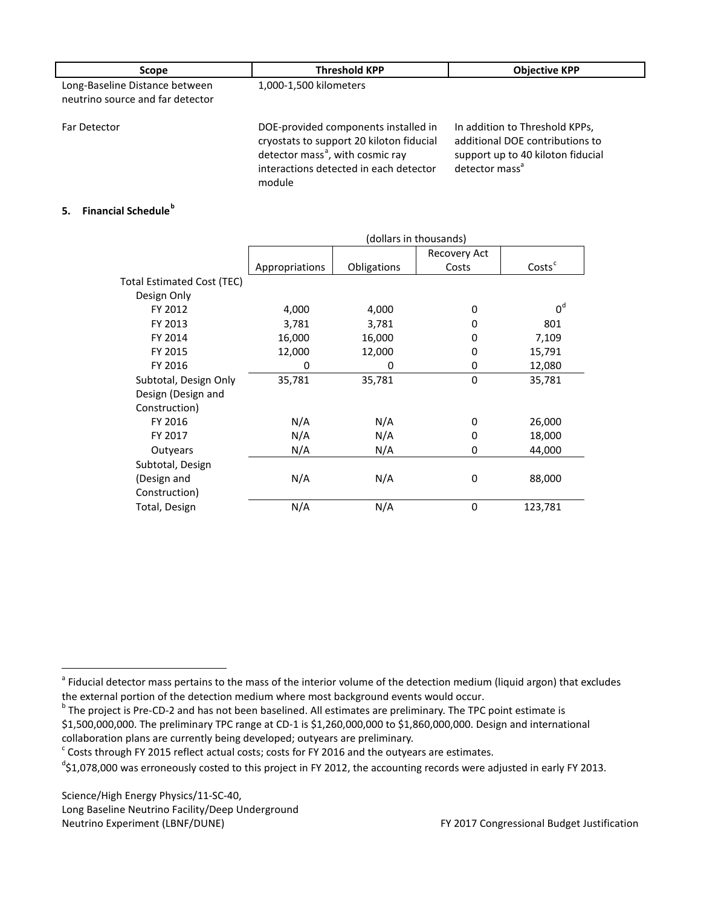| <b>Scope</b>                                                       | <b>Threshold KPP</b>                                                                                                                                                                 | <b>Objective KPP</b>                                                                                                                 |
|--------------------------------------------------------------------|--------------------------------------------------------------------------------------------------------------------------------------------------------------------------------------|--------------------------------------------------------------------------------------------------------------------------------------|
| Long-Baseline Distance between<br>neutrino source and far detector | 1,000-1,500 kilometers                                                                                                                                                               |                                                                                                                                      |
| Far Detector                                                       | DOE-provided components installed in<br>cryostats to support 20 kiloton fiducial<br>detector mass <sup>a</sup> , with cosmic ray<br>interactions detected in each detector<br>module | In addition to Threshold KPPs,<br>additional DOE contributions to<br>support up to 40 kiloton fiducial<br>detector mass <sup>a</sup> |

# **5. Financial Schedule[b](#page-47-1)**

|                            | (dollars in thousands) |             |              |                    |  |
|----------------------------|------------------------|-------------|--------------|--------------------|--|
|                            |                        |             | Recovery Act |                    |  |
|                            | Appropriations         | Obligations | Costs        | Costs <sup>c</sup> |  |
| Total Estimated Cost (TEC) |                        |             |              |                    |  |
| Design Only                |                        |             |              |                    |  |
| FY 2012                    | 4,000                  | 4,000       | 0            | 0 <sup>d</sup>     |  |
| FY 2013                    | 3,781                  | 3,781       | 0            | 801                |  |
| FY 2014                    | 16,000                 | 16,000      | 0            | 7,109              |  |
| FY 2015                    | 12,000                 | 12,000      | 0            | 15,791             |  |
| FY 2016                    | 0                      | 0           | 0            | 12,080             |  |
| Subtotal, Design Only      | 35,781                 | 35,781      | 0            | 35,781             |  |
| Design (Design and         |                        |             |              |                    |  |
| Construction)              |                        |             |              |                    |  |
| FY 2016                    | N/A                    | N/A         | 0            | 26,000             |  |
| FY 2017                    | N/A                    | N/A         | 0            | 18,000             |  |
| Outyears                   | N/A                    | N/A         | 0            | 44,000             |  |
| Subtotal, Design           |                        |             |              |                    |  |
| (Design and                | N/A                    | N/A         | 0            | 88,000             |  |
| Construction)              |                        |             |              |                    |  |
| Total, Design              | N/A                    | N/A         | $\mathbf 0$  | 123,781            |  |

Science/High Energy Physics/11-SC-40, Long Baseline Neutrino Facility/Deep Underground Neutrino Experiment (LBNF/DUNE) FY 2017 Congressional Budget Justification

<span id="page-47-0"></span><sup>&</sup>lt;sup>a</sup> Fiducial detector mass pertains to the mass of the interior volume of the detection medium (liquid argon) that excludes

<span id="page-47-1"></span>the external portion of the detection medium where most background events would occur.<br><sup>b</sup> The project is Pre-CD-2 and has not been baselined. All estimates are preliminary. The TPC point estimate is

<sup>\$1,500,000,000.</sup> The preliminary TPC range at CD-1 is \$1,260,000,000 to \$1,860,000,000. Design and international collaboration plans are currently being developed; outyears are preliminary.

<span id="page-47-2"></span> $c$  Costs through FY 2015 reflect actual costs; costs for FY 2016 and the outyears are estimates.

<span id="page-47-3"></span><sup>&</sup>lt;sup>d</sup>\$1,078,000 was erroneously costed to this project in FY 2012, the accounting records were adjusted in early FY 2013.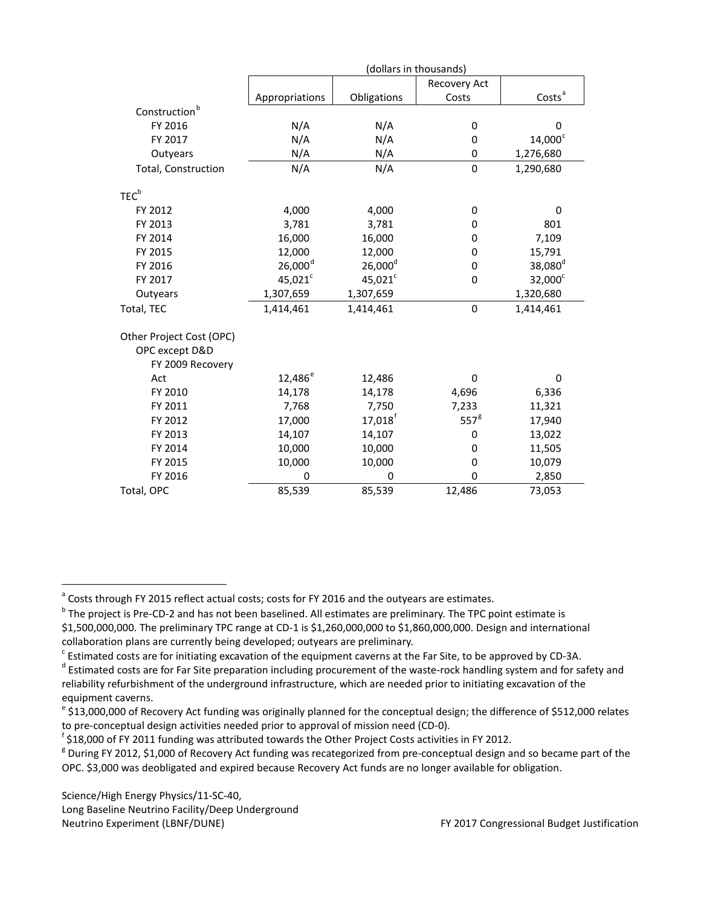|                                                                | (dollars in thousands) |                       |                  |                     |  |
|----------------------------------------------------------------|------------------------|-----------------------|------------------|---------------------|--|
|                                                                |                        |                       | Recovery Act     |                     |  |
|                                                                | Appropriations         | Obligations           | Costs            | Costs <sup>a</sup>  |  |
| Construction <sup>b</sup>                                      |                        |                       |                  |                     |  |
| FY 2016                                                        | N/A                    | N/A                   | 0                | 0                   |  |
| FY 2017                                                        | N/A                    | N/A                   | 0                | 14,000 <sup>c</sup> |  |
| Outyears                                                       | N/A                    | N/A                   | 0                | 1,276,680           |  |
| Total, Construction                                            | N/A                    | N/A                   | $\mathbf 0$      | 1,290,680           |  |
| TEC <sup>b</sup>                                               |                        |                       |                  |                     |  |
| FY 2012                                                        | 4,000                  | 4,000                 | 0                | 0                   |  |
| FY 2013                                                        | 3,781                  | 3,781                 | 0                | 801                 |  |
| FY 2014                                                        | 16,000                 | 16,000                | 0                | 7,109               |  |
| FY 2015                                                        | 12,000                 | 12,000                | 0                | 15,791              |  |
| FY 2016                                                        | $26,000$ <sup>d</sup>  | $26,000^d$            | $\mathbf 0$      | 38,080 <sup>d</sup> |  |
| FY 2017                                                        | $45,021^c$             | $45,021^c$            | 0                | $32,000^c$          |  |
| Outyears                                                       | 1,307,659              | 1,307,659             |                  | 1,320,680           |  |
| Total, TEC                                                     | 1,414,461              | 1,414,461             | $\mathbf 0$      | 1,414,461           |  |
| Other Project Cost (OPC)<br>OPC except D&D<br>FY 2009 Recovery |                        |                       |                  |                     |  |
| Act                                                            | 12,486 <sup>e</sup>    | 12,486                | 0                | 0                   |  |
| FY 2010                                                        | 14,178                 | 14,178                | 4,696            | 6,336               |  |
| FY 2011                                                        | 7,768                  | 7,750                 | 7,233            | 11,321              |  |
| FY 2012                                                        | 17,000                 | $17,018$ <sup>f</sup> | 557 <sup>g</sup> | 17,940              |  |
| FY 2013                                                        | 14,107                 | 14,107                | 0                | 13,022              |  |
| FY 2014                                                        | 10,000                 | 10,000                | 0                | 11,505              |  |
| FY 2015                                                        | 10,000                 | 10,000                | 0                | 10,079              |  |
| FY 2016                                                        | 0                      | 0                     | 0                | 2,850               |  |
| Total, OPC                                                     | 85,539                 | 85,539                | 12,486           | 73,053              |  |

<span id="page-48-0"></span><sup>a</sup> Costs through FY 2015 reflect actual costs; costs for FY 2016 and the outyears are estimates.

Science/High Energy Physics/11-SC-40, Long Baseline Neutrino Facility/Deep Underground Neutrino Experiment (LBNF/DUNE) FY 2017 Congressional Budget Justification

<span id="page-48-1"></span><sup>&</sup>lt;sup>b</sup> The project is Pre-CD-2 and has not been baselined. All estimates are preliminary. The TPC point estimate is \$1,500,000,000. The preliminary TPC range at CD-1 is \$1,260,000,000 to \$1,860,000,000. Design and international collaboration plans are currently being developed; outyears are preliminary.

<span id="page-48-3"></span><span id="page-48-2"></span> $^c$  Estimated costs are for initiating excavation of the equipment caverns at the Far Site, to be approved by CD-3A.<br>d Estimated costs are for Far Site preparation including procurement of the waste-rock handling system reliability refurbishment of the underground infrastructure, which are needed prior to initiating excavation of the equipment caverns.

<span id="page-48-4"></span> $e^{i}$ \$13,000,000 of Recovery Act funding was originally planned for the conceptual design; the difference of \$512,000 relates to pre-conceptual design activities needed prior to approval of mission need (CD-0).<br><sup>f</sup> \$18,000 of FY 2011 funding was attributed towards the Other Project Costs activities in FY 2012.

<span id="page-48-5"></span>

<span id="page-48-6"></span> $8$  During FY 2012, \$1,000 of Recovery Act funding was recategorized from pre-conceptual design and so became part of the OPC. \$3,000 was deobligated and expired because Recovery Act funds are no longer available for obligation.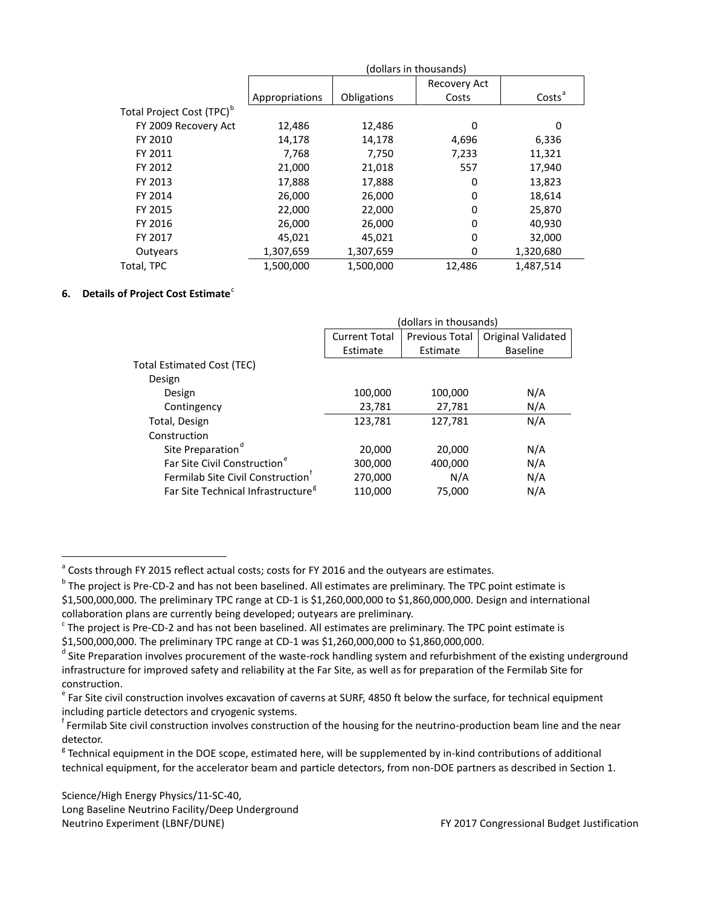| (dollars in thousands) |             |        |                     |  |  |
|------------------------|-------------|--------|---------------------|--|--|
|                        |             |        |                     |  |  |
| Appropriations         | Obligations | Costs  | Costs <sup>ª</sup>  |  |  |
|                        |             |        |                     |  |  |
| 12,486                 | 12,486      | 0      | 0                   |  |  |
| 14,178                 | 14,178      | 4,696  | 6,336               |  |  |
| 7,768                  | 7,750       | 7,233  | 11,321              |  |  |
| 21,000                 | 21,018      | 557    | 17,940              |  |  |
| 17,888                 | 17,888      | 0      | 13,823              |  |  |
| 26,000                 | 26,000      | 0      | 18,614              |  |  |
| 22,000                 | 22,000      | 0      | 25,870              |  |  |
| 26,000                 | 26,000      | 0      | 40,930              |  |  |
| 45,021                 | 45,021      | 0      | 32,000              |  |  |
| 1,307,659              | 1,307,659   | 0      | 1,320,680           |  |  |
| 1,500,000              | 1,500,000   | 12,486 | 1,487,514           |  |  |
|                        |             |        | <b>Recovery Act</b> |  |  |

# **6. Details of Proje[c](#page-49-2)t Cost Estimate**<sup>c</sup>

|                                                |                      | (dollars in thousands) |                    |  |  |  |
|------------------------------------------------|----------------------|------------------------|--------------------|--|--|--|
|                                                | <b>Current Total</b> | Previous Total         | Original Validated |  |  |  |
|                                                | Estimate             | Estimate               | <b>Baseline</b>    |  |  |  |
| Total Estimated Cost (TEC)                     |                      |                        |                    |  |  |  |
| Design                                         |                      |                        |                    |  |  |  |
| Design                                         | 100,000              | 100,000                | N/A                |  |  |  |
| Contingency                                    | 23,781               | 27,781                 | N/A                |  |  |  |
| Total, Design                                  | 123,781              | 127,781                | N/A                |  |  |  |
| Construction                                   |                      |                        |                    |  |  |  |
| Site Preparation <sup>d</sup>                  | 20,000               | 20,000                 | N/A                |  |  |  |
| Far Site Civil Construction <sup>e</sup>       | 300,000              | 400,000                | N/A                |  |  |  |
| Fermilab Site Civil Construction <sup>t</sup>  | 270,000              | N/A                    | N/A                |  |  |  |
| Far Site Technical Infrastructure <sup>8</sup> | 110,000              | 75,000                 | N/A                |  |  |  |

<span id="page-49-0"></span><sup>&</sup>lt;sup>a</sup> Costs through FY 2015 reflect actual costs; costs for FY 2016 and the outyears are estimates.

<span id="page-49-1"></span><sup>&</sup>lt;sup>b</sup> The project is Pre-CD-2 and has not been baselined. All estimates are preliminary. The TPC point estimate is \$1,500,000,000. The preliminary TPC range at CD-1 is \$1,260,000,000 to \$1,860,000,000. Design and international collaboration plans are currently being developed; outyears are preliminary.

<span id="page-49-2"></span><sup>&</sup>lt;sup>c</sup> The project is Pre-CD-2 and has not been baselined. All estimates are preliminary. The TPC point estimate is

<span id="page-49-3"></span><sup>\$1,500,000,000.</sup> The preliminary TPC range at CD-1 was \$1,260,000,000 to \$1,860,000,000.<br><sup>d</sup> Site Preparation involves procurement of the waste-rock handling system and refurbishment of the existing underground infrastructure for improved safety and reliability at the Far Site, as well as for preparation of the Fermilab Site for construction.

<span id="page-49-4"></span><sup>&</sup>lt;sup>e</sup> Far Site civil construction involves excavation of caverns at SURF, 4850 ft below the surface, for technical equipment including particle detectors and cryogenic systems.

<span id="page-49-5"></span><sup>&</sup>lt;sup>f</sup> Fermilab Site civil construction involves construction of the housing for the neutrino-production beam line and the near detector.

<span id="page-49-6"></span> $8$  Technical equipment in the DOE scope, estimated here, will be supplemented by in-kind contributions of additional technical equipment, for the accelerator beam and particle detectors, from non-DOE partners as described in Section 1.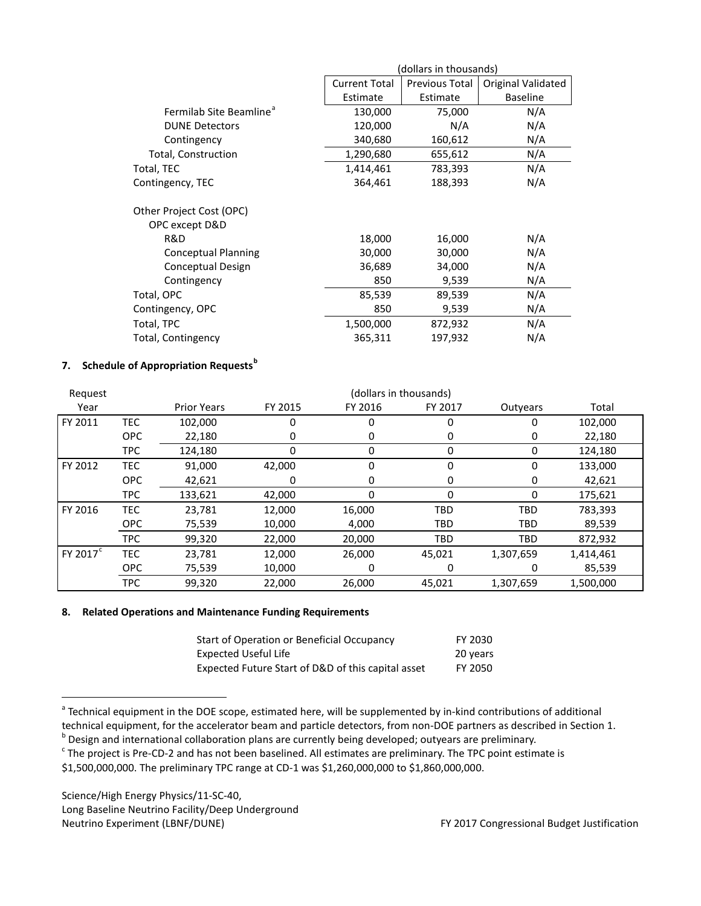|                                     | (dollars in thousands) |                |                    |  |  |
|-------------------------------------|------------------------|----------------|--------------------|--|--|
|                                     | <b>Current Total</b>   | Previous Total | Original Validated |  |  |
|                                     | Estimate               | Estimate       | <b>Baseline</b>    |  |  |
| Fermilab Site Beamline <sup>®</sup> | 130,000                | 75,000         | N/A                |  |  |
| <b>DUNE Detectors</b>               | 120,000                | N/A            | N/A                |  |  |
| Contingency                         | 340,680                | 160,612        | N/A                |  |  |
| Total, Construction                 | 1,290,680              | 655,612        | N/A                |  |  |
| Total, TEC                          | 1,414,461              | 783,393        | N/A                |  |  |
| Contingency, TEC                    | 364,461                | 188,393        | N/A                |  |  |
| Other Project Cost (OPC)            |                        |                |                    |  |  |
| OPC except D&D                      |                        |                |                    |  |  |
| R&D                                 | 18,000                 | 16,000         | N/A                |  |  |
| <b>Conceptual Planning</b>          | 30,000                 | 30,000         | N/A                |  |  |
| Conceptual Design                   | 36,689                 | 34,000         | N/A                |  |  |
| Contingency                         | 850                    | 9,539          | N/A                |  |  |
| Total, OPC                          | 85,539                 | 89,539         | N/A                |  |  |
| Contingency, OPC                    | 850                    | 9,539          | N/A                |  |  |
| Total, TPC                          | 1,500,000              | 872,932        | N/A                |  |  |
| Total, Contingency                  | 365,311                | 197,932        | N/A                |  |  |

# **7. Schedule of Appropriation Requests[b](#page-50-1)**

| Request              |            | (dollars in thousands) |         |         |            |            |           |
|----------------------|------------|------------------------|---------|---------|------------|------------|-----------|
| Year                 |            | <b>Prior Years</b>     | FY 2015 | FY 2016 | FY 2017    | Outyears   | Total     |
| FY 2011              | <b>TEC</b> | 102,000                | 0       |         | 0          | 0          | 102,000   |
|                      | <b>OPC</b> | 22,180                 | 0       | 0       | 0          | 0          | 22,180    |
|                      | <b>TPC</b> | 124,180                | 0       | 0       | 0          | 0          | 124,180   |
| FY 2012              | <b>TEC</b> | 91,000                 | 42,000  | 0       | 0          | 0          | 133,000   |
|                      | <b>OPC</b> | 42,621                 | 0       | 0       | 0          | 0          | 42,621    |
|                      | <b>TPC</b> | 133,621                | 42,000  | 0       | 0          | 0          | 175,621   |
| FY 2016              | <b>TEC</b> | 23,781                 | 12,000  | 16,000  | TBD        | <b>TBD</b> | 783,393   |
|                      | <b>OPC</b> | 75,539                 | 10,000  | 4,000   | <b>TBD</b> | <b>TBD</b> | 89,539    |
|                      | <b>TPC</b> | 99,320                 | 22,000  | 20,000  | TBD        | <b>TBD</b> | 872,932   |
| FY 2017 <sup>c</sup> | <b>TEC</b> | 23,781                 | 12,000  | 26,000  | 45,021     | 1,307,659  | 1,414,461 |
|                      | <b>OPC</b> | 75,539                 | 10,000  | 0       | 0          | 0          | 85,539    |
|                      | <b>TPC</b> | 99,320                 | 22,000  | 26,000  | 45,021     | 1,307,659  | 1,500,000 |

### **8. Related Operations and Maintenance Funding Requirements**

| Start of Operation or Beneficial Occupancy         | FY 2030  |
|----------------------------------------------------|----------|
| Expected Useful Life                               | 20 years |
| Expected Future Start of D&D of this capital asset | FY 2050  |

<span id="page-50-0"></span><sup>&</sup>lt;sup>a</sup> Technical equipment in the DOE scope, estimated here, will be supplemented by in-kind contributions of additional technical equipment, for the accelerator beam and particle detectors, from non-DOE partners as described in Section 1.<br><sup>b</sup> Design and international collaboration plans are currently being developed; outyears are preliminar

<span id="page-50-2"></span>

<span id="page-50-1"></span>

<sup>\$1,500,000,000.</sup> The preliminary TPC range at CD-1 was \$1,260,000,000 to \$1,860,000,000.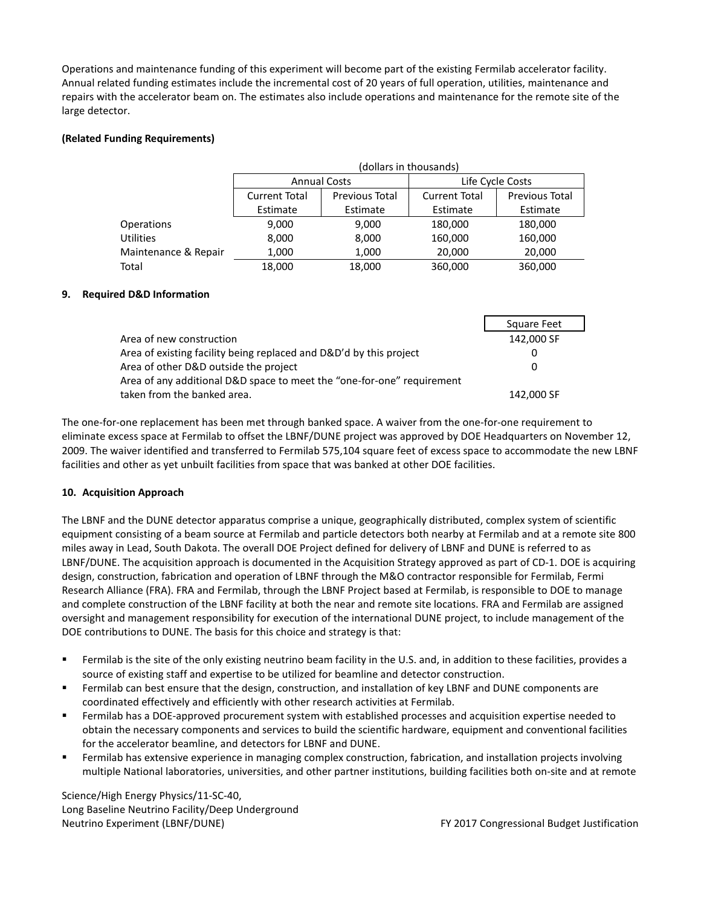Operations and maintenance funding of this experiment will become part of the existing Fermilab accelerator facility. Annual related funding estimates include the incremental cost of 20 years of full operation, utilities, maintenance and repairs with the accelerator beam on. The estimates also include operations and maintenance for the remote site of the large detector.

# **(Related Funding Requirements)**

|                      | (dollars in thousands) |                       |                      |                       |  |  |  |
|----------------------|------------------------|-----------------------|----------------------|-----------------------|--|--|--|
|                      | <b>Annual Costs</b>    |                       |                      | Life Cycle Costs      |  |  |  |
|                      | <b>Current Total</b>   | <b>Previous Total</b> | <b>Current Total</b> | <b>Previous Total</b> |  |  |  |
|                      | Estimate<br>Estimate   |                       | Estimate             | Estimate              |  |  |  |
| <b>Operations</b>    | 9,000                  | 9,000                 | 180,000              | 180,000               |  |  |  |
| <b>Utilities</b>     | 8,000                  | 8,000                 | 160,000              | 160,000               |  |  |  |
| Maintenance & Repair | 1,000                  | 1,000                 | 20,000               | 20,000                |  |  |  |
| Total                | 18,000                 | 18,000                | 360,000              | 360,000               |  |  |  |

### **9. Required D&D Information**

|                                                                        | Square Feet |
|------------------------------------------------------------------------|-------------|
| Area of new construction                                               | 142,000 SF  |
| Area of existing facility being replaced and D&D'd by this project     |             |
| Area of other D&D outside the project                                  | $\Omega$    |
| Area of any additional D&D space to meet the "one-for-one" requirement |             |
| taken from the banked area.                                            | 142,000 SF  |

The one-for-one replacement has been met through banked space. A waiver from the one-for-one requirement to eliminate excess space at Fermilab to offset the LBNF/DUNE project was approved by DOE Headquarters on November 12, 2009. The waiver identified and transferred to Fermilab 575,104 square feet of excess space to accommodate the new LBNF facilities and other as yet unbuilt facilities from space that was banked at other DOE facilities.

### **10. Acquisition Approach**

The LBNF and the DUNE detector apparatus comprise a unique, geographically distributed, complex system of scientific equipment consisting of a beam source at Fermilab and particle detectors both nearby at Fermilab and at a remote site 800 miles away in Lead, South Dakota. The overall DOE Project defined for delivery of LBNF and DUNE is referred to as LBNF/DUNE. The acquisition approach is documented in the Acquisition Strategy approved as part of CD-1. DOE is acquiring design, construction, fabrication and operation of LBNF through the M&O contractor responsible for Fermilab, Fermi Research Alliance (FRA). FRA and Fermilab, through the LBNF Project based at Fermilab, is responsible to DOE to manage and complete construction of the LBNF facility at both the near and remote site locations. FRA and Fermilab are assigned oversight and management responsibility for execution of the international DUNE project, to include management of the DOE contributions to DUNE. The basis for this choice and strategy is that:

- Fermilab is the site of the only existing neutrino beam facility in the U.S. and, in addition to these facilities, provides a source of existing staff and expertise to be utilized for beamline and detector construction.
- Fermilab can best ensure that the design, construction, and installation of key LBNF and DUNE components are coordinated effectively and efficiently with other research activities at Fermilab.
- Fermilab has a DOE-approved procurement system with established processes and acquisition expertise needed to obtain the necessary components and services to build the scientific hardware, equipment and conventional facilities for the accelerator beamline, and detectors for LBNF and DUNE.
- Fermilab has extensive experience in managing complex construction, fabrication, and installation projects involving multiple National laboratories, universities, and other partner institutions, building facilities both on-site and at remote

Science/High Energy Physics/11-SC-40, Long Baseline Neutrino Facility/Deep Underground Neutrino Experiment (LBNF/DUNE) FY 2017 Congressional Budget Justification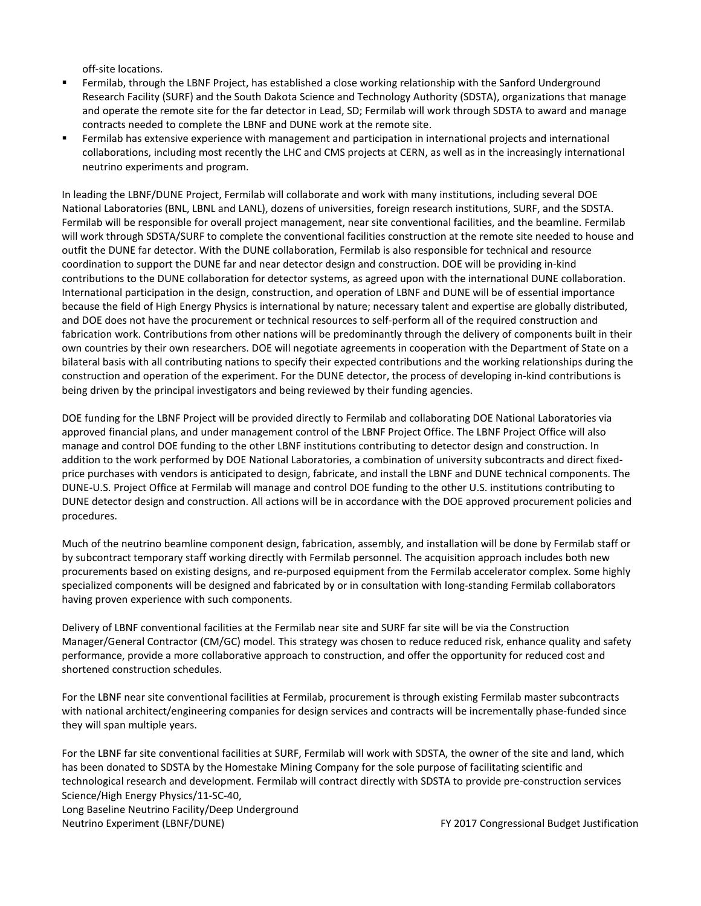off-site locations.

- Fermilab, through the LBNF Project, has established a close working relationship with the Sanford Underground Research Facility (SURF) and the South Dakota Science and Technology Authority (SDSTA), organizations that manage and operate the remote site for the far detector in Lead, SD; Fermilab will work through SDSTA to award and manage contracts needed to complete the LBNF and DUNE work at the remote site.
- Fermilab has extensive experience with management and participation in international projects and international collaborations, including most recently the LHC and CMS projects at CERN, as well as in the increasingly international neutrino experiments and program.

In leading the LBNF/DUNE Project, Fermilab will collaborate and work with many institutions, including several DOE National Laboratories (BNL, LBNL and LANL), dozens of universities, foreign research institutions, SURF, and the SDSTA. Fermilab will be responsible for overall project management, near site conventional facilities, and the beamline. Fermilab will work through SDSTA/SURF to complete the conventional facilities construction at the remote site needed to house and outfit the DUNE far detector. With the DUNE collaboration, Fermilab is also responsible for technical and resource coordination to support the DUNE far and near detector design and construction. DOE will be providing in-kind contributions to the DUNE collaboration for detector systems, as agreed upon with the international DUNE collaboration. International participation in the design, construction, and operation of LBNF and DUNE will be of essential importance because the field of High Energy Physics is international by nature; necessary talent and expertise are globally distributed, and DOE does not have the procurement or technical resources to self-perform all of the required construction and fabrication work. Contributions from other nations will be predominantly through the delivery of components built in their own countries by their own researchers. DOE will negotiate agreements in cooperation with the Department of State on a bilateral basis with all contributing nations to specify their expected contributions and the working relationships during the construction and operation of the experiment. For the DUNE detector, the process of developing in-kind contributions is being driven by the principal investigators and being reviewed by their funding agencies.

DOE funding for the LBNF Project will be provided directly to Fermilab and collaborating DOE National Laboratories via approved financial plans, and under management control of the LBNF Project Office. The LBNF Project Office will also manage and control DOE funding to the other LBNF institutions contributing to detector design and construction. In addition to the work performed by DOE National Laboratories, a combination of university subcontracts and direct fixedprice purchases with vendors is anticipated to design, fabricate, and install the LBNF and DUNE technical components. The DUNE-U.S. Project Office at Fermilab will manage and control DOE funding to the other U.S. institutions contributing to DUNE detector design and construction. All actions will be in accordance with the DOE approved procurement policies and procedures.

Much of the neutrino beamline component design, fabrication, assembly, and installation will be done by Fermilab staff or by subcontract temporary staff working directly with Fermilab personnel. The acquisition approach includes both new procurements based on existing designs, and re-purposed equipment from the Fermilab accelerator complex. Some highly specialized components will be designed and fabricated by or in consultation with long-standing Fermilab collaborators having proven experience with such components.

Delivery of LBNF conventional facilities at the Fermilab near site and SURF far site will be via the Construction Manager/General Contractor (CM/GC) model. This strategy was chosen to reduce reduced risk, enhance quality and safety performance, provide a more collaborative approach to construction, and offer the opportunity for reduced cost and shortened construction schedules.

For the LBNF near site conventional facilities at Fermilab, procurement is through existing Fermilab master subcontracts with national architect/engineering companies for design services and contracts will be incrementally phase-funded since they will span multiple years.

Science/High Energy Physics/11-SC-40, For the LBNF far site conventional facilities at SURF, Fermilab will work with SDSTA, the owner of the site and land, which has been donated to SDSTA by the Homestake Mining Company for the sole purpose of facilitating scientific and technological research and development. Fermilab will contract directly with SDSTA to provide pre-construction services

Long Baseline Neutrino Facility/Deep Underground Neutrino Experiment (LBNF/DUNE) FY 2017 Congressional Budget Justification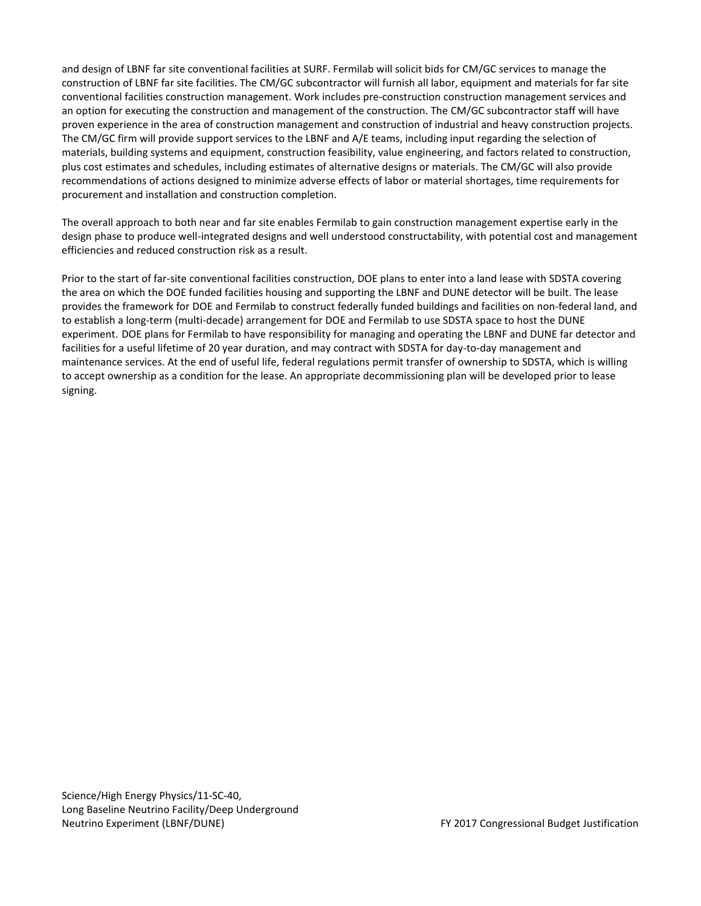and design of LBNF far site conventional facilities at SURF. Fermilab will solicit bids for CM/GC services to manage the construction of LBNF far site facilities. The CM/GC subcontractor will furnish all labor, equipment and materials for far site conventional facilities construction management. Work includes pre-construction construction management services and an option for executing the construction and management of the construction. The CM/GC subcontractor staff will have proven experience in the area of construction management and construction of industrial and heavy construction projects. The CM/GC firm will provide support services to the LBNF and A/E teams, including input regarding the selection of materials, building systems and equipment, construction feasibility, value engineering, and factors related to construction, plus cost estimates and schedules, including estimates of alternative designs or materials. The CM/GC will also provide recommendations of actions designed to minimize adverse effects of labor or material shortages, time requirements for procurement and installation and construction completion.

The overall approach to both near and far site enables Fermilab to gain construction management expertise early in the design phase to produce well-integrated designs and well understood constructability, with potential cost and management efficiencies and reduced construction risk as a result.

Prior to the start of far-site conventional facilities construction, DOE plans to enter into a land lease with SDSTA covering the area on which the DOE funded facilities housing and supporting the LBNF and DUNE detector will be built. The lease provides the framework for DOE and Fermilab to construct federally funded buildings and facilities on non-federal land, and to establish a long-term (multi-decade) arrangement for DOE and Fermilab to use SDSTA space to host the DUNE experiment. DOE plans for Fermilab to have responsibility for managing and operating the LBNF and DUNE far detector and facilities for a useful lifetime of 20 year duration, and may contract with SDSTA for day-to-day management and maintenance services. At the end of useful life, federal regulations permit transfer of ownership to SDSTA, which is willing to accept ownership as a condition for the lease. An appropriate decommissioning plan will be developed prior to lease signing.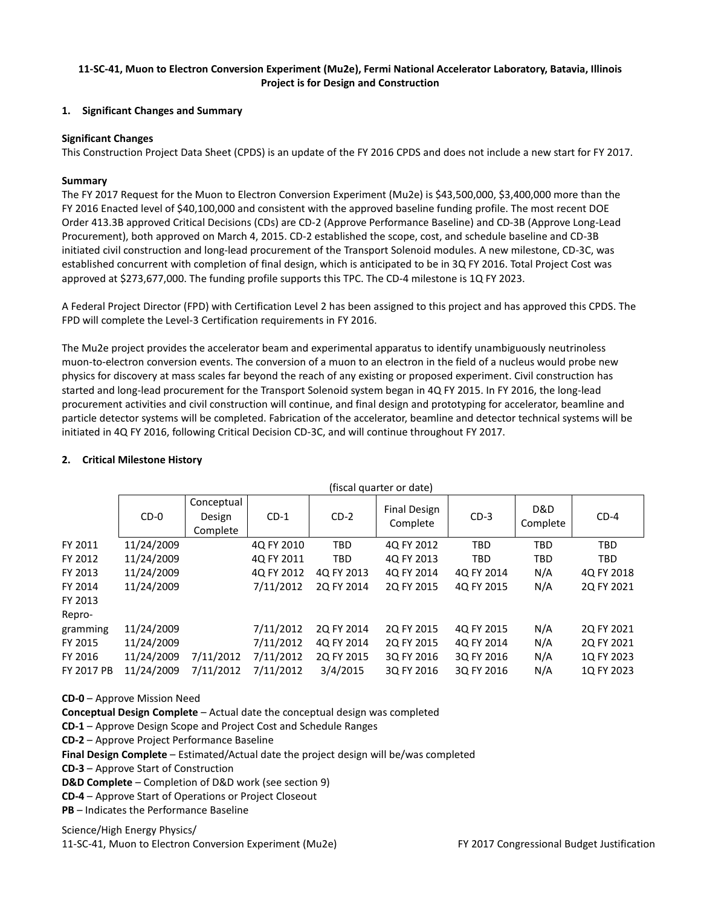### **11-SC-41, Muon to Electron Conversion Experiment (Mu2e), Fermi National Accelerator Laboratory, Batavia, Illinois Project is for Design and Construction**

### **1. Significant Changes and Summary**

# **Significant Changes**

This Construction Project Data Sheet (CPDS) is an update of the FY 2016 CPDS and does not include a new start for FY 2017.

# **Summary**

The FY 2017 Request for the Muon to Electron Conversion Experiment (Mu2e) is \$43,500,000, \$3,400,000 more than the FY 2016 Enacted level of \$40,100,000 and consistent with the approved baseline funding profile. The most recent DOE Order 413.3B approved Critical Decisions (CDs) are CD-2 (Approve Performance Baseline) and CD-3B (Approve Long-Lead Procurement), both approved on March 4, 2015. CD-2 established the scope, cost, and schedule baseline and CD-3B initiated civil construction and long-lead procurement of the Transport Solenoid modules. A new milestone, CD-3C, was established concurrent with completion of final design, which is anticipated to be in 3Q FY 2016. Total Project Cost was approved at \$273,677,000. The funding profile supports this TPC. The CD-4 milestone is 1Q FY 2023.

A Federal Project Director (FPD) with Certification Level 2 has been assigned to this project and has approved this CPDS. The FPD will complete the Level-3 Certification requirements in FY 2016.

The Mu2e project provides the accelerator beam and experimental apparatus to identify unambiguously neutrinoless muon-to-electron conversion events. The conversion of a muon to an electron in the field of a nucleus would probe new physics for discovery at mass scales far beyond the reach of any existing or proposed experiment. Civil construction has started and long-lead procurement for the Transport Solenoid system began in 4Q FY 2015. In FY 2016, the long-lead procurement activities and civil construction will continue, and final design and prototyping for accelerator, beamline and particle detector systems will be completed. Fabrication of the accelerator, beamline and detector technical systems will be initiated in 4Q FY 2016, following Critical Decision CD-3C, and will continue throughout FY 2017.

|            | (fiscal quarter or date) |                                  |            |            |                                 |            |                 |            |  |
|------------|--------------------------|----------------------------------|------------|------------|---------------------------------|------------|-----------------|------------|--|
|            | $CD-0$                   | Conceptual<br>Design<br>Complete | $CD-1$     | $CD-2$     | <b>Final Design</b><br>Complete | $CD-3$     | D&D<br>Complete | $CD-4$     |  |
| FY 2011    | 11/24/2009               |                                  | 4Q FY 2010 | <b>TBD</b> | 4Q FY 2012                      | <b>TBD</b> | <b>TBD</b>      | <b>TBD</b> |  |
| FY 2012    | 11/24/2009               |                                  | 4Q FY 2011 | <b>TBD</b> | 4Q FY 2013                      | <b>TBD</b> | <b>TBD</b>      | <b>TBD</b> |  |
| FY 2013    | 11/24/2009               |                                  | 4Q FY 2012 | 4Q FY 2013 | 4Q FY 2014                      | 4Q FY 2014 | N/A             | 4Q FY 2018 |  |
| FY 2014    | 11/24/2009               |                                  | 7/11/2012  | 2Q FY 2014 | 2Q FY 2015                      | 4Q FY 2015 | N/A             | 2Q FY 2021 |  |
| FY 2013    |                          |                                  |            |            |                                 |            |                 |            |  |
| Repro-     |                          |                                  |            |            |                                 |            |                 |            |  |
| gramming   | 11/24/2009               |                                  | 7/11/2012  | 2Q FY 2014 | 2Q FY 2015                      | 4Q FY 2015 | N/A             | 2Q FY 2021 |  |
| FY 2015    | 11/24/2009               |                                  | 7/11/2012  | 4Q FY 2014 | 2Q FY 2015                      | 4Q FY 2014 | N/A             | 2Q FY 2021 |  |
| FY 2016    | 11/24/2009               | 7/11/2012                        | 7/11/2012  | 2Q FY 2015 | 3Q FY 2016                      | 3Q FY 2016 | N/A             | 1Q FY 2023 |  |
| FY 2017 PB | 11/24/2009               | 7/11/2012                        | 7/11/2012  | 3/4/2015   | 3Q FY 2016                      | 3Q FY 2016 | N/A             | 1Q FY 2023 |  |

# **2. Critical Milestone History**

**CD-0** – Approve Mission Need

**Conceptual Design Complete** – Actual date the conceptual design was completed

**CD-1** – Approve Design Scope and Project Cost and Schedule Ranges

**CD-2** – Approve Project Performance Baseline

**Final Design Complete** – Estimated/Actual date the project design will be/was completed

**CD-3** – Approve Start of Construction

**D&D Complete** – Completion of D&D work (see section 9)

**CD-4** – Approve Start of Operations or Project Closeout

**PB** – Indicates the Performance Baseline

Science/High Energy Physics/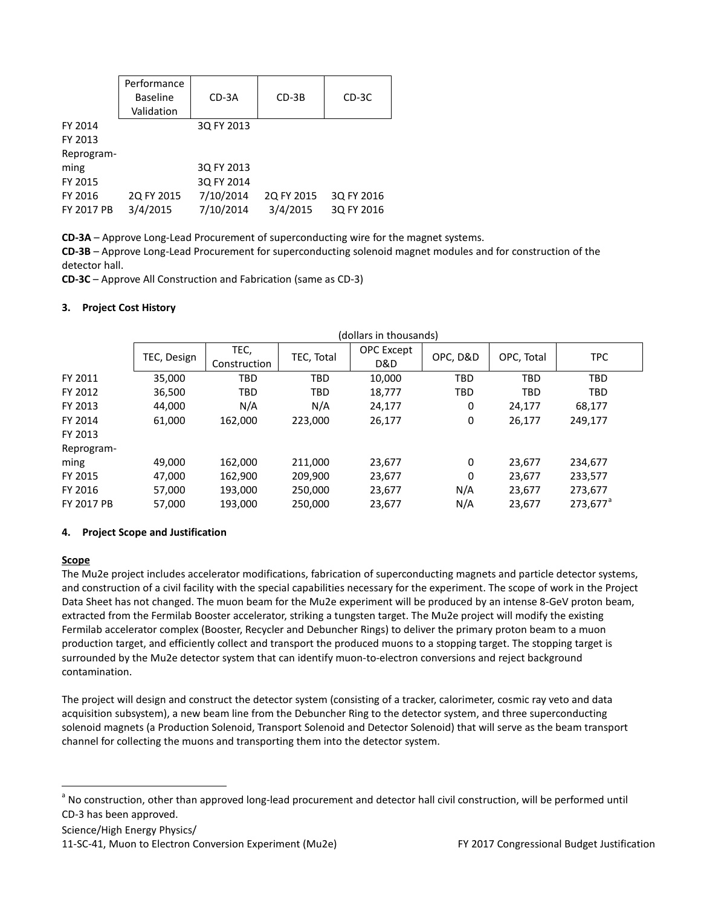|                   | Performance<br><b>Baseline</b><br>Validation | $CD-3A$    | $CD-3B$    | CD-3C      |
|-------------------|----------------------------------------------|------------|------------|------------|
| FY 2014           |                                              | 3Q FY 2013 |            |            |
| FY 2013           |                                              |            |            |            |
| Reprogram-        |                                              |            |            |            |
| ming              |                                              | 3Q FY 2013 |            |            |
| FY 2015           |                                              | 3Q FY 2014 |            |            |
| FY 2016           | 2Q FY 2015                                   | 7/10/2014  | 2Q FY 2015 | 3Q FY 2016 |
| <b>FY 2017 PB</b> | 3/4/2015                                     | 7/10/2014  | 3/4/2015   | 3Q FY 2016 |

**CD-3A** – Approve Long-Lead Procurement of superconducting wire for the magnet systems.

**CD-3B** – Approve Long-Lead Procurement for superconducting solenoid magnet modules and for construction of the detector hall.

**CD-3C** – Approve All Construction and Fabrication (same as CD-3)

#### **3. Project Cost History**

|            | (dollars in thousands) |              |            |                   |          |            |             |  |  |
|------------|------------------------|--------------|------------|-------------------|----------|------------|-------------|--|--|
|            | TEC, Design            | TEC,         | TEC, Total | <b>OPC</b> Except | OPC, D&D | OPC, Total | <b>TPC</b>  |  |  |
|            |                        | Construction |            | D&D               |          |            |             |  |  |
| FY 2011    | 35,000                 | <b>TBD</b>   | <b>TBD</b> | 10,000            | TBD      | <b>TBD</b> | <b>TBD</b>  |  |  |
| FY 2012    | 36,500                 | <b>TBD</b>   | <b>TBD</b> | 18,777            | TBD      | <b>TBD</b> | <b>TBD</b>  |  |  |
| FY 2013    | 44.000                 | N/A          | N/A        | 24,177            | 0        | 24,177     | 68,177      |  |  |
| FY 2014    | 61,000                 | 162,000      | 223,000    | 26,177            | 0        | 26,177     | 249,177     |  |  |
| FY 2013    |                        |              |            |                   |          |            |             |  |  |
| Reprogram- |                        |              |            |                   |          |            |             |  |  |
| ming       | 49,000                 | 162,000      | 211,000    | 23,677            | 0        | 23,677     | 234,677     |  |  |
| FY 2015    | 47,000                 | 162,900      | 209,900    | 23,677            | 0        | 23,677     | 233,577     |  |  |
| FY 2016    | 57,000                 | 193,000      | 250,000    | 23,677            | N/A      | 23,677     | 273,677     |  |  |
| FY 2017 PB | 57.000                 | 193,000      | 250,000    | 23,677            | N/A      | 23,677     | $273,677^a$ |  |  |

### **4. Project Scope and Justification**

### **Scope**

The Mu2e project includes accelerator modifications, fabrication of superconducting magnets and particle detector systems, and construction of a civil facility with the special capabilities necessary for the experiment. The scope of work in the Project Data Sheet has not changed. The muon beam for the Mu2e experiment will be produced by an intense 8-GeV proton beam, extracted from the Fermilab Booster accelerator, striking a tungsten target. The Mu2e project will modify the existing Fermilab accelerator complex (Booster, Recycler and Debuncher Rings) to deliver the primary proton beam to a muon production target, and efficiently collect and transport the produced muons to a stopping target. The stopping target is surrounded by the Mu2e detector system that can identify muon-to-electron conversions and reject background contamination.

The project will design and construct the detector system (consisting of a tracker, calorimeter, cosmic ray veto and data acquisition subsystem), a new beam line from the Debuncher Ring to the detector system, and three superconducting solenoid magnets (a Production Solenoid, Transport Solenoid and Detector Solenoid) that will serve as the beam transport channel for collecting the muons and transporting them into the detector system.

<span id="page-55-0"></span><sup>&</sup>lt;sup>a</sup> No construction, other than approved long-lead procurement and detector hall civil construction, will be performed until CD-3 has been approved.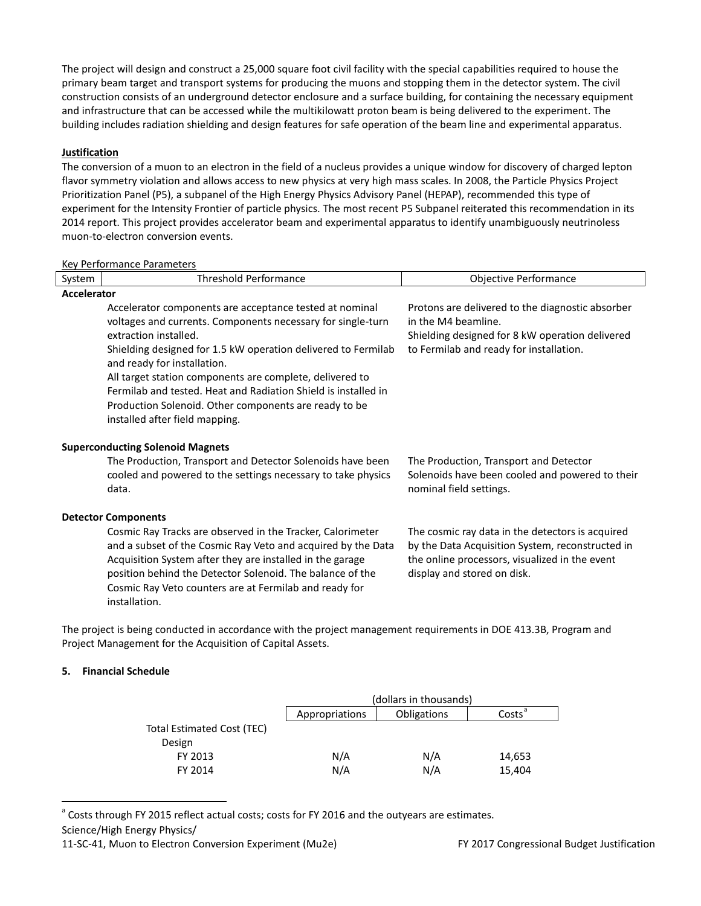The project will design and construct a 25,000 square foot civil facility with the special capabilities required to house the primary beam target and transport systems for producing the muons and stopping them in the detector system. The civil construction consists of an underground detector enclosure and a surface building, for containing the necessary equipment and infrastructure that can be accessed while the multikilowatt proton beam is being delivered to the experiment. The building includes radiation shielding and design features for safe operation of the beam line and experimental apparatus.

### **Justification**

The conversion of a muon to an electron in the field of a nucleus provides a unique window for discovery of charged lepton flavor symmetry violation and allows access to new physics at very high mass scales. In 2008, the Particle Physics Project Prioritization Panel (P5), a subpanel of the High Energy Physics Advisory Panel (HEPAP), recommended this type of experiment for the Intensity Frontier of particle physics. The most recent P5 Subpanel reiterated this recommendation in its 2014 report. This project provides accelerator beam and experimental apparatus to identify unambiguously neutrinoless muon-to-electron conversion events.

#### Key Performance Parameters

| System | <b>Threshold Performance</b>                                                                                                                                                                                                                                                                                                                                                                    | <b>Objective Performance</b>                                                                                                                                                          |  |  |  |  |  |  |  |  |
|--------|-------------------------------------------------------------------------------------------------------------------------------------------------------------------------------------------------------------------------------------------------------------------------------------------------------------------------------------------------------------------------------------------------|---------------------------------------------------------------------------------------------------------------------------------------------------------------------------------------|--|--|--|--|--|--|--|--|
|        | Accelerator                                                                                                                                                                                                                                                                                                                                                                                     |                                                                                                                                                                                       |  |  |  |  |  |  |  |  |
|        | Accelerator components are acceptance tested at nominal                                                                                                                                                                                                                                                                                                                                         | Protons are delivered to the diagnostic absorber                                                                                                                                      |  |  |  |  |  |  |  |  |
|        | voltages and currents. Components necessary for single-turn                                                                                                                                                                                                                                                                                                                                     | in the M4 beamline.                                                                                                                                                                   |  |  |  |  |  |  |  |  |
|        | extraction installed.                                                                                                                                                                                                                                                                                                                                                                           | Shielding designed for 8 kW operation delivered                                                                                                                                       |  |  |  |  |  |  |  |  |
|        | Shielding designed for 1.5 kW operation delivered to Fermilab                                                                                                                                                                                                                                                                                                                                   | to Fermilab and ready for installation.                                                                                                                                               |  |  |  |  |  |  |  |  |
|        | and ready for installation.                                                                                                                                                                                                                                                                                                                                                                     |                                                                                                                                                                                       |  |  |  |  |  |  |  |  |
|        | All target station components are complete, delivered to                                                                                                                                                                                                                                                                                                                                        |                                                                                                                                                                                       |  |  |  |  |  |  |  |  |
|        | Fermilab and tested. Heat and Radiation Shield is installed in                                                                                                                                                                                                                                                                                                                                  |                                                                                                                                                                                       |  |  |  |  |  |  |  |  |
|        | Production Solenoid. Other components are ready to be                                                                                                                                                                                                                                                                                                                                           |                                                                                                                                                                                       |  |  |  |  |  |  |  |  |
|        |                                                                                                                                                                                                                                                                                                                                                                                                 |                                                                                                                                                                                       |  |  |  |  |  |  |  |  |
|        | <b>Superconducting Solenoid Magnets</b>                                                                                                                                                                                                                                                                                                                                                         |                                                                                                                                                                                       |  |  |  |  |  |  |  |  |
|        | The Production, Transport and Detector Solenoids have been                                                                                                                                                                                                                                                                                                                                      | The Production, Transport and Detector                                                                                                                                                |  |  |  |  |  |  |  |  |
|        | cooled and powered to the settings necessary to take physics                                                                                                                                                                                                                                                                                                                                    | Solenoids have been cooled and powered to their                                                                                                                                       |  |  |  |  |  |  |  |  |
|        | data.                                                                                                                                                                                                                                                                                                                                                                                           | nominal field settings.                                                                                                                                                               |  |  |  |  |  |  |  |  |
|        |                                                                                                                                                                                                                                                                                                                                                                                                 |                                                                                                                                                                                       |  |  |  |  |  |  |  |  |
|        |                                                                                                                                                                                                                                                                                                                                                                                                 |                                                                                                                                                                                       |  |  |  |  |  |  |  |  |
|        |                                                                                                                                                                                                                                                                                                                                                                                                 |                                                                                                                                                                                       |  |  |  |  |  |  |  |  |
|        |                                                                                                                                                                                                                                                                                                                                                                                                 |                                                                                                                                                                                       |  |  |  |  |  |  |  |  |
|        |                                                                                                                                                                                                                                                                                                                                                                                                 |                                                                                                                                                                                       |  |  |  |  |  |  |  |  |
|        |                                                                                                                                                                                                                                                                                                                                                                                                 |                                                                                                                                                                                       |  |  |  |  |  |  |  |  |
|        |                                                                                                                                                                                                                                                                                                                                                                                                 |                                                                                                                                                                                       |  |  |  |  |  |  |  |  |
|        | installed after field mapping.<br><b>Detector Components</b><br>Cosmic Ray Tracks are observed in the Tracker, Calorimeter<br>and a subset of the Cosmic Ray Veto and acquired by the Data<br>Acquisition System after they are installed in the garage<br>position behind the Detector Solenoid. The balance of the<br>Cosmic Ray Veto counters are at Fermilab and ready for<br>installation. | The cosmic ray data in the detectors is acquired<br>by the Data Acquisition System, reconstructed in<br>the online processors, visualized in the event<br>display and stored on disk. |  |  |  |  |  |  |  |  |

The project is being conducted in accordance with the project management requirements in DOE 413.3B, Program and Project Management for the Acquisition of Capital Assets.

### **5. Financial Schedule**

|                            | (dollars in thousands) |                    |                    |  |  |  |  |
|----------------------------|------------------------|--------------------|--------------------|--|--|--|--|
|                            | Appropriations         | <b>Obligations</b> | Costs <sup>ª</sup> |  |  |  |  |
| Total Estimated Cost (TEC) |                        |                    |                    |  |  |  |  |
| Design                     |                        |                    |                    |  |  |  |  |
| FY 2013                    | N/A                    | N/A                | 14,653             |  |  |  |  |
| FY 2014                    | N/A                    | N/A                | 15,404             |  |  |  |  |

<span id="page-56-0"></span><sup>a</sup> Costs through FY 2015 reflect actual costs; costs for FY 2016 and the outyears are estimates.

Science/High Energy Physics/

<sup>11-</sup>SC-41, Muon to Electron Conversion Experiment (Mu2e) FY 2017 Congressional Budget Justification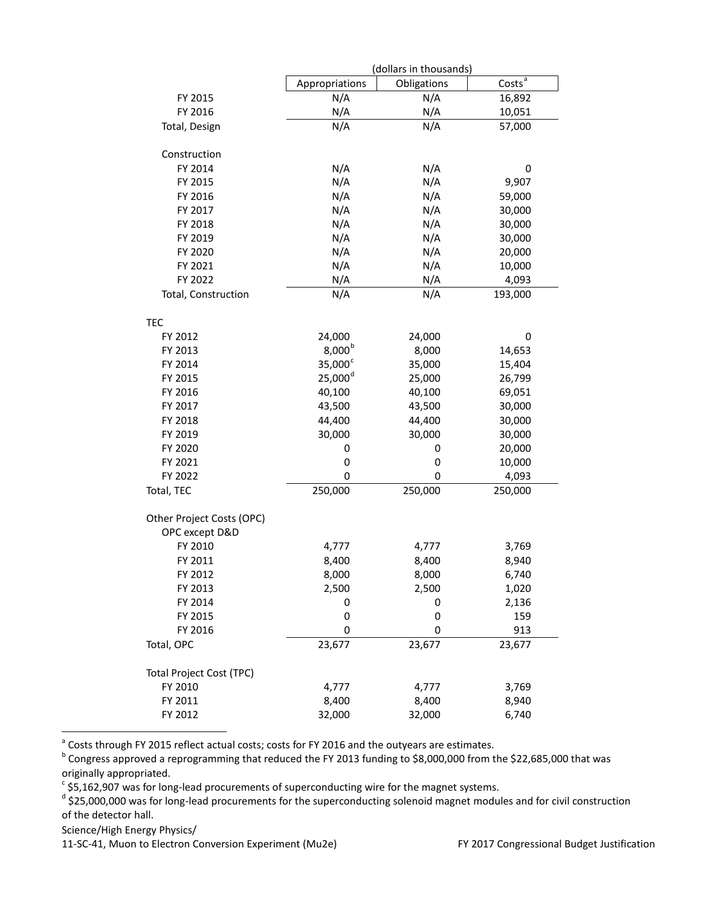|                           |                       | (dollars in thousands) |                    |  |  |
|---------------------------|-----------------------|------------------------|--------------------|--|--|
|                           | Appropriations        | Obligations            | Costs <sup>a</sup> |  |  |
| FY 2015                   | N/A                   | N/A                    | 16,892             |  |  |
| FY 2016                   | N/A                   | N/A                    | 10,051             |  |  |
| Total, Design             | N/A                   | N/A                    | 57,000             |  |  |
| Construction              |                       |                        |                    |  |  |
| FY 2014                   | N/A                   | N/A                    | 0                  |  |  |
| FY 2015                   | N/A                   | N/A                    | 9,907              |  |  |
| FY 2016                   | N/A                   | N/A                    | 59,000             |  |  |
| FY 2017                   | N/A                   | N/A                    | 30,000             |  |  |
| FY 2018                   | N/A                   | N/A                    | 30,000             |  |  |
| FY 2019                   | N/A                   | N/A                    | 30,000             |  |  |
| FY 2020                   | N/A                   | N/A                    | 20,000             |  |  |
| FY 2021                   | N/A                   | N/A                    | 10,000             |  |  |
| FY 2022                   | N/A                   | N/A                    | 4,093              |  |  |
| Total, Construction       | N/A                   | N/A                    | 193,000            |  |  |
|                           |                       |                        |                    |  |  |
| TEC<br>FY 2012            | 24,000                | 24,000                 | 0                  |  |  |
| FY 2013                   | 8,000 <sup>b</sup>    | 8,000                  | 14,653             |  |  |
| FY 2014                   | $35,000^{\circ}$      | 35,000                 | 15,404             |  |  |
| FY 2015                   | $25,000$ <sup>d</sup> | 25,000                 | 26,799             |  |  |
| FY 2016                   | 40,100                | 40,100                 | 69,051             |  |  |
| FY 2017                   | 43,500                | 43,500                 | 30,000             |  |  |
| FY 2018                   | 44,400                | 44,400                 | 30,000             |  |  |
| FY 2019                   | 30,000                | 30,000                 | 30,000             |  |  |
| FY 2020                   | 0                     | 0                      | 20,000             |  |  |
| FY 2021                   | $\mathbf 0$           | 0                      | 10,000             |  |  |
| FY 2022                   | 0                     | 0                      | 4,093              |  |  |
| Total, TEC                | 250,000               | 250,000                | 250,000            |  |  |
| Other Project Costs (OPC) |                       |                        |                    |  |  |
| OPC except D&D            |                       |                        |                    |  |  |
| FY 2010                   | 4,777                 | 4,777                  | 3,769              |  |  |
| FY 2011                   | 8,400                 | 8,400                  | 8,940              |  |  |
| FY 2012                   | 8,000                 | 8,000                  | 6,740              |  |  |
| FY 2013                   | 2,500                 | 2,500                  | 1,020              |  |  |
| FY 2014                   | 0                     | 0                      | 2,136              |  |  |
| FY 2015                   | 0                     | 0                      | 159                |  |  |
| FY 2016                   | 0                     | 0                      | 913                |  |  |
| Total, OPC                | 23,677                | 23,677                 | 23,677             |  |  |
| Total Project Cost (TPC)  |                       |                        |                    |  |  |
| FY 2010                   | 4,777                 | 4,777                  | 3,769              |  |  |
| FY 2011                   | 8,400                 | 8,400                  | 8,940              |  |  |
| FY 2012                   | 32,000                | 32,000                 | 6,740              |  |  |

<span id="page-57-1"></span><span id="page-57-0"></span><sup>a</sup> Costs through FY 2015 reflect actual costs; costs for FY 2016 and the outyears are estimates.<br><sup>b</sup> Congress approved a reprogramming that reduced the FY 2013 funding to \$8,000,000 from the \$22,685,000 that was originally appropriated.<br>
<sup>c</sup> \$5,162,907 was for long-lead procurements of superconducting wire for the magnet systems.

<span id="page-57-3"></span><span id="page-57-2"></span> $d$  \$25,000,000 was for long-lead procurements for the superconducting solenoid magnet modules and for civil construction of the detector hall.

Science/High Energy Physics/

11-SC-41, Muon to Electron Conversion Experiment (Mu2e) FY 2017 Congressional Budget Justification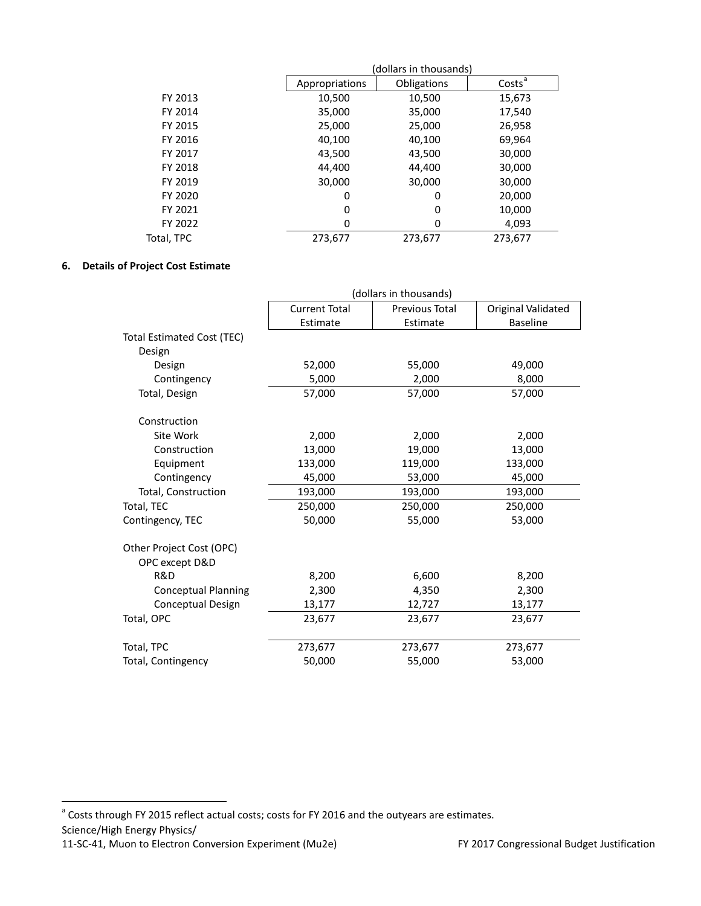|            | (dollars in thousands) |             |                    |  |  |  |  |  |
|------------|------------------------|-------------|--------------------|--|--|--|--|--|
|            | Appropriations         | Obligations | Costs <sup>a</sup> |  |  |  |  |  |
| FY 2013    | 10,500                 | 10,500      | 15,673             |  |  |  |  |  |
| FY 2014    | 35,000                 | 35,000      | 17,540             |  |  |  |  |  |
| FY 2015    | 25,000                 | 25,000      | 26,958             |  |  |  |  |  |
| FY 2016    | 40,100                 | 40,100      | 69,964             |  |  |  |  |  |
| FY 2017    | 43,500                 | 43,500      | 30,000             |  |  |  |  |  |
| FY 2018    | 44,400                 | 44,400      | 30,000             |  |  |  |  |  |
| FY 2019    | 30,000                 | 30,000      | 30,000             |  |  |  |  |  |
| FY 2020    | 0                      | 0           | 20,000             |  |  |  |  |  |
| FY 2021    | 0                      | 0           | 10,000             |  |  |  |  |  |
| FY 2022    | 0                      | 0           | 4,093              |  |  |  |  |  |
| Total, TPC | 273,677                | 273,677     | 273,677            |  |  |  |  |  |

# **6. Details of Project Cost Estimate**

|                                   | (dollars in thousands) |                |                    |  |  |  |  |  |
|-----------------------------------|------------------------|----------------|--------------------|--|--|--|--|--|
|                                   | <b>Current Total</b>   | Previous Total | Original Validated |  |  |  |  |  |
|                                   | Estimate               | Estimate       | <b>Baseline</b>    |  |  |  |  |  |
| <b>Total Estimated Cost (TEC)</b> |                        |                |                    |  |  |  |  |  |
| Design                            |                        |                |                    |  |  |  |  |  |
| Design                            | 52,000                 | 55,000         | 49,000             |  |  |  |  |  |
| Contingency                       | 5,000                  | 2,000          | 8,000              |  |  |  |  |  |
| Total, Design                     | 57,000                 | 57,000         | 57,000             |  |  |  |  |  |
| Construction                      |                        |                |                    |  |  |  |  |  |
| Site Work                         | 2,000                  | 2,000          | 2,000              |  |  |  |  |  |
| Construction                      | 13,000                 | 19,000         | 13,000             |  |  |  |  |  |
| Equipment                         | 133,000                | 119,000        | 133,000            |  |  |  |  |  |
| Contingency                       | 45,000                 | 53,000         | 45,000             |  |  |  |  |  |
| Total, Construction               | 193,000                | 193,000        | 193,000            |  |  |  |  |  |
| Total, TEC                        | 250,000                | 250,000        | 250,000            |  |  |  |  |  |
| Contingency, TEC                  | 50,000                 | 55,000         | 53,000             |  |  |  |  |  |
| Other Project Cost (OPC)          |                        |                |                    |  |  |  |  |  |
| OPC except D&D                    |                        |                |                    |  |  |  |  |  |
| R&D                               | 8,200                  | 6,600          | 8,200              |  |  |  |  |  |
| <b>Conceptual Planning</b>        | 2,300                  | 4,350          | 2,300              |  |  |  |  |  |
| Conceptual Design                 | 13,177                 | 12,727         | 13,177             |  |  |  |  |  |
| Total, OPC                        | 23,677                 | 23,677         | 23,677             |  |  |  |  |  |
|                                   |                        |                |                    |  |  |  |  |  |
| Total, TPC                        | 273,677                | 273,677        | 273,677            |  |  |  |  |  |
| Total, Contingency                | 50,000                 | 55,000         | 53,000             |  |  |  |  |  |

Science/High Energy Physics/

<span id="page-58-0"></span><sup>&</sup>lt;sup>a</sup> Costs through FY 2015 reflect actual costs; costs for FY 2016 and the outyears are estimates.

<sup>11-</sup>SC-41, Muon to Electron Conversion Experiment (Mu2e) FY 2017 Congressional Budget Justification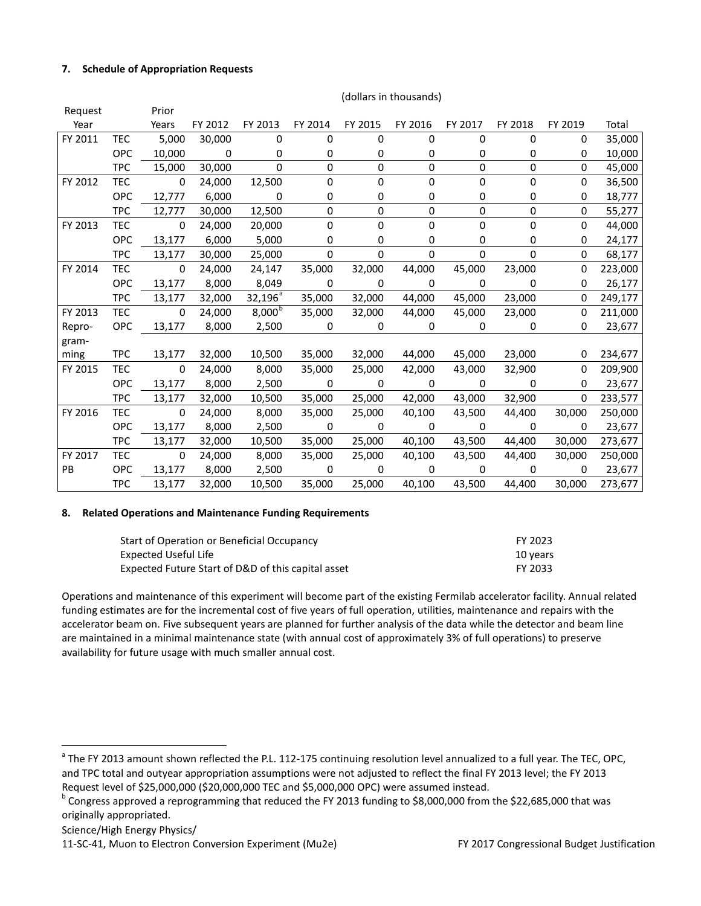### **7. Schedule of Appropriation Requests**

| Request   |            | Prior                    |                          |                  |                          |                |                |             |             |             |         |
|-----------|------------|--------------------------|--------------------------|------------------|--------------------------|----------------|----------------|-------------|-------------|-------------|---------|
| Year      |            | Years                    | FY 2012                  | FY 2013          | FY 2014                  | FY 2015        | FY 2016        | FY 2017     | FY 2018     | FY 2019     | Total   |
| FY 2011   | <b>TEC</b> | 5,000                    | 30,000                   | 0                | $\Omega$                 | $\Omega$       | $\Omega$       | $\Omega$    | $\Omega$    | $\Omega$    | 35,000  |
|           | <b>OPC</b> | 10,000                   | $\overline{\phantom{0}}$ | 0                | 0                        | 0              | 0              | 0           | 0           | 0           | 10,000  |
|           | <b>TPC</b> | 15,000                   | 30,000                   | $\mathbf 0$      | $\mathbf 0$              | $\mathbf 0$    | 0              | 0           | 0           | $\mathbf 0$ | 45,000  |
| FY 2012   | TEC        | $\mathbf 0$              | 24,000                   | 12,500           | 0                        | 0              | 0              | 0           | $\mathbf 0$ | 0           | 36,500  |
|           | <b>OPC</b> | 12,777                   | 6,000                    | 0                | 0                        | 0              | 0              | 0           | 0           | 0           | 18,777  |
|           | <b>TPC</b> | 12,777                   | 30,000                   | 12,500           | $\Omega$                 | 0              | $\mathbf 0$    | 0           | $\mathbf 0$ | 0           | 55,277  |
| FY 2013   | <b>TEC</b> | $\mathbf 0$              | 24,000                   | 20,000           | 0                        | 0              | 0              | 0           | $\mathbf 0$ | 0           | 44,000  |
|           | <b>OPC</b> | 13,177                   | 6,000                    | 5,000            | 0                        | 0              | 0              | 0           | 0           | 0           | 24,177  |
|           | <b>TPC</b> | 13,177                   | 30,000                   | 25,000           | $\mathbf 0$              | 0              | $\mathbf 0$    | 0           | $\Omega$    | 0           | 68,177  |
| FY 2014   | <b>TEC</b> | $\overline{\phantom{0}}$ | 24,000                   | 24,147           | 35,000                   | 32,000         | 44,000         | 45,000      | 23,000      | 0           | 223,000 |
|           | <b>OPC</b> | 13,177                   | 8,000                    | 8,049            | $\overline{\phantom{0}}$ | 0              | $\mathbf 0$    | $\mathbf 0$ | $\mathbf 0$ | 0           | 26,177  |
|           | <b>TPC</b> | 13,177                   | 32,000                   | $32,196^{\circ}$ | 35,000                   | 32,000         | 44,000         | 45,000      | 23,000      | 0           | 249,177 |
| FY 2013   | TEC        | $\overline{\phantom{0}}$ | 24,000                   | $8,000^{b}$      | 35,000                   | 32,000         | 44,000         | 45,000      | 23,000      | 0           | 211,000 |
| Repro-    | <b>OPC</b> | 13,177                   | 8,000                    | 2,500            | $\mathbf 0$              | 0              | 0              | 0           | 0           | 0           | 23,677  |
| gram-     |            |                          |                          |                  |                          |                |                |             |             |             |         |
| ming      | <b>TPC</b> | 13,177                   | 32,000                   | 10,500           | 35,000                   | 32,000         | 44,000         | 45,000      | 23,000      | 0           | 234,677 |
| FY 2015   | <b>TEC</b> | $\mathbf 0$              | 24,000                   | 8,000            | 35,000                   | 25,000         | 42,000         | 43,000      | 32,900      | 0           | 209,900 |
|           | <b>OPC</b> | 13,177                   | 8,000                    | 2,500            | $\overline{0}$           | $\overline{0}$ | $\mathbf 0$    | $\Omega$    | $\mathbf 0$ | 0           | 23,677  |
|           | <b>TPC</b> | 13,177                   | 32,000                   | 10,500           | 35,000                   | 25,000         | 42,000         | 43,000      | 32,900      | 0           | 233,577 |
| FY 2016   | <b>TEC</b> | $\overline{\mathbf{0}}$  | 24,000                   | 8,000            | 35,000                   | 25,000         | 40,100         | 43,500      | 44,400      | 30,000      | 250,000 |
|           | <b>OPC</b> | 13,177                   | 8,000                    | 2,500            | $\overline{0}$           | $\mathbf 0$    | $\mathbf 0$    | $\mathbf 0$ | 0           | 0           | 23,677  |
|           | TPC        | 13,177                   | 32,000                   | 10,500           | 35,000                   | 25,000         | 40,100         | 43,500      | 44,400      | 30,000      | 273,677 |
| FY 2017   | <b>TEC</b> | $\overline{\mathbf{0}}$  | 24,000                   | 8,000            | 35,000                   | 25,000         | 40,100         | 43,500      | 44,400      | 30,000      | 250,000 |
| <b>PB</b> | <b>OPC</b> | 13,177                   | 8,000                    | 2,500            | $\overline{\mathbf{0}}$  | 0              | $\overline{0}$ | $\mathbf 0$ | $\Omega$    | $\Omega$    | 23,677  |
|           | <b>TPC</b> | 13,177                   | 32,000                   | 10,500           | 35,000                   | 25,000         | 40,100         | 43,500      | 44,400      | 30,000      | 273,677 |

#### (dollars in thousands)

### **8. Related Operations and Maintenance Funding Requirements**

| Start of Operation or Beneficial Occupancy         | FY 2023  |
|----------------------------------------------------|----------|
| Expected Useful Life                               | 10 years |
| Expected Future Start of D&D of this capital asset | FY 2033  |

Operations and maintenance of this experiment will become part of the existing Fermilab accelerator facility. Annual related funding estimates are for the incremental cost of five years of full operation, utilities, maintenance and repairs with the accelerator beam on. Five subsequent years are planned for further analysis of the data while the detector and beam line are maintained in a minimal maintenance state (with annual cost of approximately 3% of full operations) to preserve availability for future usage with much smaller annual cost.

Science/High Energy Physics/

<span id="page-59-0"></span><sup>&</sup>lt;sup>a</sup> The FY 2013 amount shown reflected the P.L. 112-175 continuing resolution level annualized to a full year. The TEC, OPC, and TPC total and outyear appropriation assumptions were not adjusted to reflect the final FY 2013 level; the FY 2013 Request level of \$25,000,000 (\$20,000,000 TEC and \$5,000,000 OPC) were assumed instead.

<span id="page-59-1"></span><sup>&</sup>lt;sup>b</sup> Congress approved a reprogramming that reduced the FY 2013 funding to \$8,000,000 from the \$22,685,000 that was originally appropriated.

<sup>11-</sup>SC-41, Muon to Electron Conversion Experiment (Mu2e) FY 2017 Congressional Budget Justification